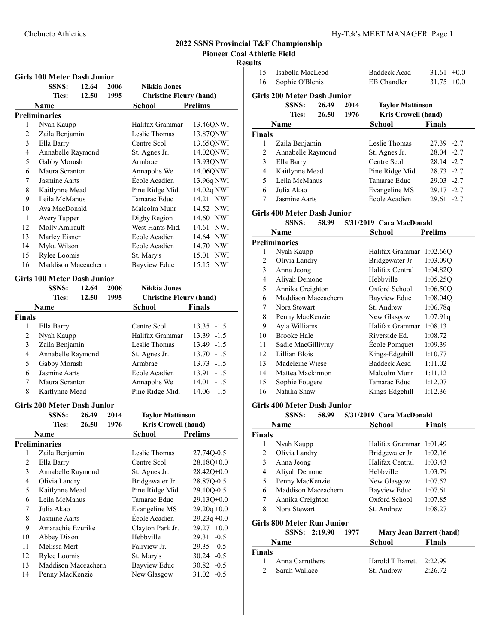Pioneer Coal Athletic Field

# Resul

|                         | <b>Girls 100 Meter Dash Junior</b>                 |             |      |                                |                     |  |
|-------------------------|----------------------------------------------------|-------------|------|--------------------------------|---------------------|--|
|                         | <b>SSNS:</b>                                       | 12.64       | 2006 | Nikkia Jones                   |                     |  |
|                         | <b>Ties:</b>                                       | 12.50       | 1995 | <b>Christine Fleury (hand)</b> |                     |  |
|                         | Name                                               |             |      | <b>School</b>                  | <b>Prelims</b>      |  |
|                         | <b>Preliminaries</b>                               |             |      |                                |                     |  |
| 1                       | Nyah Kaupp                                         |             |      | Halifax Grammar                | 13.46QNWI           |  |
| $\sqrt{2}$              | Zaila Benjamin                                     |             |      | Leslie Thomas                  | 13.87QNWI           |  |
| 3                       | Ella Barry                                         |             |      | Centre Scol.                   | 13.65QNWI           |  |
| $\overline{4}$          | Annabelle Raymond                                  |             |      | St. Agnes Jr.                  | 14.02QNWI           |  |
| 5                       | Gabby Morash                                       |             |      | Armbrae                        | 13.93QNWI           |  |
| 6                       | Maura Scranton                                     |             |      | Annapolis We                   | 14.06QNWI           |  |
| 7                       | Jasmine Aarts                                      |             |      | École Acadien                  | 13.96q NWI          |  |
| $\,$ 8 $\,$             | Kaitlynne Mead                                     |             |      | Pine Ridge Mid.                | 14.02q NWI          |  |
| 9                       | Leila McManus                                      |             |      | Tamarac Educ                   | 14.21 NWI           |  |
| 10                      | Ava MacDonald                                      |             |      | Malcolm Munr                   | 14.52 NWI           |  |
| 11                      | Avery Tupper                                       |             |      | Digby Region                   | 14.60 NWI           |  |
| 12                      | Molly Amirault                                     |             |      | West Hants Mid.                | 14.61 NWI           |  |
| 13                      | Marley Eisner                                      |             |      | École Acadien                  | 14.64 NWI           |  |
| 14                      |                                                    |             |      | École Acadien                  | 14.70 NWI           |  |
| 15                      | Rylee Loomis                                       | Myka Wilson |      |                                |                     |  |
|                         | Maddison Maceachern                                |             |      | St. Mary's                     | 15.01 NWI           |  |
| 16                      |                                                    |             |      | <b>Bayview Educ</b>            | 15.15<br><b>NWI</b> |  |
|                         | <b>Girls 100 Meter Dash Junior</b><br><b>SSNS:</b> | 12.64       | 2006 | <b>Nikkia Jones</b>            |                     |  |
|                         | <b>Ties:</b>                                       | 12.50       | 1995 | <b>Christine Fleury (hand)</b> |                     |  |
|                         |                                                    |             |      |                                |                     |  |
|                         | <b>Name</b>                                        |             |      | <b>School</b>                  | <b>Finals</b>       |  |
| <b>Finals</b><br>1      |                                                    |             |      | Centre Scol.                   | $13.35 - 1.5$       |  |
| $\overline{c}$          | Ella Barry                                         |             |      | Halifax Grammar                | 13.39 -1.5          |  |
|                         | Nyah Kaupp                                         |             |      | Leslie Thomas                  |                     |  |
| 3                       | Zaila Benjamin                                     |             |      |                                | 13.49 -1.5          |  |
| $\overline{4}$          | Annabelle Raymond                                  |             |      | St. Agnes Jr.                  | $13.70 - 1.5$       |  |
| 5                       | Gabby Morash                                       |             |      | Armbrae                        | $13.73 - 1.5$       |  |
| 6                       | Jasmine Aarts                                      |             |      | École Acadien                  | 13.91 -1.5          |  |
| 7                       | Maura Scranton                                     |             |      | Annapolis We                   | $14.01 - 1.5$       |  |
| $\,$ 8 $\,$             | Kaitlynne Mead                                     |             |      | Pine Ridge Mid.                | $14.06 - 1.5$       |  |
|                         | <b>Girls 200 Meter Dash Junior</b>                 |             |      |                                |                     |  |
|                         | <b>SSNS:</b>                                       | 26.49       | 2014 | <b>Taylor Mattinson</b>        |                     |  |
|                         | Ties:                                              | 26.50       | 1976 | Kris Crowell (hand)            |                     |  |
|                         | <b>Name</b>                                        |             |      | <b>School Prelims</b>          |                     |  |
|                         | <b>Preliminaries</b>                               |             |      |                                |                     |  |
| 1                       | Zaila Benjamin                                     |             |      | Leslie Thomas                  | 27.74Q-0.5          |  |
| $\mathfrak{2}$          | Ella Barry                                         |             |      | Centre Scol.                   | $28.18Q+0.0$        |  |
| $\mathfrak{Z}$          | Annabelle Raymond                                  |             |      | St. Agnes Jr.                  | 28.42Q+0.0          |  |
| $\overline{\mathbf{4}}$ | Olivia Landry                                      |             |      | Bridgewater Jr                 | 28.87Q-0.5          |  |
| 5                       | Kaitlynne Mead                                     |             |      | Pine Ridge Mid.                | 29.10Q-0.5          |  |
| 6                       | Leila McManus                                      |             |      | Tamarac Educ                   | 29.13Q+0.0          |  |
| $\tau$                  | Julia Akao                                         |             |      | Evangeline MS                  | $29.20q + 0.0$      |  |
| $\,$ $\,$               | Jasmine Aarts                                      |             |      | École Acadien                  | $29.23q + 0.0$      |  |
| 9                       | Amarachie Ezurike                                  |             |      | Clayton Park Jr.               | $29.27 +0.0$        |  |
| 10                      | Abbey Dixon                                        |             |      | Hebbville                      | 29.31<br>$-0.5$     |  |
| 11                      | Melissa Mert                                       |             |      | Fairview Jr.                   | 29.35 -0.5          |  |
| 12                      | Rylee Loomis                                       |             |      | St. Mary's                     | $30.24 - 0.5$       |  |
| 13                      | Maddison Maceachern                                |             |      | <b>Bayview Educ</b>            | 30.82<br>$-0.5$     |  |
| 14                      | Penny MacKenzie                                    |             |      | New Glasgow                    | 31.02<br>$-0.5$     |  |

| 15                                  | Isabella MacLeod                                   |         |                     | <b>Baddeck Acad</b>             | 31.61<br>$+0.0$ |  |
|-------------------------------------|----------------------------------------------------|---------|---------------------|---------------------------------|-----------------|--|
| 16                                  | Sophie O'Blenis                                    |         |                     | <b>EB</b> Chandler              | 31.75<br>$+0.0$ |  |
|                                     | <b>Girls 200 Meter Dash Junior</b>                 |         |                     |                                 |                 |  |
|                                     | <b>SSNS:</b>                                       | 26.49   | 2014                | <b>Taylor Mattinson</b>         |                 |  |
|                                     | <b>Ties:</b>                                       | 26.50   | 1976                | <b>Kris Crowell (hand)</b>      |                 |  |
|                                     | Name                                               |         |                     | School                          | <b>Finals</b>   |  |
| <b>Finals</b>                       |                                                    |         |                     |                                 |                 |  |
| 1                                   | Zaila Benjamin                                     |         |                     | Leslie Thomas                   | 27.39 -2.7      |  |
| 2                                   | Annabelle Raymond                                  |         |                     | St. Agnes Jr.                   | 28.04 -2.7      |  |
| 3                                   | Ella Barry                                         |         |                     | Centre Scol.                    | 28.14 -2.7      |  |
| 4                                   | Kaitlynne Mead                                     |         |                     | Pine Ridge Mid.                 | 28.73 -2.7      |  |
| 5                                   | Leila McManus                                      |         |                     | Tamarac Educ                    | 29.03 -2.7      |  |
| 6                                   | Julia Akao                                         |         |                     | Evangeline MS                   | 29.17 -2.7      |  |
| 7                                   | Jasmine Aarts                                      |         |                     | École Acadien                   | 29.61 -2.7      |  |
|                                     | <b>Girls 400 Meter Dash Junior</b>                 |         |                     |                                 |                 |  |
|                                     | <b>SSNS:</b>                                       | 58.99   |                     | 5/31/2019 Cara MacDonald        |                 |  |
|                                     | Name                                               |         |                     | <b>School</b>                   | <b>Prelims</b>  |  |
|                                     | <b>Preliminaries</b>                               |         |                     |                                 |                 |  |
| 1                                   | Nyah Kaupp                                         |         |                     | Halifax Grammar                 | 1:02.66Q        |  |
| 2                                   | Olivia Landry                                      |         |                     | Bridgewater Jr                  | 1:03.09Q        |  |
| 3                                   | Anna Jeong                                         |         |                     | Halifax Central                 | 1:04.82Q        |  |
| 4                                   | Aliyah Demone                                      |         | Hebbyille           | 1:05.25Q                        |                 |  |
| 5                                   | Annika Creighton                                   |         | Oxford School       | 1:06.50Q                        |                 |  |
| 6                                   | Maddison Maceachern                                |         | <b>Bayview Educ</b> | 1:08.04Q                        |                 |  |
| 7                                   | Nora Stewart                                       |         | St. Andrew          | 1:06.78q                        |                 |  |
| 8                                   | Penny MacKenzie                                    |         | New Glasgow         | 1:07.91q                        |                 |  |
| 9                                   | Ayla Williams                                      |         | Halifax Grammar     | 1:08.13                         |                 |  |
| 10                                  | <b>Brooke Hale</b>                                 |         | Riverside Ed.       | 1:08.72                         |                 |  |
| 11                                  | Sadie MacGillivray                                 |         |                     | École Pomquet                   | 1:09.39         |  |
| 12                                  | Lillian Blois                                      |         |                     | Kings-Edgehill                  | 1:10.77         |  |
| 13                                  | Madeleine Wiese                                    |         |                     | <b>Baddeck Acad</b>             | 1:11.02         |  |
| 14                                  | Mattea Mackinnon                                   |         |                     | Malcolm Munr                    | 1:11.12         |  |
| 15                                  |                                                    |         |                     | Tamarac Educ                    | 1:12.07         |  |
|                                     | Sophie Fougere                                     |         | Natalia Shaw        |                                 |                 |  |
| 16                                  |                                                    |         |                     | Kings-Edgehill                  | 1:12.36         |  |
|                                     |                                                    |         |                     |                                 |                 |  |
|                                     | <b>Girls 400 Meter Dash Junior</b><br><b>SSNS:</b> | 58.99   |                     | 5/31/2019 Cara MacDonald        |                 |  |
|                                     | Name                                               |         |                     |                                 | <b>Finals</b>   |  |
|                                     |                                                    |         |                     | <b>School</b>                   |                 |  |
| 1                                   | Nyah Kaupp                                         |         |                     | Halifax Grammar                 | 1:01.49         |  |
| 2                                   | Olivia Landry                                      |         |                     | Bridgewater Jr                  | 1:02.16         |  |
| 3                                   | Anna Jeong                                         |         |                     | Halifax Central                 | 1:03.43         |  |
| 4                                   | Aliyah Demone                                      |         |                     | Hebbville                       | 1:03.79         |  |
| 5                                   | Penny MacKenzie                                    |         |                     | New Glasgow                     | 1:07.52         |  |
| 6                                   | Maddison Maceachern                                |         |                     | <b>Bayview Educ</b>             | 1:07.61         |  |
| 7                                   | Annika Creighton                                   |         |                     | Oxford School                   | 1:07.85         |  |
| 8                                   | Nora Stewart                                       |         |                     | St. Andrew                      | 1:08.27         |  |
|                                     |                                                    |         |                     |                                 |                 |  |
|                                     | <b>Girls 800 Meter Run Junior</b><br><b>SSNS:</b>  | 2:19.90 | 1977                |                                 |                 |  |
|                                     | Name                                               |         |                     | <b>Mary Jean Barrett (hand)</b> |                 |  |
|                                     |                                                    |         |                     | <b>School</b>                   | <b>Finals</b>   |  |
| <b>Finals</b><br><b>Finals</b><br>1 | Anna Carruthers                                    |         |                     | Harold T Barrett                | 2:22.99         |  |
| $\overline{c}$                      | Sarah Wallace                                      |         |                     | St. Andrew                      | 2:26.72         |  |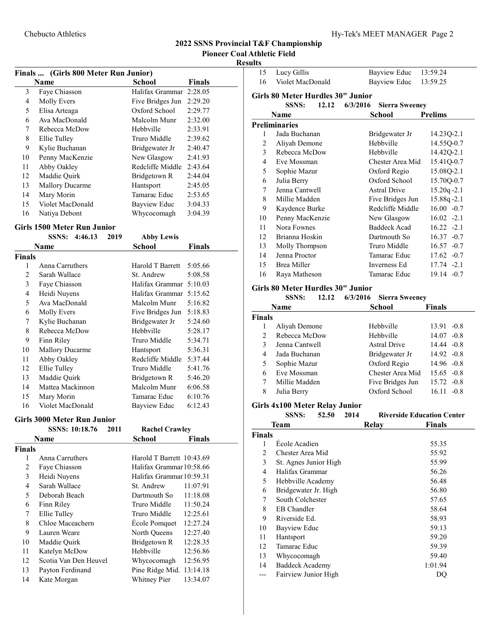# Chebucto Athletics Hy-Tek's MEET MANAGER Page 2

# 2022 SSNS Provincial T&F Championship Pioneer Coal Athletic Field

#### Results

| Finals  (Girls 800 Meter Run Junior) |                        |                  |               |  |  |
|--------------------------------------|------------------------|------------------|---------------|--|--|
|                                      | <b>Name</b>            | School           | <b>Finals</b> |  |  |
| 3                                    | Faye Chiasson          | Halifax Grammar  | 2:28.05       |  |  |
| 4                                    | <b>Molly Evers</b>     | Five Bridges Jun | 2:29.20       |  |  |
| 5                                    | Elisa Arteaga          | Oxford School    | 2:29.77       |  |  |
| 6                                    | Ava MacDonald          | Malcolm Munr     | 2:32.00       |  |  |
| 7                                    | Rebecca McDow          | Hebbyille        | 2:33.91       |  |  |
| 8                                    | Ellie Tulley           | Truro Middle     | 2:39.62       |  |  |
| 9                                    | Kylie Buchanan         | Bridgewater Jr   | 2:40.47       |  |  |
| 10                                   | Penny MacKenzie        | New Glasgow      | 2:41.93       |  |  |
| 11                                   | Abby Oakley            | Redcliffe Middle | 2:43.64       |  |  |
| 12                                   | Maddie Ouirk           | Bridgetown R     | 2:44.04       |  |  |
| 13                                   | <b>Mallory Ducarme</b> | Hantsport        | 2:45.05       |  |  |
| 14                                   | Mary Morin             | Tamarac Educ     | 2:53.65       |  |  |
| 15                                   | Violet MacDonald       | Bayview Educ     | 3:04.33       |  |  |
| 16                                   | Natiya Debont          | Whycocomagh      | 3:04.39       |  |  |
|                                      |                        |                  |               |  |  |

#### Girls 1500 Meter Run Junior

|        | 4:46.13<br><b>SSNS:</b> | 2019 | <b>Abby Lewis</b> |         |  |
|--------|-------------------------|------|-------------------|---------|--|
|        | Name                    |      | School            | Finals  |  |
| Finals |                         |      |                   |         |  |
| 1      | Anna Carruthers         |      | Harold T Barrett  | 5:05.66 |  |
| 2      | Sarah Wallace           |      | St. Andrew        | 5:08.58 |  |
| 3      | Faye Chiasson           |      | Halifax Grammar   | 5:10.03 |  |
| 4      | Heidi Nuyens            |      | Halifax Grammar   | 5:15.62 |  |
| 5      | Ava MacDonald           |      | Malcolm Munr      | 5:16.82 |  |
| 6      | <b>Molly Evers</b>      |      | Five Bridges Jun  | 5:18.83 |  |
| 7      | Kylie Buchanan          |      | Bridgewater Jr    | 5:24.60 |  |
| 8      | Rebecca McDow           |      | Hebbyille         | 5:28.17 |  |
| 9      | Finn Riley              |      | Truro Middle      | 5:34.71 |  |
| 10     | <b>Mallory Ducarme</b>  |      | Hantsport         | 5:36.31 |  |
| 11     | Abby Oakley             |      | Redcliffe Middle  | 5:37.44 |  |
| 12     | Ellie Tulley            |      | Truro Middle      | 5:41.76 |  |
| 13     | Maddie Quirk            |      | Bridgetown R      | 5:46.20 |  |
| 14     | Mattea Mackinnon        |      | Malcolm Munr      | 6:06.58 |  |
| 15     | Mary Morin              |      | Tamarac Educ      | 6:10.76 |  |
| 16     | Violet MacDonald        |      | Bayview Educ      | 6:12.43 |  |

#### Girls 3000 Meter Run Junior

|               | SSNS: 10:18.76<br>2011<br>Name |  | <b>Rachel Crawley</b>     |          |  |
|---------------|--------------------------------|--|---------------------------|----------|--|
|               |                                |  | School                    | Finals   |  |
| <b>Finals</b> |                                |  |                           |          |  |
| 1             | Anna Carruthers                |  | Harold T Barrett 10:43.69 |          |  |
| 2             | Faye Chiasson                  |  | Halifax Grammar 10:58.66  |          |  |
| 3             | Heidi Nuyens                   |  | Halifax Grammar 10:59.31  |          |  |
| 4             | Sarah Wallace                  |  | St. Andrew                | 11:07.91 |  |
| 5             | Deborah Beach                  |  | Dartmouth So              | 11:18.08 |  |
| 6             | Finn Riley                     |  | Truro Middle              | 11:50.24 |  |
| 7             | Ellie Tulley                   |  | Truro Middle              | 12:25.61 |  |
| 8             | Chloe Maceachern               |  | Ecole Pomquet             | 12:27.24 |  |
| 9             | Lauren Weare                   |  | North Queens              | 12:27.40 |  |
| 10            | Maddie Quirk                   |  | Bridgetown R              | 12:28.35 |  |
| 11            | Katelyn McDow                  |  | Hebbville                 | 12:56.86 |  |
| 12            | Scotia Van Den Heuvel          |  | Whycocomagh               | 12:56.95 |  |
| 13            | Payton Ferdinand               |  | Pine Ridge Mid.           | 13:14.18 |  |
| 14            | Kate Morgan                    |  | Whitney Pier              | 13:34.07 |  |

| 15                                                                     | Lucy Gillis      | 13:59.24<br>Bayview Educ              |  |  |  |
|------------------------------------------------------------------------|------------------|---------------------------------------|--|--|--|
| 16                                                                     | Violet MacDonald | Bayview Educ<br>13:59.25              |  |  |  |
|                                                                        |                  |                                       |  |  |  |
| Girls 80 Meter Hurdles 30" Junior<br>6/3/2016<br><b>SSNS:</b><br>12.12 |                  |                                       |  |  |  |
|                                                                        |                  | <b>Sierra Sweeney</b>                 |  |  |  |
|                                                                        | Name             | School<br><b>Prelims</b>              |  |  |  |
|                                                                        | Preliminaries    |                                       |  |  |  |
| 1                                                                      | Jada Buchanan    | 14.23Q-2.1<br>Bridgewater Jr          |  |  |  |
| $\overline{2}$                                                         | Aliyah Demone    | Hebbyille<br>14.55Q-0.7               |  |  |  |
| 3                                                                      | Rebecca McDow    | Hebbville<br>14.42Q-2.1               |  |  |  |
| 4                                                                      | Eve Mossman      | 15.41Q-0.7<br>Chester Area Mid        |  |  |  |
| 5                                                                      | Sophie Mazur     | 15.08Q-2.1<br>Oxford Regio            |  |  |  |
| 6                                                                      | Julia Berry      | Oxford School<br>15.70Q-0.7           |  |  |  |
| 7                                                                      | Jenna Cantwell   | $15.20q - 2.1$<br><b>Astral Drive</b> |  |  |  |
| 8                                                                      | Millie Madden    | 15.88q-2.1<br>Five Bridges Jun        |  |  |  |
| 9                                                                      | Kaydence Burke   | Redcliffe Middle<br>$16.00 - 0.7$     |  |  |  |
| 10                                                                     | Penny MacKenzie  | $16.02 -2.1$<br>New Glasgow           |  |  |  |
| 11                                                                     | Nora Fownes      | <b>Baddeck Acad</b><br>$16.22 -2.1$   |  |  |  |
| 12                                                                     | Brianna Hoskin   | Dartmouth So<br>$16.37 -0.7$          |  |  |  |
| 13                                                                     | Molly Thompson   | Truro Middle<br>$16.57 - 0.7$         |  |  |  |
| 14                                                                     | Jenna Proctor    | Tamarac Educ<br>$17.62 -0.7$          |  |  |  |
| 15                                                                     | Brea Miller      | $17.74 -2.1$<br>Inverness Ed          |  |  |  |
| 16                                                                     | Raya Matheson    | $19.14 -0.7$<br>Tamarac Educ          |  |  |  |
|                                                                        |                  |                                       |  |  |  |

#### Girls 80 Meter Hurdles 30" Junior

| SSNS: |  |  | 12.12 6/3/2016 Sierra Sweeney |  |
|-------|--|--|-------------------------------|--|
|-------|--|--|-------------------------------|--|

| School<br>Name |                |                     | <b>Finals</b>   |
|----------------|----------------|---------------------|-----------------|
| <b>Finals</b>  |                |                     |                 |
|                | Aliyah Demone  | Hebbyille           | 13.91<br>$-0.8$ |
| $\mathcal{P}$  | Rebecca McDow  | Hebbyille           | $14.07 -0.8$    |
| 3              | Jenna Cantwell | <b>Astral Drive</b> | $14.44 - 0.8$   |
| 4              | Jada Buchanan  | Bridgewater Jr      | $14.92 -0.8$    |
| 5              | Sophie Mazur   | Oxford Regio        | $14.96 - 0.8$   |
| 6              | Eve Mossman    | Chester Area Mid    | $15.65 - 0.8$   |
|                | Millie Madden  | Five Bridges Jun    | $15.72 -0.8$    |
| 8              | Julia Berry    | Oxford School       | 16.11<br>$-0.8$ |

#### Girls 4x100 Meter Relay Junior

|                | <b>SSNS:</b>           | 52.50 | 2014 |       | <b>Riverside Education Center</b> |
|----------------|------------------------|-------|------|-------|-----------------------------------|
|                | <b>Team</b>            |       |      | Relay | <b>Finals</b>                     |
| <b>Finals</b>  |                        |       |      |       |                                   |
| 1              | Ecole Acadien          |       |      |       | 55.35                             |
| $\overline{c}$ | Chester Area Mid       |       |      |       | 55.92                             |
| 3              | St. Agnes Junior High  |       |      |       | 55.99                             |
| $\overline{4}$ | Halifax Grammar        |       |      |       | 56.26                             |
| 5              | Hebbville Academy      |       |      |       | 56.48                             |
| 6              | Bridgewater Jr. High   |       |      |       | 56.80                             |
| 7              | South Colchester       |       |      |       | 57.65                             |
| 8              | EB Chandler            |       |      |       | 58.64                             |
| 9              | Riverside Ed.          |       |      |       | 58.93                             |
| 10             | Bayview Educ           |       |      |       | 59.13                             |
| 11             | Hantsport              |       |      |       | 59.20                             |
| 12             | Tamarac Educ           |       |      |       | 59.39                             |
| 13             | Whycocomagh            |       |      |       | 59.40                             |
| 14             | <b>Baddeck Academy</b> |       |      |       | 1:01.94                           |
|                | Fairview Junior High   |       |      |       | DQ                                |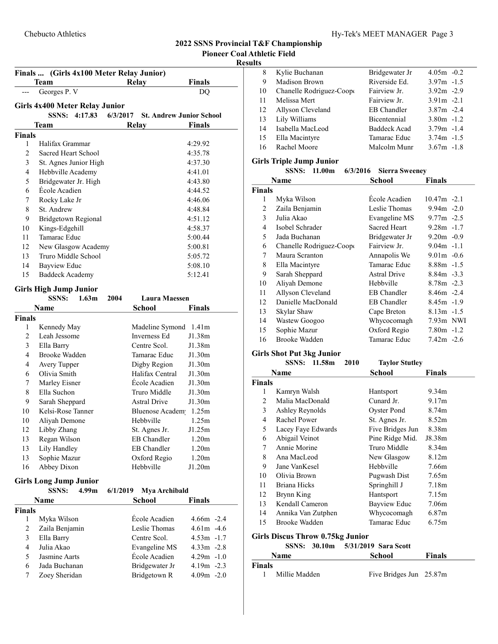#### 2022 SSNS Provincial T&F Championship<br>Pioneer Coal Athletic Field **Coal Athletic Field** kesult

|               | Finals  (Girls 4x100 Meter Relay Junior)<br>Team |          | Relay                           | Finals        |  |
|---------------|--------------------------------------------------|----------|---------------------------------|---------------|--|
|               | Georges P. V                                     |          |                                 | DQ            |  |
|               |                                                  |          |                                 |               |  |
|               | <b>Girls 4x400 Meter Relay Junior</b>            |          |                                 |               |  |
|               | SSNS: 4:17.83                                    | 6/3/2017 | <b>St. Andrew Junior School</b> |               |  |
|               | Team                                             |          | Relay                           | <b>Finals</b> |  |
| <b>Finals</b> |                                                  |          |                                 |               |  |
| 1             | Halifax Grammar                                  |          |                                 | 4:29.92       |  |
| 2             | Sacred Heart School                              |          |                                 | 4:35.78       |  |
| 3             | St. Agnes Junior High                            |          |                                 | 4:37.30       |  |
| 4             | Hebbville Academy                                |          |                                 | 4:41.01       |  |
| 5             | Bridgewater Jr. High                             |          |                                 | 4:43.80       |  |
| 6             | École Acadien                                    |          |                                 | 4:44.52       |  |
| 7             | Rocky Lake Jr                                    |          |                                 | 4:46.06       |  |
| 8             | St. Andrew                                       |          |                                 | 4:48.84       |  |
| 9             | Bridgetown Regional                              |          |                                 | 4:51.12       |  |
| 10            | Kings-Edgehill                                   |          |                                 | 4:58.37       |  |
| 11            | Tamarac Educ                                     |          |                                 | 5:00.44       |  |
| 12            | New Glasgow Academy                              |          |                                 | 5:00.81       |  |
| 13            | Truro Middle School                              |          |                                 | 5:05.72       |  |
| 14            | <b>Bayview Educ</b>                              |          |                                 | 5:08.10       |  |
| 15            | <b>Baddeck Academy</b>                           |          |                                 | 5:12.41       |  |
|               | <b>Girls High Jump Junior</b>                    |          |                                 |               |  |
|               | 1.63 <sub>m</sub><br>SSNS:                       | 2004     | Laura Maessen                   |               |  |
|               | Name                                             |          | <b>School</b>                   | <b>Finals</b> |  |
| <b>Finals</b> |                                                  |          |                                 |               |  |
| 1             | Kennedy May                                      |          | Madeline Symond                 | 1.41m         |  |
| 2             | Leah Jessome                                     |          | Inverness Ed                    | J1.38m        |  |
| 3             | Ella Barry                                       |          | Centre Scol.                    | J1.38m        |  |
| 4             | Brooke Wadden                                    |          | Tamarac Educ                    | J1.30m        |  |
| 4             | Avery Tupper                                     |          | Digby Region                    | J1.30m        |  |
| 6             | Olivia Smith                                     |          | Halifax Central                 | J1.30m        |  |
| 7             | Marley Eisner                                    |          | Ecole Acadien                   | J1.30m        |  |
| 8             | Ella Suchon                                      |          | Truro Middle                    | J1.30m        |  |
| 9             | Sarah Sheppard                                   |          | Astral Drive                    | J1.30m        |  |
| 10            | Kelsi-Rose Tanner                                |          | <b>Bluenose Academ</b>          | 1.25m         |  |
| 10            | Aliyah Demone                                    |          | Hebbville                       | 1.25m         |  |
| 12            | Libby Zhang                                      |          | St. Agnes Jr.                   | J1.25m        |  |
| 13            | Regan Wilson                                     |          | <b>EB</b> Chandler              | 1.20m         |  |
| 13            | Lily Handley                                     |          | <b>EB</b> Chandler              | 1.20m         |  |
| 13            | Sophie Mazur                                     |          | Oxford Regio                    | 1.20m         |  |
| 16            | Abbey Dixon                                      |          | Hebbville                       | J1.20m        |  |
|               |                                                  |          |                                 |               |  |
|               | <b>Girls Long Jump Junior</b>                    |          |                                 |               |  |
|               | <b>SSNS:</b><br>4.99 <sub>m</sub>                | 6/1/2019 | Mya Archibald                   |               |  |
|               | Name                                             |          | <b>School</b>                   | <b>Finals</b> |  |
| <b>Finals</b> |                                                  |          |                                 |               |  |
| 1             | Myka Wilson                                      |          | École Acadien                   | $4.66m - 2.4$ |  |
| 2             | Zaila Benjamin                                   |          | Leslie Thomas                   | $4.61m - 4.6$ |  |
| 3             | Ella Barry                                       |          | Centre Scol.                    | $4.53m -1.7$  |  |
| 4             | Julia Akao                                       |          | Evangeline MS                   | $4.33m -2.8$  |  |
| 5             | Jasmine Aarts                                    |          | École Acadien                   | $4.29m - 1.0$ |  |
| 6             | Jada Buchanan                                    |          | Bridgewater Jr                  | 4.19m -2.3    |  |

6 Jada Buchanan Bridgewater Jr  $4.19m - 2.3$ <br>7 Zoey Sheridan Bridgetown R  $4.09m - 2.0$ 

7 Zoey Sheridan Bridgetown R

| lts |                          |                     |               |
|-----|--------------------------|---------------------|---------------|
| 8   | Kylie Buchanan           | Bridgewater Jr      | $4.05m - 0.2$ |
| 9   | Madison Brown            | Riverside Ed.       | $3.97m - 1.5$ |
| 10  | Chanelle Rodriguez-Coope | Fairview Jr.        | $3.92m - 2.9$ |
| 11  | Melissa Mert             | Fairview Jr.        | $3.91m - 2.1$ |
| 12  | Allyson Cleveland        | EB Chandler         | $3.87m - 2.4$ |
| 13  | Lily Williams            | Bicentennial        | $3.80m - 1.2$ |
| 14  | Isabella MacLeod         | <b>Baddeck Acad</b> | $3.79m - 1.4$ |
| 15  | Ella Macintyre           | Tamarac Educ        | $3.74m - 1.5$ |
| 16  | Rachel Moore             | Malcolm Munr        | $3.67m -1.8$  |

# Girls Triple Jump Junior

|  |  | SSNS: 11.00m 6/3/2016 Sierra Sweeney |  |
|--|--|--------------------------------------|--|
|  |  |                                      |  |

| Name           |                          | <b>School</b>       | <b>Finals</b>  |
|----------------|--------------------------|---------------------|----------------|
| <b>Finals</b>  |                          |                     |                |
| 1              | Myka Wilson              | École Acadien       | $10.47m - 2.1$ |
| $\overline{c}$ | Zaila Benjamin           | Leslie Thomas       | $9.94m - 2.0$  |
| 3              | Julia Akao               | Evangeline MS       | $9.77m - 2.5$  |
| 4              | Isobel Schrader          | <b>Sacred Heart</b> | $9.28m - 1.7$  |
| 5              | Jada Buchanan            | Bridgewater Jr      | $9.20m - 0.9$  |
| 6              | Chanelle Rodriguez-Coope | Fairview Jr.        | $9.04m - 1.1$  |
| 7              | Maura Scranton           | Annapolis We        | $9.01m - 0.6$  |
| 8              | Ella Macintyre           | Tamarac Educ        | $8.88m - 1.5$  |
| 9              | Sarah Sheppard           | <b>Astral Drive</b> | $8.84m - 3.3$  |
| 10             | Aliyah Demone            | Hebbyille           | $8.78m - 2.3$  |
| 11             | Allyson Cleveland        | <b>EB</b> Chandler  | $8.46m -2.4$   |
| 12             | Danielle MacDonald       | <b>EB</b> Chandler  | $8.45m -1.9$   |
| 13             | Skylar Shaw              | Cape Breton         | $8.13m - 1.5$  |
| 14             | Wastew Googoo            | Whycocomagh         | 7.93m NWI      |
| 15             | Sophie Mazur             | Oxford Regio        | $7.80m -1.2$   |
| 16             | Brooke Wadden            | Tamarac Educ        | $7.42m -2.6$   |

# Girls Shot Put 3kg Junior

|                | $\frac{1}{2}$ on $\frac{1}{2}$ at $\frac{1}{2}$ $\frac{1}{2}$ and $\frac{1}{2}$ |              |                 |                       |                   |
|----------------|---------------------------------------------------------------------------------|--------------|-----------------|-----------------------|-------------------|
|                |                                                                                 | SSNS: 11.58m | 2010            | <b>Taylor Stutley</b> |                   |
|                | Name                                                                            |              |                 | School                | Finals            |
| Finals         |                                                                                 |              |                 |                       |                   |
| 1              | Kamryn Walsh                                                                    |              |                 | Hantsport             | 9.34m             |
| $\overline{c}$ | Malia MacDonald                                                                 |              |                 | Cunard Jr.            | 9.17m             |
| 3              | Ashley Reynolds                                                                 |              |                 | Oyster Pond           | 8.74m             |
| 4              | Rachel Power                                                                    |              |                 | St. Agnes Jr.         | 8.52m             |
| 5              | Lacey Faye Edwards                                                              |              |                 | Five Bridges Jun      | 8.38m             |
| 6              | Abigail Veinot                                                                  |              | Pine Ridge Mid. | J8.38m                |                   |
| 7              | Annie Morine                                                                    |              | Truro Middle    | 8.34m                 |                   |
| 8              | Ana MacLeod                                                                     |              |                 | New Glasgow           | 8.12 <sub>m</sub> |
| 9              | Jane VanKesel                                                                   |              |                 | Hebbville             | 7.66m             |
| 10             | Olivia Brown                                                                    |              |                 | Pugwash Dist          | 7.65m             |
| 11             | Briana Hicks                                                                    |              |                 | Springhill J          | 7.18m             |
| 12             | Brynn King                                                                      |              |                 | Hantsport             | 7.15m             |
| 13             | Kendall Cameron                                                                 |              |                 | Bayview Educ          | 7.06m             |
| 14             | Annika Van Zutphen                                                              |              |                 | Whycocomagh           | 6.87 <sub>m</sub> |
| 15             | Brooke Wadden                                                                   |              |                 | Tamarac Educ          | 6.75m             |
|                | Girls Discus Throw 0.75kg Junior                                                |              |                 |                       |                   |
|                |                                                                                 |              |                 |                       |                   |

# SSNS: 30.10m 5/31/2019 Sara Scott

|        |               | 55115. 30.10111 5/31/2017 581 80011 |               |  |  |
|--------|---------------|-------------------------------------|---------------|--|--|
|        | <b>Name</b>   | School                              | <b>Finals</b> |  |  |
| Finals |               |                                     |               |  |  |
|        | Millie Madden | Five Bridges Jun 25.87m             |               |  |  |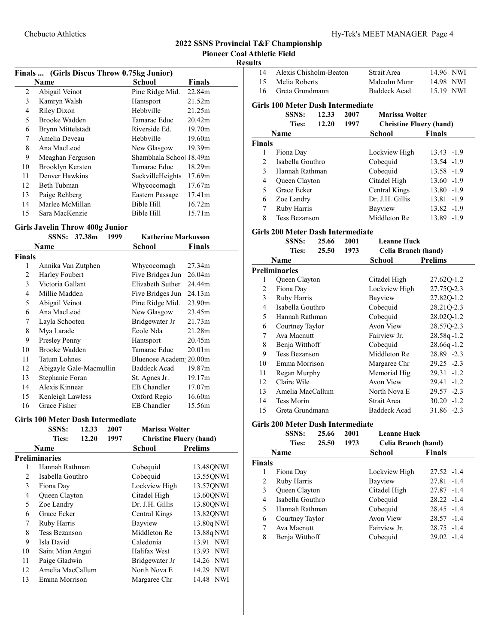# Results

| Finals  (Girls Discus Throw 0.75kg Junior) |                   |                         |                    |  |  |  |
|--------------------------------------------|-------------------|-------------------------|--------------------|--|--|--|
|                                            | Name              | School                  | Finals             |  |  |  |
| 2                                          | Abigail Veinot    | Pine Ridge Mid.         | 22.84m             |  |  |  |
| 3                                          | Kamryn Walsh      | Hantsport               | 21.52m             |  |  |  |
| 4                                          | Riley Dixon       | Hebbville               | 21.25m             |  |  |  |
| 5                                          | Brooke Wadden     | Tamarac Educ            | 20.42 <sub>m</sub> |  |  |  |
| 6                                          | Brynn Mittelstadt | Riverside Ed.           | 19.70m             |  |  |  |
| 7                                          | Amelia Deveau     | Hebbyille               | 19.60m             |  |  |  |
| 8                                          | Ana MacLeod       | New Glasgow             | 19.39 <sub>m</sub> |  |  |  |
| 9                                          | Meaghan Ferguson  | Shambhala School 18.49m |                    |  |  |  |
| 10                                         | Brooklyn Kersten  | Tamarac Educ            | 18.29m             |  |  |  |
| 11                                         | Denver Hawkins    | SackvilleHeights        | 17.69m             |  |  |  |
| 12                                         | Beth Tubman       | Whycocomagh             | 17.67m             |  |  |  |
| 13                                         | Paige Rehberg     | Eastern Passage         | 17.41m             |  |  |  |
| 14                                         | Marlee McMillan   | Bible Hill              | 16.72m             |  |  |  |
| 15                                         | Sara MacKenzie    | Bible Hill              | 15.71m             |  |  |  |

# Girls Javelin Throw 400g Junior

|        | <b>SSNS:</b>       | 37.38m                  | 1999 | <b>Katherine Markusson</b> |                    |
|--------|--------------------|-------------------------|------|----------------------------|--------------------|
|        | Name               |                         |      | School                     | Finals             |
| Finals |                    |                         |      |                            |                    |
| 1      | Annika Van Zutphen |                         |      | Whycocomagh                | 27.34m             |
| 2      | Harley Foubert     |                         |      | Five Bridges Jun           | 26.04m             |
| 3      | Victoria Gallant   |                         |      | Elizabeth Suther           | 24.44m             |
| 4      | Millie Madden      |                         |      | Five Bridges Jun           | 24.13m             |
| 5      | Abigail Veinot     |                         |      | Pine Ridge Mid.            | 23.90m             |
| 6      | Ana MacLeod        |                         |      | New Glasgow                | 23.45m             |
| 7      | Layla Schooten     |                         |      | Bridgewater Jr             | 21.73m             |
| 8      | Mya Larade         |                         |      | École Nda                  | 21.28m             |
| 9      | Presley Penny      |                         |      | Hantsport                  | 20.45m             |
| 10     | Brooke Wadden      |                         |      | Tamarac Educ               | 20.01 <sub>m</sub> |
| 11     | Tatum Lohnes       |                         |      | Bluenose Academ 20.00m     |                    |
| 12     |                    | Abigayle Gale-Macmullin |      | <b>Baddeck Acad</b>        | 19.87m             |
| 13     | Stephanie Foran    |                         |      | St. Agnes Jr.              | 19.17m             |
| 14     | Alexis Kinnear     |                         |      | EB Chandler                | 17.07m             |
| 15     | Kenleigh Lawless   |                         |      | Oxford Regio               | 16.60m             |
| 16     | Grace Fisher       |                         |      | EB Chandler                | 15.56m             |

#### Girls 100 Meter Dash Intermediate

|                | <b>SSNS:</b>         | 12.33 | 2007 | <b>Marissa Wolter</b>          |                     |
|----------------|----------------------|-------|------|--------------------------------|---------------------|
|                | <b>Ties:</b>         | 12.20 | 1997 | <b>Christine Fluery (hand)</b> |                     |
|                | <b>Name</b>          |       |      | School                         | <b>Prelims</b>      |
|                | <b>Preliminaries</b> |       |      |                                |                     |
| 1              | Hannah Rathman       |       |      | Cobequid                       | 13.48QNWI           |
| $\mathfrak{D}$ | Isabella Gouthro     |       |      | Cobequid                       | 13.55QNWI           |
| 3              | Fiona Day            |       |      | Lockview High                  | 13.570NWI           |
| 4              | Queen Clayton        |       |      | Citadel High                   | 13.60QNWI           |
| 5              | Zoe Landry           |       |      | Dr. J.H. Gillis                | 13.80ONWI           |
| 6              | Grace Ecker          |       |      | Central Kings                  | 13.82QNWI           |
| 7              | Ruby Harris          |       |      | Bayview                        | 13.80q NWI          |
| 8              | Tess Bezanson        |       |      | Middleton Re                   | 13.88q NWI          |
| 9              | Isla David           |       |      | Caledonia                      | 13.91 NWI           |
| 10             | Saint Mian Angui     |       |      | Halifax West                   | 13.93 NWI           |
| 11             | Paige Gladwin        |       |      | Bridgewater Jr                 | 14.26 NWI           |
| 12             | Amelia MacCallum     |       |      | North Nova E                   | <b>NWI</b><br>14.29 |
| 13             | Emma Morrison        |       |      | Margaree Chr                   | 14.48 NWI           |

| 14             | Alexis Chisholm-Beaton                   |       |      | Strait Area                    | 14.96 NWI     |  |  |
|----------------|------------------------------------------|-------|------|--------------------------------|---------------|--|--|
| 15             | Melia Roberts                            |       |      | Malcolm Munr                   | 14.98 NWI     |  |  |
| 16             | Greta Grundmann                          |       |      | <b>Baddeck Acad</b>            | 15.19 NWI     |  |  |
|                | <b>Girls 100 Meter Dash Intermediate</b> |       |      |                                |               |  |  |
|                | <b>SSNS:</b>                             | 12.33 | 2007 | Marissa Wolter                 |               |  |  |
|                | Ties:                                    | 12.20 | 1997 | <b>Christine Fluery (hand)</b> |               |  |  |
|                | <b>Name</b>                              |       |      | <b>School</b>                  | <b>Finals</b> |  |  |
| <b>Finals</b>  |                                          |       |      |                                |               |  |  |
| 1              | Fiona Day                                |       |      | Lockview High                  | $13.43 - 1.9$ |  |  |
| $\overline{c}$ | Isabella Gouthro                         |       |      | Cobequid                       | 13.54 -1.9    |  |  |
| 3              | Hannah Rathman                           |       |      | Cobequid                       | 13.58 -1.9    |  |  |
| 4              | Queen Clayton                            |       |      | Citadel High                   | $13.60 - 1.9$ |  |  |
| 5              | Grace Ecker                              |       |      | Central Kings                  | $13.80 - 1.9$ |  |  |
| 6              | Zoe Landry                               |       |      | Dr. J.H. Gillis                | $13.81 - 1.9$ |  |  |
| 7              | Ruby Harris                              |       |      | Bayview                        | $13.82 - 1.9$ |  |  |
| 8              | Tess Bezanson                            |       |      | Middleton Re                   | 13.89 -1.9    |  |  |
|                |                                          |       |      |                                |               |  |  |

#### Girls 200 Meter Dash Intermediate

|                | <b>SSNS:</b><br><b>Ties:</b> | 25.66<br>25.50 | 2001<br>1973 | <b>Leanne Huck</b><br>Celia Branch (hand) |                |
|----------------|------------------------------|----------------|--------------|-------------------------------------------|----------------|
|                | Name                         |                |              | School                                    | <b>Prelims</b> |
|                | Preliminaries                |                |              |                                           |                |
| 1              | Queen Clayton                |                |              | Citadel High                              | 27.62Q-1.2     |
| $\overline{c}$ | Fiona Day                    |                |              | Lockview High                             | 27.75Q-2.3     |
| 3              | Ruby Harris                  |                |              | Bayview                                   | 27.82Q-1.2     |
| 4              | Isabella Gouthro             |                |              | Cobequid                                  | 28.21Q-2.3     |
| 5              | Hannah Rathman               |                |              | Cobequid                                  | 28.02Q-1.2     |
| 6              | Courtney Taylor              |                |              | Avon View                                 | 28.57Q-2.3     |
| 7              | Ava Macnutt                  |                |              | Fairview Jr.                              | $28.58q - 1.2$ |
| 8              | Benja Witthoff               |                |              | Cobequid                                  | $28.66q - 1.2$ |
| 9              | <b>Tess Bezanson</b>         |                |              | Middleton Re                              | 28.89 -2.3     |
| 10             | Emma Morrison                |                |              | Margaree Chr                              | $29.25 -2.3$   |
| 11             | Regan Murphy                 |                |              | Memorial Hig                              | $29.31 - 1.2$  |
| 12             | Claire Wile                  |                |              | Avon View                                 | $29.41 - 1.2$  |
| 13             | Amelia MacCallum             |                |              | North Nova E                              | $29.57 - 2.3$  |
| 14             | <b>Tess Morin</b>            |                |              | Strait Area                               | $30.20 -1.2$   |
| 15             | Greta Grundmann              |                |              | <b>Baddeck Acad</b>                       | 31.86 -2.3     |

#### Girls 200 Meter Dash Intermediate

|               | <b>SSNS:</b>         | 25.66 | 2001 | <b>Leanne Huck</b>  |               |
|---------------|----------------------|-------|------|---------------------|---------------|
|               | Ties:                | 25.50 | 1973 | Celia Branch (hand) |               |
|               | <b>Name</b>          |       |      | School              | <b>Finals</b> |
| <b>Finals</b> |                      |       |      |                     |               |
| 1             | Fiona Day            |       |      | Lockview High       | $27.52 -1.4$  |
| 2             | Ruby Harris          |       |      | Bayview             | $27.81 - 1.4$ |
| 3             | <b>Oueen Clayton</b> |       |      | Citadel High        | $27.87 - 1.4$ |
| 4             | Isabella Gouthro     |       |      | Cobequid            | $28.22 -1.4$  |
| 5             | Hannah Rathman       |       |      | Cobequid            | $28.45 -1.4$  |
| 6             | Courtney Taylor      |       |      | Avon View           | $28.57 -1.4$  |
| 7             | Ava Macnutt          |       |      | Fairview Jr.        | $28.75 - 1.4$ |
| 8             | Benja Witthoff       |       |      | Cobequid            | $29.02 -1.4$  |
|               |                      |       |      |                     |               |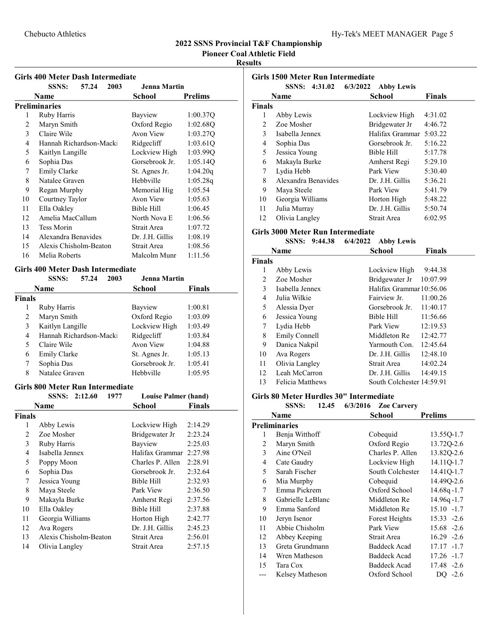# Chebucto Athletics Hy-Tek's MEET MANAGER Page 5

# 2022 SSNS Provincial T&F Championship

Pioneer Coal Athletic Field

# Results

# Girls 400 Meter Dash Intermediate

|    | <b>SSNS:</b>            | 57.24 | 2003 | <b>Jenna Martin</b> |                |
|----|-------------------------|-------|------|---------------------|----------------|
|    | Name                    |       |      | School              | <b>Prelims</b> |
|    | Preliminaries           |       |      |                     |                |
| 1  | Ruby Harris             |       |      | Bayview             | 1:00.37Q       |
| 2  | Maryn Smith             |       |      | Oxford Regio        | 1:02.68Q       |
| 3  | Claire Wile             |       |      | Avon View           | 1:03.27Q       |
| 4  | Hannah Richardson-Macki |       |      | Ridgecliff          | 1:03.61Q       |
| 5  | Kaitlyn Langille        |       |      | Lockview High       | 1:03.99Q       |
| 6  | Sophia Das              |       |      | Gorsebrook Jr.      | 1:05.14O       |
| 7  | Emily Clarke            |       |      | St. Agnes Jr.       | 1:04.20q       |
| 8  | Natalee Graven          |       |      | Hebbyille           | 1:05.28q       |
| 9  | Regan Murphy            |       |      | Memorial Hig        | 1:05.54        |
| 10 | Courtney Taylor         |       |      | Avon View           | 1:05.63        |
| 11 | Ella Oakley             |       |      | Bible Hill          | 1:06.45        |
| 12 | Amelia MacCallum        |       |      | North Nova E        | 1:06.56        |
| 13 | <b>Tess Morin</b>       |       |      | Strait Area         | 1:07.72        |
| 14 | Alexandra Benavides     |       |      | Dr. J.H. Gillis     | 1:08.19        |
| 15 | Alexis Chisholm-Beaton  |       |      | Strait Area         | 1:08.56        |
| 16 | Melia Roberts           |       |      | Malcolm Munr        | 1:11.56        |
|    |                         |       |      |                     |                |

#### Girls 400 Meter Dash Intermediate

|        | <b>SSNS:</b>                            | 57.24 | 2003 | <b>Jenna Martin</b>         |               |
|--------|-----------------------------------------|-------|------|-----------------------------|---------------|
|        | Name                                    |       |      | <b>School</b>               | <b>Finals</b> |
| Finals |                                         |       |      |                             |               |
| 1      | Ruby Harris                             |       |      | Bayview                     | 1:00.81       |
| 2      | Maryn Smith                             |       |      | Oxford Regio                | 1:03.09       |
| 3      | Kaitlyn Langille                        |       |      | Lockview High               | 1:03.49       |
| 4      | Hannah Richardson-Macki                 |       |      | Ridgecliff                  | 1:03.84       |
| 5      | Claire Wile                             |       |      | Avon View                   | 1:04.88       |
| 6      | <b>Emily Clarke</b>                     |       |      | St. Agnes Jr.               | 1:05.13       |
| 7      | Sophia Das                              |       |      | Gorsebrook Jr.              | 1:05.41       |
| 8      | Natalee Graven                          |       |      | Hebbyille                   | 1:05.95       |
|        | <b>Girls 800 Meter Run Intermediate</b> |       |      |                             |               |
|        | SSNS: 2:12.60                           |       | 1977 | <b>Louise Palmer (hand)</b> |               |
|        | Name                                    |       |      | <b>School</b>               | <b>Finals</b> |
| Finals |                                         |       |      |                             |               |
| 1      | Abby Lewis                              |       |      | Lockview High               | 2:14.29       |
| 2      | Zoe Mosher                              |       |      | Bridgewater Jr              | 2:23.24       |
| 3      | Ruby Harris                             |       |      | Bayview                     | 2:25.03       |
| 4      | Isabella Jennex                         |       |      | Halifax Grammar             | 2:27.98       |
| 5      | Poppy Moon                              |       |      | Charles P. Allen            | 2:28.91       |
| 6      | Sophia Das                              |       |      | Gorsebrook Jr.              | 2:32.64       |
| 7      | Jessica Young                           |       |      | Bible Hill                  | 2:32.93       |
| 8      | Maya Steele                             |       |      | Park View                   | 2:36.50       |
| 9      | Makayla Burke                           |       |      | Amherst Regi                | 2:37.56       |
| 10     | Ella Oakley                             |       |      | <b>Bible Hill</b>           | 2:37.88       |
| 11     | Georgia Williams                        |       |      | Horton High                 | 2:42.77       |
| 12     | Ava Rogers                              |       |      | Dr. J.H. Gillis             | 2:45.23       |

13 Alexis Chisholm-Beaton Strait Area 2:56.01 14 Olivia Langley Strait Area 2:57.15

| Girls 1500 Meter Run Intermediate |                     |                               |               |  |  |
|-----------------------------------|---------------------|-------------------------------|---------------|--|--|
|                                   | SSNS: 4:31.02       | 6/3/2022<br><b>Abby Lewis</b> |               |  |  |
|                                   | Name                | School                        | <b>Finals</b> |  |  |
| Finals                            |                     |                               |               |  |  |
| 1                                 | Abby Lewis          | Lockview High                 | 4:31.02       |  |  |
| 2                                 | Zoe Mosher          | Bridgewater Jr                | 4:46.72       |  |  |
| 3                                 | Isabella Jennex     | Halifax Grammar               | 5:03.22       |  |  |
| 4                                 | Sophia Das          | Gorsebrook Jr.                | 5:16.22       |  |  |
| 5                                 | Jessica Young       | Bible Hill                    | 5:17.78       |  |  |
| 6                                 | Makayla Burke       | Amherst Regi                  | 5:29.10       |  |  |
| 7                                 | Lydia Hebb          | Park View                     | 5:30.40       |  |  |
| 8                                 | Alexandra Benavides | Dr. J.H. Gillis               | 5:36.21       |  |  |
| 9                                 | Maya Steele         | Park View                     | 5:41.79       |  |  |
| 10                                | Georgia Williams    | Horton High                   | 5:48.22       |  |  |
| 11                                | Julia Murray        | Dr. J.H. Gillis               | 5:50.74       |  |  |
| 12                                | Olivia Langley      | Strait Area                   | 6:02.95       |  |  |
|                                   |                     |                               |               |  |  |

#### Girls 3000 Meter Run Intermediate

|               | <b>SSNS:</b><br>9:44.38 | 6/4/2022<br><b>Abby Lewis</b> |               |
|---------------|-------------------------|-------------------------------|---------------|
|               | <b>Name</b>             | School                        | <b>Finals</b> |
| <b>Finals</b> |                         |                               |               |
| 1             | Abby Lewis              | Lockview High                 | 9:44.38       |
| 2             | Zoe Mosher              | Bridgewater Jr                | 10:07.99      |
| 3             | Isabella Jennex         | Halifax Grammar 10:56.06      |               |
| 4             | Julia Wilkie            | Fairview Jr.                  | 11:00.26      |
| 5             | Alessia Dyer            | Gorsebrook Jr.                | 11:40.17      |
| 6             | Jessica Young           | Bible Hill                    | 11:56.66      |
| 7             | Lydia Hebb              | Park View                     | 12:19.53      |
| 8             | Emily Connell           | Middleton Re                  | 12:42.77      |
| 9             | Danica Nakpil           | Yarmouth Con.                 | 12:45.64      |
| 10            | Ava Rogers              | Dr. J.H. Gillis               | 12:48.10      |
| 11            | Olivia Langley          | Strait Area                   | 14:02.24      |
| 12            | Leah McCarron           | Dr. J.H. Gillis               | 14:49.15      |
| 13            | Felicia Matthews        | South Colchester 14:59.91     |               |

# Girls 80 Meter Hurdles  $30"$  Intermediate<br>SSNS:  $12.45 \t6^{3/2016}$  Zee G

|    | SSNS:<br>12.45    | 6/3/2016<br><b>Zoe Carvery</b> |                |
|----|-------------------|--------------------------------|----------------|
|    | Name              | School                         | <b>Prelims</b> |
|    | Preliminaries     |                                |                |
| 1  | Benja Witthoff    | Cobequid                       | 13.55Q-1.7     |
| 2  | Maryn Smith       | Oxford Regio                   | 13.72Q-2.6     |
| 3  | Aine O'Neil       | Charles P. Allen               | 13.82Q-2.6     |
| 4  | Cate Gaudry       | Lockview High                  | 14.11Q-1.7     |
| 5  | Sarah Fischer     | South Colchester               | 14.41Q-1.7     |
| 6  | Mia Murphy        | Cobequid                       | 14.49Q-2.6     |
| 7  | Emma Pickrem      | Oxford School                  | $14.68q - 1.7$ |
| 8  | Gabrielle LeBlanc | Middleton Re                   | 14.96q-1.7     |
| 9  | Emma Sanford      | Middleton Re                   | $15.10 - 1.7$  |
| 10 | Jeryn Isenor      | Forest Heights                 | $15.33 - 2.6$  |
| 11 | Abbie Chisholm    | Park View                      | 15.68 -2.6     |
| 12 | Abbey Keeping     | Strait Area                    | $16.29 -2.6$   |
| 13 | Greta Grundmann   | <b>Baddeck Acad</b>            | $17.17 - 1.7$  |
| 14 | Wren Matheson     | Baddeck Acad                   | 17.26 -1.7     |
| 15 | Tara Cox          | Baddeck Acad                   | 17.48 -2.6     |
|    | Kelsey Matheson   | Oxford School                  | DQ $-2.6$      |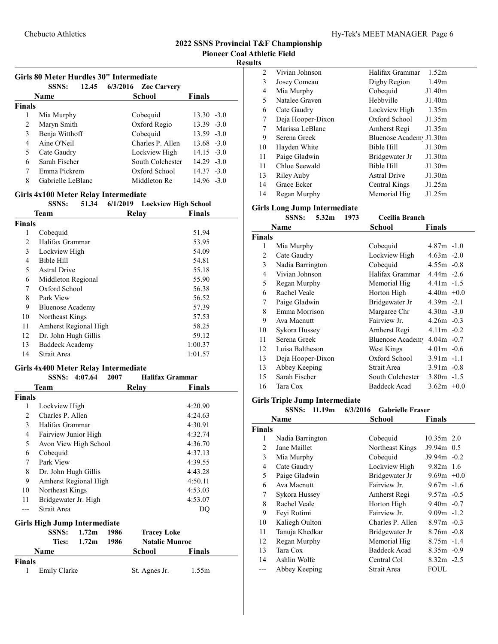#### Girls 80 Meter Hurdles 30" Intermediate

|               | 12.45<br><b>SSNS:</b> | $6/3/2016$ Zoe Carvery |               |
|---------------|-----------------------|------------------------|---------------|
|               | Name                  | <b>School</b>          | <b>Finals</b> |
| <b>Finals</b> |                       |                        |               |
|               | Mia Murphy            | Cobequid               | $13.30 - 3.0$ |
| 2             | Maryn Smith           | Oxford Regio           | $13.39 - 3.0$ |
| 3             | Benja Witthoff        | Cobequid               | $13.59 - 3.0$ |
| 4             | Aine O'Neil           | Charles P. Allen       | $13.68 - 3.0$ |
| 5             | Cate Gaudry           | Lockview High          | $14.15 - 3.0$ |
| 6             | Sarah Fischer         | South Colchester       | $14.29 - 3.0$ |
| 7             | Emma Pickrem          | Oxford School          | $14.37 - 3.0$ |
| 8             | Gabrielle LeBlanc     | Middleton Re           | $14.96 - 3.0$ |
|               |                       |                        |               |

# Girls 4x100 Meter Relay Intermediate

|               | <b>SSNS:</b>            | 51.34 | 6/1/2019 | <b>Lockview High School</b> |
|---------------|-------------------------|-------|----------|-----------------------------|
|               | Team                    |       | Relay    | <b>Finals</b>               |
| <b>Finals</b> |                         |       |          |                             |
| 1             | Cobequid                |       |          | 51.94                       |
| 2             | Halifax Grammar         |       |          | 53.95                       |
| 3             | Lockview High           |       |          | 54.09                       |
| 4             | Bible Hill              |       |          | 54.81                       |
| 5             | <b>Astral Drive</b>     |       |          | 55.18                       |
| 6             | Middleton Regional      |       |          | 55.90                       |
| 7             | Oxford School           |       |          | 56.38                       |
| 8             | Park View               |       |          | 56.52                       |
| 9             | <b>Bluenose Academy</b> |       |          | 57.39                       |
| 10            | Northeast Kings         |       |          | 57.53                       |
| 11            | Amherst Regional High   |       |          | 58.25                       |
| 12            | Dr. John Hugh Gillis    |       |          | 59.12                       |
| 13            | Baddeck Academy         |       |          | 1:00.37                     |
| 14            | Strait Area             |       |          | 1:01.57                     |
|               |                         |       |          |                             |

#### Girls 4x400 Meter Relay Intermediate

|               | <b>SSNS:</b>                 | 4:07.64           | 2007 | <b>Halifax Grammar</b> |         |
|---------------|------------------------------|-------------------|------|------------------------|---------|
|               | Team                         |                   |      | Relay                  | Finals  |
| <b>Finals</b> |                              |                   |      |                        |         |
| 1             | Lockview High                |                   |      |                        | 4:20.90 |
| 2             | Charles P. Allen             |                   |      |                        | 4:24.63 |
| 3             | Halifax Grammar              |                   |      |                        | 4:30.91 |
| 4             | Fairview Junior High         |                   |      |                        | 4:32.74 |
| 5             | Avon View High School        |                   |      |                        | 4:36.70 |
| 6             | Cobequid                     |                   |      |                        | 4:37.13 |
| 7             | Park View                    |                   |      |                        | 4:39.55 |
| 8             | Dr. John Hugh Gillis         |                   |      |                        | 4:43.28 |
| 9             | Amherst Regional High        |                   |      |                        | 4:50.11 |
| 10            | Northeast Kings              |                   |      |                        | 4:53.03 |
| 11            | Bridgewater Jr. High         |                   |      |                        | 4:53.07 |
|               | Strait Area                  |                   |      |                        | DO      |
|               | Girls High Jump Intermediate |                   |      |                        |         |
|               | SSNS:                        | 1.72 <sub>m</sub> | 1986 | <b>Tracey Loke</b>     |         |
|               | Ties:                        | 1.72 <sub>m</sub> | 1986 | <b>Natalie Munroe</b>  |         |
|               | Name                         |                   |      | School                 | Finals  |
| <b>Finals</b> |                              |                   |      |                        |         |
| 1             | Emily Clarke                 |                   |      | St. Agnes Jr.          | 1.55m   |

| $\overline{2}$ | Vivian Johnson    | Halifax Grammar        | 1.52m             |
|----------------|-------------------|------------------------|-------------------|
| 3              | Josey Comeau      | Digby Region           | 1.49 <sub>m</sub> |
| 4              | Mia Murphy        | Cobequid               | J1.40m            |
| 5              | Natalee Graven    | Hebbyille              | J1.40m            |
| 6              | Cate Gaudry       | Lockview High          | 1.35m             |
| 7              | Deja Hooper-Dixon | Oxford School          | J1.35m            |
| 7              | Marissa LeBlanc   | Amherst Regi           | J1.35m            |
| 9              | Serena Greek      | Bluenose Academ J1.30m |                   |
| 10             | Hayden White      | <b>Bible Hill</b>      | J1.30m            |
| 11             | Paige Gladwin     | Bridgewater Jr         | J1.30m            |
| 11             | Chloe Seewald     | Bible Hill             | J1.30m            |
| 13             | Riley Auby        | <b>Astral Drive</b>    | J1.30m            |
| 14             | Grace Ecker       | Central Kings          | J1.25m            |
| 14             | Regan Murphy      | Memorial Hig           | J1.25m            |

#### Girls Long Jump Intermediate

SSNS: 5.32m 1973 Cecilia Branch

|                | Name              | School           | <b>Finals</b> |
|----------------|-------------------|------------------|---------------|
| <b>Finals</b>  |                   |                  |               |
| 1              | Mia Murphy        | Cobequid         | $4.87m - 1.0$ |
| $\overline{c}$ | Cate Gaudry       | Lockview High    | $4.63m -2.0$  |
| 3              | Nadia Barrington  | Cobequid         | $4.55m - 0.8$ |
| 4              | Vivian Johnson    | Halifax Grammar  | $4.44m - 2.6$ |
| 5              | Regan Murphy      | Memorial Hig     | $4.41m - 1.5$ |
| 6              | Rachel Veale      | Horton High      | $4.40m +0.0$  |
| 7              | Paige Gladwin     | Bridgewater Jr   | $4.39m -2.1$  |
| 8              | Emma Morrison     | Margaree Chr     | $4.30m - 3.0$ |
| 9              | Ava Macnutt       | Fairview Jr.     | $4.26m - 0.3$ |
| 10             | Sykora Hussey     | Amherst Regi     | $4.11m - 0.2$ |
| 11             | Serena Greek      | Bluenose Academ  | $4.04m - 0.7$ |
| 12             | Luisa Baltheson   | West Kings       | $4.01m - 0.6$ |
| 13             | Deja Hooper-Dixon | Oxford School    | $3.91m -1.1$  |
| 13             | Abbey Keeping     | Strait Area      | $3.91m - 0.8$ |
| 15             | Sarah Fischer     | South Colchester | $3.80m -1.5$  |
| 16             | Tara Cox          | Baddeck Acad     | $3.62m + 0.0$ |

# Girls Triple J

|               | Girls Triple Jump Intermediate<br>SSNS: 11.19m | 6/3/2016<br><b>Gabrielle Fraser</b> |               |
|---------------|------------------------------------------------|-------------------------------------|---------------|
|               | Name                                           | School                              | Finals        |
| <b>Finals</b> |                                                |                                     |               |
| 1             | Nadia Barrington                               | Cobequid                            | $10.35m$ 2.0  |
| 2             | Jane Maillet                                   | Northeast Kings                     | J9.94m 0.5    |
| 3             | Mia Murphy                                     | Cobequid                            | J9.94m -0.2   |
| 4             | Cate Gaudry                                    | Lockview High                       | $9.82m$ 1.6   |
| 5             | Paige Gladwin                                  | Bridgewater Jr                      | $9.69m +0.0$  |
| 6             | Ava Macnutt                                    | Fairview Jr.                        | $9.67m -1.6$  |
| 7             | Sykora Hussey                                  | Amherst Regi                        | $9.57m - 0.5$ |
| 8             | Rachel Veale                                   | Horton High                         | $9.40m - 0.7$ |
| 9             | Feyi Rotimi                                    | Fairview Jr.                        | $9.09m -1.2$  |
| 10            | Kaliegh Oulton                                 | Charles P. Allen                    | $8.97m - 0.3$ |
| 11            | Tanuja Khedkar                                 | Bridgewater Jr                      | $8.76m - 0.8$ |
| 12            | Regan Murphy                                   | Memorial Hig                        | $8.75m - 1.4$ |
| 13            | Tara Cox                                       | <b>Baddeck Acad</b>                 | $8.35m -0.9$  |
| 14            | Ashlin Wolfe                                   | Central Col                         | $8.32m -2.5$  |
| ---           | Abbey Keeping                                  | Strait Area                         | FOUL          |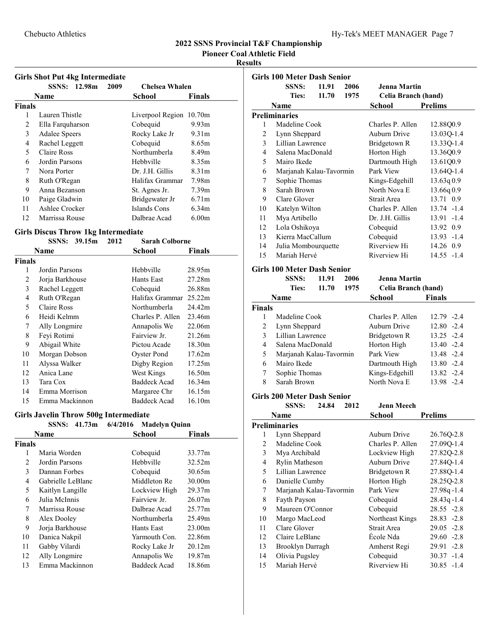Pioneer Coal Athletic Field

# Results

|  |  | <b>Girls Shot Put 4kg Intermediate</b> |
|--|--|----------------------------------------|
|  |  |                                        |

|        | <b>SSNS:</b>         | 12.98m | 2009 | <b>Chelsea Whalen</b>   |                   |
|--------|----------------------|--------|------|-------------------------|-------------------|
|        | Name                 |        |      | School                  | Finals            |
| Finals |                      |        |      |                         |                   |
| 1      | Lauren Thistle       |        |      | Liverpool Region 10.70m |                   |
| 2      | Ella Farquharson     |        |      | Cobequid                | 9.93 <sub>m</sub> |
| 3      | <b>Adalee Speers</b> |        |      | Rocky Lake Jr           | 9.31 <sub>m</sub> |
| 4      | Rachel Leggett       |        |      | Cobequid                | 8.65m             |
| 5      | Claire Ross          |        |      | Northumberla            | 8.49m             |
| 6      | Jordin Parsons       |        |      | Hebbville               | 8.35m             |
| 7      | Nora Porter          |        |      | Dr. J.H. Gillis         | 8.31 <sub>m</sub> |
| 8      | Ruth O'Regan         |        |      | Halifax Grammar         | 7.98m             |
| 9      | Anna Bezanson        |        |      | St. Agnes Jr.           | 7.39 <sub>m</sub> |
| 10     | Paige Gladwin        |        |      | Bridgewater Jr          | 6.71 <sub>m</sub> |
| 11     | Ashlee Crocker       |        |      | Islands Cons            | 6.34m             |
| 12     | Marrissa Rouse       |        |      | Dalbrae Acad            | 6.00 <sub>m</sub> |

#### Girls Discus Throw 1kg Intermediate

|        | 2012<br><b>SSNS:</b><br>39.15m | <b>Sarah Colborne</b> |               |
|--------|--------------------------------|-----------------------|---------------|
|        | Name                           | School                | <b>Finals</b> |
| Finals |                                |                       |               |
| 1      | Jordin Parsons                 | Hebbville             | 28.95m        |
| 2      | Jorja Barkhouse                | Hants East            | 27.28m        |
| 3      | Rachel Leggett                 | Cobequid              | 26.88m        |
| 4      | Ruth O'Regan                   | Halifax Grammar       | 25.22m        |
| 5      | Claire Ross                    | Northumberla          | 24.42m        |
| 6      | Heidi Kelmm                    | Charles P. Allen      | 23.46m        |
| 7      | Ally Longmire                  | Annapolis We          | 22.06m        |
| 8      | Feyi Rotimi                    | Fairview Jr.          | 21.26m        |
| 9      | Abigail White                  | Pictou Acade          | 18.30m        |
| 10     | Morgan Dobson                  | Oyster Pond           | 17.62m        |
| 11     | Alyssa Walker                  | Digby Region          | 17.25m        |
| 12     | Anica Lane                     | West Kings            | 16.50m        |
| 13     | Tara Cox                       | <b>Baddeck Acad</b>   | 16.34m        |
| 14     | Emma Morrison                  | Margaree Chr          | 16.15m        |
| 15     | Emma Mackinnon                 | <b>Baddeck Acad</b>   | 16.10m        |

# Girls Javelin Throw 500g Intermediate

|        | 41.73m<br>SSNS:   | 6/4/2016 Madelyn Quinn |                    |
|--------|-------------------|------------------------|--------------------|
|        | Name              | <b>School</b>          | <b>Finals</b>      |
| Finals |                   |                        |                    |
|        | Maria Worden      | Cobequid               | 33.77m             |
| 2      | Jordin Parsons    | Hebbville              | 32.52m             |
| 3      | Dannan Forbes     | Cobequid               | 30.65m             |
| 4      | Gabrielle LeBlanc | Middleton Re           | 30.00m             |
| 5      | Kaitlyn Langille  | Lockview High          | 29.37 <sub>m</sub> |
| 6      | Julia McInnis     | Fairview Jr.           | 26.07m             |
| 7      | Marrissa Rouse    | Dalbrae Acad           | 25.77m             |
| 8      | Alex Dooley       | Northumberla           | 25.49m             |
| 9      | Jorja Barkhouse   | Hants East             | 23.00 <sub>m</sub> |
| 10     | Danica Nakpil     | Yarmouth Con.          | 22.86m             |
| 11     | Gabby Vilardi     | Rocky Lake Jr          | 20.12m             |
| 12     | Ally Longmire     | Annapolis We           | 19.87m             |
| 13     | Emma Mackinnon    | <b>Baddeck Acad</b>    | 18.86m             |

|                          | Girls 100 Meter Dash Senior |       |      |                     |                |
|--------------------------|-----------------------------|-------|------|---------------------|----------------|
|                          | <b>SSNS:</b>                | 11.91 | 2006 | Jenna Martin        |                |
|                          | <b>Ties:</b>                | 11.70 | 1975 | Celia Branch (hand) |                |
|                          | Name                        |       |      | School              | <b>Prelims</b> |
|                          | Preliminaries               |       |      |                     |                |
| 1                        | Madeline Cook               |       |      | Charles P. Allen    | 12.88Q0.9      |
| $\overline{c}$           | Lynn Sheppard               |       |      | Auburn Drive        | 13.03Q-1.4     |
| 3                        | Lillian Lawrence            |       |      | Bridgetown R        | 13.33Q-1.4     |
| 4                        | Salena MacDonald            |       |      | Horton High         | 13.36Q0.9      |
| $\overline{\phantom{0}}$ | Mairo Ikede                 |       |      | Dartmouth High      | 13.61Q0.9      |
| 6                        | Marjanah Kalau-Tavormin     |       |      | Park View           | 13.64Q-1.4     |
| 7                        | Sophie Thomas               |       |      | Kings-Edgehill      | 13.63q0.9      |
| 8                        | Sarah Brown                 |       |      | North Nova E        | 13.66q0.9      |
| 9                        | Clare Glover                |       |      | Strait Area         | 13.71 0.9      |
| 10                       | Katelyn Wilton              |       |      | Charles P. Allen    | 13.74 -1.4     |
| 11                       | Mya Artibello               |       |      | Dr. J.H. Gillis     | $13.91 - 1.4$  |
| 12                       | Lola Oshikoya               |       |      | Cobequid            | 13.92 0.9      |
| 13                       | Kierra MacCallum            |       |      | Cobequid            | $13.93 - 1.4$  |
| 14                       | Julia Mombourquette         |       |      | Riverview Hi        | 14.26 0.9      |
| 15                       | Mariah Hervé                |       |      | Riverview Hi        | $14.55 - 1.4$  |
|                          |                             |       |      |                     |                |

# Girls 100 Meter Dash Senior

|        | <b>SSNS:</b>            | 11.91         | 2006 | Jenna Martin        |               |
|--------|-------------------------|---------------|------|---------------------|---------------|
|        | <b>Ties:</b>            | 11.70<br>1975 |      | Celia Branch (hand) |               |
|        | <b>Name</b>             |               |      | School              | <b>Finals</b> |
| Finals |                         |               |      |                     |               |
|        | Madeline Cook           |               |      | Charles P. Allen    | 12.79 -2.4    |
| 2      | Lynn Sheppard           |               |      | Auburn Drive        | $12.80 - 2.4$ |
| 3      | Lillian Lawrence        |               |      | Bridgetown R        | $13.25 - 2.4$ |
| 4      | Salena MacDonald        |               |      | Horton High         | $13.40 -2.4$  |
| 5      | Marjanah Kalau-Tavormin |               |      | Park View           | $13.48 - 2.4$ |
| 6      | Mairo Ikede             |               |      | Dartmouth High      | $13.80 - 2.4$ |
| 7      | Sophie Thomas           |               |      | Kings-Edgehill      | $13.82 - 2.4$ |
| 8      | Sarah Brown             |               |      | North Nova E        | 13.98 -2.4    |
|        |                         |               |      |                     |               |

#### Girls 200 Meter Dash Senior

SSNS: 24.84 2012 Jenn Meech

|                | Name                    | School           | <b>Prelims</b> |
|----------------|-------------------------|------------------|----------------|
|                | Preliminaries           |                  |                |
| 1              | Lynn Sheppard           | Auburn Drive     | 26.76Q-2.8     |
| $\overline{c}$ | Madeline Cook           | Charles P. Allen | 27.090-1.4     |
| 3              | Mya Archibald           | Lockview High    | 27.82Q-2.8     |
| 4              | <b>Rylin Matheson</b>   | Auburn Drive     | 27.84O-1.4     |
| 5              | Lillian Lawrence        | Bridgetown R     | 27.880-1.4     |
| 6              | Danielle Cumby          | Horton High      | 28.250-2.8     |
| 7              | Marjanah Kalau-Tavormin | Park View        | $27.98q - 1.4$ |
| 8              | Fayth Payson            | Cobequid         | $28.43q - 1.4$ |
| 9              | Maureen O'Connor        | Cobequid         | $28.55 - 2.8$  |
| 10             | Margo MacLeod           | Northeast Kings  | $28.83 - 2.8$  |
| 11             | Clare Glover            | Strait Area      | $29.05 -2.8$   |
| 12             | Claire LeBlanc          | École Nda        | $29.60 -2.8$   |
| 13             | Brooklyn Darragh        | Amherst Regi     | $29.91 -2.8$   |
| 14             | Olivia Pugsley          | Cobequid         | $30.37 - 1.4$  |
| 15             | Mariah Hervé            | Riverview Hi     | $30.85 - 1.4$  |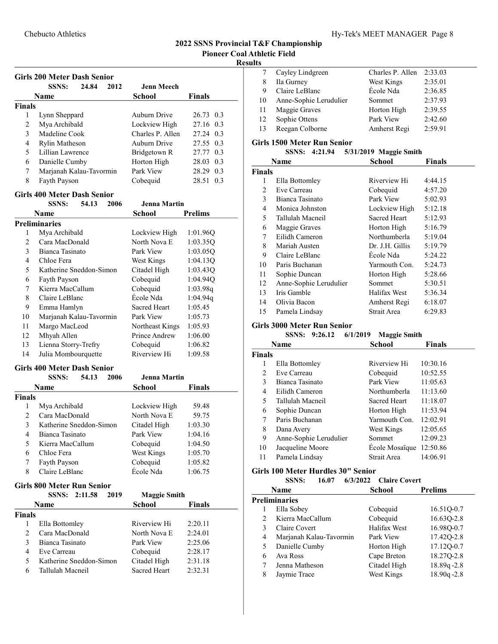# Results

|  |  | Hy-Tek's MEET MANAGER Page 8 |  |  |
|--|--|------------------------------|--|--|
|--|--|------------------------------|--|--|

|    | Cayley Lindgreen       | Charles P. Allen | 2:33.03 |
|----|------------------------|------------------|---------|
| 8  | Ila Gurney             | West Kings       | 2:35.01 |
| 9  | Claire LeBlanc         | École Nda        | 2:36.85 |
| 10 | Anne-Sophie Lerudulier | Sommet           | 2:37.93 |
| 11 | Maggie Graves          | Horton High      | 2:39.55 |
| 12 | Sophie Ottens          | Park View        | 2:42.60 |
| 13 | Reegan Colborne        | Amherst Regi     | 2:59.91 |
|    |                        |                  |         |

# Girls 1500 Meter Run Senior

|               | 4:21.94<br><b>SSNS:</b> | 5/31/2019 Maggie Smith |               |
|---------------|-------------------------|------------------------|---------------|
|               | Name                    | School                 | <b>Finals</b> |
| <b>Finals</b> |                         |                        |               |
| 1             | Ella Bottomley          | Riverview Hi           | 4:44.15       |
| 2             | Eve Carreau             | Cobequid               | 4:57.20       |
| 3             | Bianca Tasinato         | Park View              | 5:02.93       |
| 4             | Monica Johnston         | Lockview High          | 5:12.18       |
| 5             | Tallulah Macneil        | <b>Sacred Heart</b>    | 5:12.93       |
| 6             | Maggie Graves           | Horton High            | 5:16.79       |
| 7             | Eilidh Cameron          | Northumberla           | 5:19.04       |
| 8             | Mariah Austen           | Dr. J.H. Gillis        | 5:19.79       |
| 9             | Claire LeBlanc          | École Nda              | 5:24.22       |
| 10            | Paris Buchanan          | Yarmouth Con.          | 5:24.73       |
| 11            | Sophie Duncan           | Horton High            | 5:28.66       |
| 12            | Anne-Sophie Lerudulier  | Sommet                 | 5:30.51       |
| 13            | Iris Gamble             | Halifax West           | 5:36.34       |
| 14            | Olivia Bacon            | Amherst Regi           | 6:18.07       |
| 15            | Pamela Lindsay          | Strait Area            | 6:29.83       |

#### Girls 3000 Meter Run Senior

|               | <b>SSNS:</b>           | 9:26.12 | 6/1/2019 | <b>Maggie Smith</b> |               |
|---------------|------------------------|---------|----------|---------------------|---------------|
|               | Name                   |         |          | School              | <b>Finals</b> |
| <b>Finals</b> |                        |         |          |                     |               |
| 1             | Ella Bottomley         |         |          | Riverview Hi        | 10:30.16      |
| 2             | Eve Carreau            |         |          | Cobequid            | 10:52.55      |
| 3             | Bianca Tasinato        |         |          | Park View           | 11:05.63      |
| 4             | Eilidh Cameron         |         |          | Northumberla        | 11:13.60      |
| 5             | Tallulah Macneil       |         |          | Sacred Heart        | 11:18.07      |
| 6             | Sophie Duncan          |         |          | Horton High         | 11:53.94      |
| 7             | Paris Buchanan         |         |          | Yarmouth Con.       | 12:02.91      |
| 8             | Dana Avery             |         |          | West Kings          | 12:05.65      |
| 9             | Anne-Sophie Lerudulier |         |          | Sommet              | 12:09.23      |
| 10            | Jacqueline Moore       |         |          | Ecole Mosaïque      | 12:50.86      |
| 11            | Pamela Lindsay         |         |          | Strait Area         | 14:06.91      |

# Girls 100 Meter Hurdles 30" Senior

| <b>SSNS:</b> | 16.07 | 6/3/2022 Claire Covert |
|--------------|-------|------------------------|
|              |       |                        |

|              | Name                    | School       | <b>Prelims</b> |
|--------------|-------------------------|--------------|----------------|
|              | <b>Preliminaries</b>    |              |                |
|              | Ella Sobey              | Cobequid     | 16.51Q-0.7     |
|              | Kierra MacCallum        | Cobequid     | 16.630-2.8     |
| $\mathbf{3}$ | Claire Covert           | Halifax West | 16.980-0.7     |
| 4            | Marjanah Kalau-Tavormin | Park View    | 17.42Q-2.8     |
| 5            | Danielle Cumby          | Horton High  | 17.12Q-0.7     |
| 6            | Ava Ross                | Cape Breton  | 18.27Q-2.8     |
|              | Jenna Matheson          | Citadel High | 18.89q-2.8     |
| 8            | Jaymie Trace            | West Kings   | $18.90q - 2.8$ |

|                | <b>SSNS:</b><br>24.84                                        | 2012 | <b>Jenn Meech</b>             |                    |     |
|----------------|--------------------------------------------------------------|------|-------------------------------|--------------------|-----|
|                | Name                                                         |      | <b>School</b>                 | <b>Finals</b>      |     |
| <b>Finals</b>  |                                                              |      |                               |                    |     |
| 1              | Lynn Sheppard                                                |      | Auburn Drive                  | 26.73              | 0.3 |
| $\overline{c}$ | Mya Archibald                                                |      | Lockview High                 | 27.16              | 0.3 |
| 3              | Madeline Cook                                                |      | Charles P. Allen              | 27.24              | 0.3 |
| 4              | Rylin Matheson                                               |      | <b>Auburn Drive</b>           | 27.55              | 0.3 |
| 5              | Lillian Lawrence                                             |      | Bridgetown R                  | 27.77              | 0.3 |
| 6              | Danielle Cumby                                               |      | Horton High                   | 28.03              | 0.3 |
| 7              | Marjanah Kalau-Tavormin                                      |      | Park View                     | 28.29              | 0.3 |
| 8              | Fayth Payson                                                 |      | Cobequid                      | 28.51              | 0.3 |
|                | <b>Girls 400 Meter Dash Senior</b>                           |      |                               |                    |     |
|                | <b>SSNS:</b><br>54.13                                        | 2006 | <b>Jenna Martin</b>           |                    |     |
|                | Name                                                         |      | <b>School</b>                 | <b>Prelims</b>     |     |
|                | <b>Preliminaries</b>                                         |      |                               |                    |     |
| 1              | Mya Archibald                                                |      | Lockview High                 | 1:01.96Q           |     |
| $\overline{c}$ | Cara MacDonald                                               |      | North Nova E                  | 1:03.35Q           |     |
| 3              | Bianca Tasinato                                              |      | Park View                     | 1:03.05Q           |     |
| $\overline{4}$ | Chloe Fera                                                   |      | West Kings                    | 1:04.13Q           |     |
| 5              | Katherine Sneddon-Simon                                      |      | Citadel High                  | 1:03.43Q           |     |
| 6              | Fayth Payson                                                 |      | Cobequid                      | 1:04.94Q           |     |
| 7              | Kierra MacCallum                                             |      | Cobequid                      | 1:03.98q           |     |
| 8              | Claire LeBlanc                                               |      | École Nda                     | 1:04.94q           |     |
| 9              | Emma Hamlyn                                                  |      | Sacred Heart                  | 1:05.45            |     |
| 10             | Marjanah Kalau-Tavormin                                      |      | Park View                     | 1:05.73            |     |
| 11             | Margo MacLeod                                                |      | Northeast Kings               | 1:05.93            |     |
| 12             | Mhyah Allen                                                  |      | Prince Andrew                 | 1:06.00            |     |
| 13             | Lienna Storry-Trefry                                         |      | Cobequid                      | 1:06.82            |     |
| 14             | Julia Mombourquette                                          |      | Riverview Hi                  | 1:09.58            |     |
|                | <b>Girls 400 Meter Dash Senior</b><br><b>SSNS:</b><br>54.13  | 2006 | <b>Jenna Martin</b>           |                    |     |
|                | <b>Name</b>                                                  |      |                               |                    |     |
| <b>Finals</b>  |                                                              |      | <b>School</b>                 | <b>Finals</b>      |     |
| 1              | Mya Archibald                                                |      |                               |                    |     |
| $\overline{2}$ | Cara MacDonald                                               |      | Lockview High<br>North Nova E | 59.48<br>59.75     |     |
| 3              | Katherine Sneddon-Simon                                      |      | Citadel High                  | 1:03.30            |     |
| 4              | Bianca Tasinato                                              |      |                               |                    |     |
| 5              | Kierra MacCallum                                             |      | Park View                     | 1:04.16<br>1:04.50 |     |
| 6              | Chloe Fera                                                   |      | Cobequid<br>West Kings        | 1:05.70            |     |
| 7              |                                                              |      | Cobequid                      |                    |     |
| 8              | Fayth Payson<br>Claire LeBlanc                               |      | École Nda                     | 1:05.82<br>1:06.75 |     |
|                |                                                              |      |                               |                    |     |
|                | <b>Girls 800 Meter Run Senior</b><br><b>SSNS:</b><br>2:11.58 | 2019 | <b>Maggie Smith</b>           |                    |     |
|                | Name                                                         |      | School                        | Finals             |     |
| <b>Finals</b>  |                                                              |      |                               |                    |     |
| 1              | Ella Bottomley                                               |      | Riverview Hi                  | 2:20.11            |     |
| $\overline{c}$ | Cara MacDonald                                               |      | North Nova E                  | 2:24.01            |     |
| 3              | Bianca Tasinato                                              |      | Park View                     | 2:25.06            |     |
| 4              | Eve Carreau                                                  |      | Cobequid                      | 2:28.17            |     |
|                |                                                              |      |                               |                    |     |
| 5              | Katherine Sneddon-Simon                                      |      | Citadel High                  | 2:31.18            |     |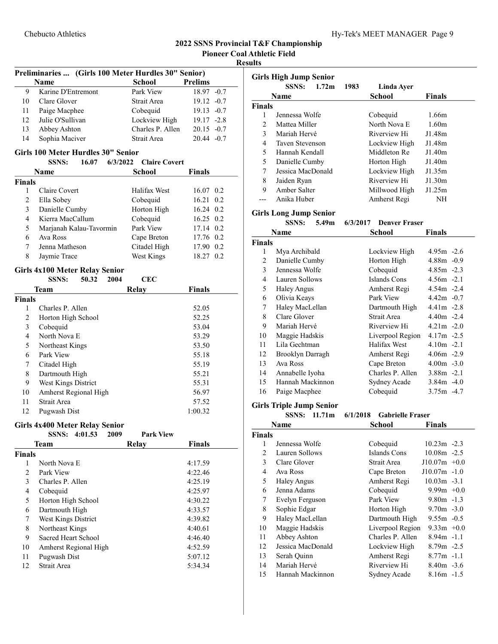Pioneer Coal Athletic Field

Results

| Preliminaries  (Girls 100 Meter Hurdles 30" Senior) |                                                                  |                      |                |     |  |  |  |
|-----------------------------------------------------|------------------------------------------------------------------|----------------------|----------------|-----|--|--|--|
|                                                     | Name                                                             | <b>School</b>        | <b>Prelims</b> |     |  |  |  |
| 9                                                   | Karine D'Entremont                                               | Park View            | $18.97 - 0.7$  |     |  |  |  |
| 10                                                  | Clare Glover                                                     | Strait Area          | $19.12 -0.7$   |     |  |  |  |
| 11                                                  | Paige Macphee                                                    | Cobequid             | $19.13 -0.7$   |     |  |  |  |
| 12                                                  | Julie O'Sullivan                                                 | Lockview High        | $19.17 - 2.8$  |     |  |  |  |
| 13                                                  | Abbey Ashton                                                     | Charles P. Allen     | $20.15 -0.7$   |     |  |  |  |
| 14                                                  | Sophia Maciver                                                   | Strait Area          | $20.44 - 0.7$  |     |  |  |  |
|                                                     |                                                                  |                      |                |     |  |  |  |
|                                                     | Girls 100 Meter Hurdles 30" Senior                               |                      |                |     |  |  |  |
|                                                     | 16.07<br>6/3/2022<br><b>SSNS:</b>                                | <b>Claire Covert</b> |                |     |  |  |  |
|                                                     | Name                                                             | <b>School</b>        | <b>Finals</b>  |     |  |  |  |
| <b>Finals</b>                                       |                                                                  |                      |                |     |  |  |  |
| 1<br>$\overline{c}$                                 | Claire Covert                                                    | Halifax West         | 16.07 0.2      | 0.2 |  |  |  |
|                                                     | Ella Sobey                                                       | Cobequid             | 16.21          |     |  |  |  |
| 3                                                   | Danielle Cumby                                                   | Horton High          | 16.24 0.2      |     |  |  |  |
| 4                                                   | Kierra MacCallum                                                 | Cobequid             | 16.25 0.2      |     |  |  |  |
| 5                                                   | Marjanah Kalau-Tavormin                                          | Park View            | 17.14 0.2      |     |  |  |  |
| 6                                                   | Ava Ross                                                         | Cape Breton          | 17.76 0.2      |     |  |  |  |
| 7                                                   | Jenna Matheson                                                   | Citadel High         | 17.90 0.2      |     |  |  |  |
| 8                                                   | Jaymie Trace                                                     | West Kings           | 18.27 0.2      |     |  |  |  |
|                                                     | <b>Girls 4x100 Meter Relay Senior</b>                            |                      |                |     |  |  |  |
|                                                     | 50.32<br><b>SSNS:</b><br>2004                                    | <b>CEC</b>           |                |     |  |  |  |
|                                                     | Team                                                             | <b>Relay</b>         | <b>Finals</b>  |     |  |  |  |
| <b>Finals</b>                                       |                                                                  |                      |                |     |  |  |  |
| 1                                                   | Charles P. Allen                                                 |                      | 52.05          |     |  |  |  |
| 2                                                   | Horton High School                                               |                      | 52.25          |     |  |  |  |
| 3                                                   | Cobequid                                                         |                      | 53.04          |     |  |  |  |
| 4                                                   | North Nova E                                                     |                      | 53.29          |     |  |  |  |
| 5                                                   | Northeast Kings                                                  |                      | 53.50          |     |  |  |  |
| 6                                                   | Park View                                                        |                      | 55.18          |     |  |  |  |
| 7                                                   | Citadel High                                                     |                      | 55.19          |     |  |  |  |
| 8                                                   | Dartmouth High                                                   |                      | 55.21          |     |  |  |  |
| 9                                                   | West Kings District                                              |                      | 55.31          |     |  |  |  |
| 10                                                  | Amherst Regional High                                            |                      | 56.97          |     |  |  |  |
| 11                                                  | Strait Area                                                      |                      | 57.52          |     |  |  |  |
| 12                                                  | Pugwash Dist                                                     |                      | 1:00.32        |     |  |  |  |
|                                                     |                                                                  |                      |                |     |  |  |  |
|                                                     | <b>Girls 4x400 Meter Relay Senior</b><br>4:01.53<br><b>SSNS:</b> | <b>Park View</b>     |                |     |  |  |  |
|                                                     | 2009<br>Team                                                     |                      |                |     |  |  |  |
|                                                     |                                                                  | <b>Relay</b>         | <b>Finals</b>  |     |  |  |  |
| <b>Finals</b><br>1                                  | North Nova E                                                     |                      | 4:17.59        |     |  |  |  |
| $\overline{c}$                                      | Park View                                                        |                      | 4:22.46        |     |  |  |  |
|                                                     | Charles P. Allen                                                 |                      |                |     |  |  |  |
| 3                                                   |                                                                  |                      | 4:25.19        |     |  |  |  |
| $\overline{4}$                                      | Cobequid                                                         |                      | 4:25.97        |     |  |  |  |
| 5                                                   | Horton High School                                               |                      | 4:30.22        |     |  |  |  |
| 6                                                   | Dartmouth High                                                   |                      | 4:33.57        |     |  |  |  |
| 7                                                   | West Kings District                                              |                      | 4:39.82        |     |  |  |  |
| 8                                                   | Northeast Kings                                                  |                      | 4:40.61        |     |  |  |  |
| 9                                                   | Sacred Heart School                                              |                      | 4:46.40        |     |  |  |  |
| 10                                                  | Amherst Regional High                                            |                      | 4:52.59        |     |  |  |  |
| 11                                                  | Pugwash Dist                                                     |                      | 5:07.12        |     |  |  |  |
| 12                                                  | Strait Area                                                      |                      | 5:34.34        |     |  |  |  |

| <b>SSNS:</b><br>1.72 <sub>m</sub><br>1983<br>Linda Ayer<br>School<br>Name<br>Finals<br><b>Finals</b><br>1<br>Jennessa Wolfe<br>1.66m<br>Cobequid<br>North Nova E<br>2<br>Mattea Miller<br>1.60 <sub>m</sub><br>3<br>Mariah Hervé<br>Riverview Hi<br>J1.48m<br>4<br>J1.48m<br>Taven Stevenson<br>Lockview High<br>5<br>Middleton Re<br>Hannah Kendall<br>J1.40m<br>5<br>Danielle Cumby<br>J1.40m<br>Horton High<br>7<br>Jessica MacDonald<br>Lockview High<br>J1.35m<br>Riverview Hi<br>8<br>J1.30m<br>Jaiden Ryan<br>Amber Salter<br>9<br>Millwood High<br>J1.25m<br>Anika Huber<br>Amherst Regi<br><b>NH</b><br>---<br><b>Girls Long Jump Senior</b><br>SSNS: 5.49m<br><b>Denver Fraser</b><br>6/3/2017<br>Name<br><b>School</b><br><b>Finals</b><br><b>Finals</b><br>1<br>Mya Archibald<br>Lockview High<br>4.95m -2.6<br>Danielle Cumby<br>Horton High<br>2<br>$4.88m - 0.9$<br>3<br>Jennessa Wolfe<br>Cobequid<br>$4.85m - 2.3$<br><b>Islands Cons</b><br>4<br>Lauren Sollows<br>$4.56m -2.1$<br>5<br>Amherst Regi<br>$4.54m - 2.4$<br>Haley Angus<br>Olivia Keays<br>Park View<br>$4.42m - 0.7$<br>6<br>Haley MacLellan<br>Dartmouth High<br>$4.41m -2.8$<br>7<br>8<br>Clare Glover<br>Strait Area<br>$4.40m - 2.4$<br>9<br>Mariah Hervé<br>Riverview Hi<br>$4.21m - 2.0$<br>10<br>Maggie Hadskis<br>Liverpool Region<br>$4.17m - 2.5$<br>Lila Gechtman<br>Halifax West<br>11<br>$4.10m -2.1$<br>12<br><b>Brooklyn Darragh</b><br>$4.06m - 2.9$<br>Amherst Regi<br>13<br>Ava Ross<br>Cape Breton<br>$4.00m - 3.0$<br>Charles P. Allen<br>14<br>Annabelle Iyoha<br>$3.88m - 2.1$<br>Hannah Mackinnon<br>15<br>Sydney Acade<br>$3.84m -4.0$<br>Cobequid<br>16<br>Paige Macphee<br>$3.75m -4.7$<br><b>Girls Triple Jump Senior</b><br>SSNS: 11.71m<br>6/1/2018<br><b>Gabrielle Fraser</b><br>Name<br>School<br><b>Finals</b><br><b>Finals</b><br>Jennessa Wolfe<br>Cobequid<br>$10.23m - 2.3$<br>1<br><b>Islands Cons</b><br>$\overline{c}$<br>Lauren Sollows<br>10.08m -2.5<br>3<br>Strait Area<br>Clare Glover<br>$J10.07m$ +0.0<br>$J10.07m - 1.0$ |   | <b>Girls High Jump Senior</b> |  |             |  |  |  |  |
|---------------------------------------------------------------------------------------------------------------------------------------------------------------------------------------------------------------------------------------------------------------------------------------------------------------------------------------------------------------------------------------------------------------------------------------------------------------------------------------------------------------------------------------------------------------------------------------------------------------------------------------------------------------------------------------------------------------------------------------------------------------------------------------------------------------------------------------------------------------------------------------------------------------------------------------------------------------------------------------------------------------------------------------------------------------------------------------------------------------------------------------------------------------------------------------------------------------------------------------------------------------------------------------------------------------------------------------------------------------------------------------------------------------------------------------------------------------------------------------------------------------------------------------------------------------------------------------------------------------------------------------------------------------------------------------------------------------------------------------------------------------------------------------------------------------------------------------------------------------------------------------------------------------------------------------------------------------------------------------------------------------------------------------------------------|---|-------------------------------|--|-------------|--|--|--|--|
|                                                                                                                                                                                                                                                                                                                                                                                                                                                                                                                                                                                                                                                                                                                                                                                                                                                                                                                                                                                                                                                                                                                                                                                                                                                                                                                                                                                                                                                                                                                                                                                                                                                                                                                                                                                                                                                                                                                                                                                                                                                         |   |                               |  |             |  |  |  |  |
|                                                                                                                                                                                                                                                                                                                                                                                                                                                                                                                                                                                                                                                                                                                                                                                                                                                                                                                                                                                                                                                                                                                                                                                                                                                                                                                                                                                                                                                                                                                                                                                                                                                                                                                                                                                                                                                                                                                                                                                                                                                         |   |                               |  |             |  |  |  |  |
|                                                                                                                                                                                                                                                                                                                                                                                                                                                                                                                                                                                                                                                                                                                                                                                                                                                                                                                                                                                                                                                                                                                                                                                                                                                                                                                                                                                                                                                                                                                                                                                                                                                                                                                                                                                                                                                                                                                                                                                                                                                         |   |                               |  |             |  |  |  |  |
|                                                                                                                                                                                                                                                                                                                                                                                                                                                                                                                                                                                                                                                                                                                                                                                                                                                                                                                                                                                                                                                                                                                                                                                                                                                                                                                                                                                                                                                                                                                                                                                                                                                                                                                                                                                                                                                                                                                                                                                                                                                         |   |                               |  |             |  |  |  |  |
|                                                                                                                                                                                                                                                                                                                                                                                                                                                                                                                                                                                                                                                                                                                                                                                                                                                                                                                                                                                                                                                                                                                                                                                                                                                                                                                                                                                                                                                                                                                                                                                                                                                                                                                                                                                                                                                                                                                                                                                                                                                         |   |                               |  |             |  |  |  |  |
|                                                                                                                                                                                                                                                                                                                                                                                                                                                                                                                                                                                                                                                                                                                                                                                                                                                                                                                                                                                                                                                                                                                                                                                                                                                                                                                                                                                                                                                                                                                                                                                                                                                                                                                                                                                                                                                                                                                                                                                                                                                         |   |                               |  |             |  |  |  |  |
|                                                                                                                                                                                                                                                                                                                                                                                                                                                                                                                                                                                                                                                                                                                                                                                                                                                                                                                                                                                                                                                                                                                                                                                                                                                                                                                                                                                                                                                                                                                                                                                                                                                                                                                                                                                                                                                                                                                                                                                                                                                         |   |                               |  |             |  |  |  |  |
|                                                                                                                                                                                                                                                                                                                                                                                                                                                                                                                                                                                                                                                                                                                                                                                                                                                                                                                                                                                                                                                                                                                                                                                                                                                                                                                                                                                                                                                                                                                                                                                                                                                                                                                                                                                                                                                                                                                                                                                                                                                         |   |                               |  |             |  |  |  |  |
|                                                                                                                                                                                                                                                                                                                                                                                                                                                                                                                                                                                                                                                                                                                                                                                                                                                                                                                                                                                                                                                                                                                                                                                                                                                                                                                                                                                                                                                                                                                                                                                                                                                                                                                                                                                                                                                                                                                                                                                                                                                         |   |                               |  |             |  |  |  |  |
|                                                                                                                                                                                                                                                                                                                                                                                                                                                                                                                                                                                                                                                                                                                                                                                                                                                                                                                                                                                                                                                                                                                                                                                                                                                                                                                                                                                                                                                                                                                                                                                                                                                                                                                                                                                                                                                                                                                                                                                                                                                         |   |                               |  |             |  |  |  |  |
|                                                                                                                                                                                                                                                                                                                                                                                                                                                                                                                                                                                                                                                                                                                                                                                                                                                                                                                                                                                                                                                                                                                                                                                                                                                                                                                                                                                                                                                                                                                                                                                                                                                                                                                                                                                                                                                                                                                                                                                                                                                         |   |                               |  |             |  |  |  |  |
|                                                                                                                                                                                                                                                                                                                                                                                                                                                                                                                                                                                                                                                                                                                                                                                                                                                                                                                                                                                                                                                                                                                                                                                                                                                                                                                                                                                                                                                                                                                                                                                                                                                                                                                                                                                                                                                                                                                                                                                                                                                         |   |                               |  |             |  |  |  |  |
|                                                                                                                                                                                                                                                                                                                                                                                                                                                                                                                                                                                                                                                                                                                                                                                                                                                                                                                                                                                                                                                                                                                                                                                                                                                                                                                                                                                                                                                                                                                                                                                                                                                                                                                                                                                                                                                                                                                                                                                                                                                         |   |                               |  |             |  |  |  |  |
|                                                                                                                                                                                                                                                                                                                                                                                                                                                                                                                                                                                                                                                                                                                                                                                                                                                                                                                                                                                                                                                                                                                                                                                                                                                                                                                                                                                                                                                                                                                                                                                                                                                                                                                                                                                                                                                                                                                                                                                                                                                         |   |                               |  |             |  |  |  |  |
|                                                                                                                                                                                                                                                                                                                                                                                                                                                                                                                                                                                                                                                                                                                                                                                                                                                                                                                                                                                                                                                                                                                                                                                                                                                                                                                                                                                                                                                                                                                                                                                                                                                                                                                                                                                                                                                                                                                                                                                                                                                         |   |                               |  |             |  |  |  |  |
|                                                                                                                                                                                                                                                                                                                                                                                                                                                                                                                                                                                                                                                                                                                                                                                                                                                                                                                                                                                                                                                                                                                                                                                                                                                                                                                                                                                                                                                                                                                                                                                                                                                                                                                                                                                                                                                                                                                                                                                                                                                         |   |                               |  |             |  |  |  |  |
|                                                                                                                                                                                                                                                                                                                                                                                                                                                                                                                                                                                                                                                                                                                                                                                                                                                                                                                                                                                                                                                                                                                                                                                                                                                                                                                                                                                                                                                                                                                                                                                                                                                                                                                                                                                                                                                                                                                                                                                                                                                         |   |                               |  |             |  |  |  |  |
|                                                                                                                                                                                                                                                                                                                                                                                                                                                                                                                                                                                                                                                                                                                                                                                                                                                                                                                                                                                                                                                                                                                                                                                                                                                                                                                                                                                                                                                                                                                                                                                                                                                                                                                                                                                                                                                                                                                                                                                                                                                         |   |                               |  |             |  |  |  |  |
|                                                                                                                                                                                                                                                                                                                                                                                                                                                                                                                                                                                                                                                                                                                                                                                                                                                                                                                                                                                                                                                                                                                                                                                                                                                                                                                                                                                                                                                                                                                                                                                                                                                                                                                                                                                                                                                                                                                                                                                                                                                         |   |                               |  |             |  |  |  |  |
|                                                                                                                                                                                                                                                                                                                                                                                                                                                                                                                                                                                                                                                                                                                                                                                                                                                                                                                                                                                                                                                                                                                                                                                                                                                                                                                                                                                                                                                                                                                                                                                                                                                                                                                                                                                                                                                                                                                                                                                                                                                         |   |                               |  |             |  |  |  |  |
|                                                                                                                                                                                                                                                                                                                                                                                                                                                                                                                                                                                                                                                                                                                                                                                                                                                                                                                                                                                                                                                                                                                                                                                                                                                                                                                                                                                                                                                                                                                                                                                                                                                                                                                                                                                                                                                                                                                                                                                                                                                         |   |                               |  |             |  |  |  |  |
|                                                                                                                                                                                                                                                                                                                                                                                                                                                                                                                                                                                                                                                                                                                                                                                                                                                                                                                                                                                                                                                                                                                                                                                                                                                                                                                                                                                                                                                                                                                                                                                                                                                                                                                                                                                                                                                                                                                                                                                                                                                         |   |                               |  |             |  |  |  |  |
|                                                                                                                                                                                                                                                                                                                                                                                                                                                                                                                                                                                                                                                                                                                                                                                                                                                                                                                                                                                                                                                                                                                                                                                                                                                                                                                                                                                                                                                                                                                                                                                                                                                                                                                                                                                                                                                                                                                                                                                                                                                         |   |                               |  |             |  |  |  |  |
|                                                                                                                                                                                                                                                                                                                                                                                                                                                                                                                                                                                                                                                                                                                                                                                                                                                                                                                                                                                                                                                                                                                                                                                                                                                                                                                                                                                                                                                                                                                                                                                                                                                                                                                                                                                                                                                                                                                                                                                                                                                         |   |                               |  |             |  |  |  |  |
|                                                                                                                                                                                                                                                                                                                                                                                                                                                                                                                                                                                                                                                                                                                                                                                                                                                                                                                                                                                                                                                                                                                                                                                                                                                                                                                                                                                                                                                                                                                                                                                                                                                                                                                                                                                                                                                                                                                                                                                                                                                         |   |                               |  |             |  |  |  |  |
|                                                                                                                                                                                                                                                                                                                                                                                                                                                                                                                                                                                                                                                                                                                                                                                                                                                                                                                                                                                                                                                                                                                                                                                                                                                                                                                                                                                                                                                                                                                                                                                                                                                                                                                                                                                                                                                                                                                                                                                                                                                         |   |                               |  |             |  |  |  |  |
|                                                                                                                                                                                                                                                                                                                                                                                                                                                                                                                                                                                                                                                                                                                                                                                                                                                                                                                                                                                                                                                                                                                                                                                                                                                                                                                                                                                                                                                                                                                                                                                                                                                                                                                                                                                                                                                                                                                                                                                                                                                         |   |                               |  |             |  |  |  |  |
|                                                                                                                                                                                                                                                                                                                                                                                                                                                                                                                                                                                                                                                                                                                                                                                                                                                                                                                                                                                                                                                                                                                                                                                                                                                                                                                                                                                                                                                                                                                                                                                                                                                                                                                                                                                                                                                                                                                                                                                                                                                         |   |                               |  |             |  |  |  |  |
|                                                                                                                                                                                                                                                                                                                                                                                                                                                                                                                                                                                                                                                                                                                                                                                                                                                                                                                                                                                                                                                                                                                                                                                                                                                                                                                                                                                                                                                                                                                                                                                                                                                                                                                                                                                                                                                                                                                                                                                                                                                         |   |                               |  |             |  |  |  |  |
|                                                                                                                                                                                                                                                                                                                                                                                                                                                                                                                                                                                                                                                                                                                                                                                                                                                                                                                                                                                                                                                                                                                                                                                                                                                                                                                                                                                                                                                                                                                                                                                                                                                                                                                                                                                                                                                                                                                                                                                                                                                         |   |                               |  |             |  |  |  |  |
|                                                                                                                                                                                                                                                                                                                                                                                                                                                                                                                                                                                                                                                                                                                                                                                                                                                                                                                                                                                                                                                                                                                                                                                                                                                                                                                                                                                                                                                                                                                                                                                                                                                                                                                                                                                                                                                                                                                                                                                                                                                         |   |                               |  |             |  |  |  |  |
|                                                                                                                                                                                                                                                                                                                                                                                                                                                                                                                                                                                                                                                                                                                                                                                                                                                                                                                                                                                                                                                                                                                                                                                                                                                                                                                                                                                                                                                                                                                                                                                                                                                                                                                                                                                                                                                                                                                                                                                                                                                         |   |                               |  |             |  |  |  |  |
|                                                                                                                                                                                                                                                                                                                                                                                                                                                                                                                                                                                                                                                                                                                                                                                                                                                                                                                                                                                                                                                                                                                                                                                                                                                                                                                                                                                                                                                                                                                                                                                                                                                                                                                                                                                                                                                                                                                                                                                                                                                         |   |                               |  |             |  |  |  |  |
|                                                                                                                                                                                                                                                                                                                                                                                                                                                                                                                                                                                                                                                                                                                                                                                                                                                                                                                                                                                                                                                                                                                                                                                                                                                                                                                                                                                                                                                                                                                                                                                                                                                                                                                                                                                                                                                                                                                                                                                                                                                         |   |                               |  |             |  |  |  |  |
|                                                                                                                                                                                                                                                                                                                                                                                                                                                                                                                                                                                                                                                                                                                                                                                                                                                                                                                                                                                                                                                                                                                                                                                                                                                                                                                                                                                                                                                                                                                                                                                                                                                                                                                                                                                                                                                                                                                                                                                                                                                         |   |                               |  |             |  |  |  |  |
|                                                                                                                                                                                                                                                                                                                                                                                                                                                                                                                                                                                                                                                                                                                                                                                                                                                                                                                                                                                                                                                                                                                                                                                                                                                                                                                                                                                                                                                                                                                                                                                                                                                                                                                                                                                                                                                                                                                                                                                                                                                         |   |                               |  |             |  |  |  |  |
|                                                                                                                                                                                                                                                                                                                                                                                                                                                                                                                                                                                                                                                                                                                                                                                                                                                                                                                                                                                                                                                                                                                                                                                                                                                                                                                                                                                                                                                                                                                                                                                                                                                                                                                                                                                                                                                                                                                                                                                                                                                         |   |                               |  |             |  |  |  |  |
|                                                                                                                                                                                                                                                                                                                                                                                                                                                                                                                                                                                                                                                                                                                                                                                                                                                                                                                                                                                                                                                                                                                                                                                                                                                                                                                                                                                                                                                                                                                                                                                                                                                                                                                                                                                                                                                                                                                                                                                                                                                         |   |                               |  |             |  |  |  |  |
|                                                                                                                                                                                                                                                                                                                                                                                                                                                                                                                                                                                                                                                                                                                                                                                                                                                                                                                                                                                                                                                                                                                                                                                                                                                                                                                                                                                                                                                                                                                                                                                                                                                                                                                                                                                                                                                                                                                                                                                                                                                         |   |                               |  |             |  |  |  |  |
|                                                                                                                                                                                                                                                                                                                                                                                                                                                                                                                                                                                                                                                                                                                                                                                                                                                                                                                                                                                                                                                                                                                                                                                                                                                                                                                                                                                                                                                                                                                                                                                                                                                                                                                                                                                                                                                                                                                                                                                                                                                         |   |                               |  |             |  |  |  |  |
|                                                                                                                                                                                                                                                                                                                                                                                                                                                                                                                                                                                                                                                                                                                                                                                                                                                                                                                                                                                                                                                                                                                                                                                                                                                                                                                                                                                                                                                                                                                                                                                                                                                                                                                                                                                                                                                                                                                                                                                                                                                         | 4 | Ava Ross                      |  | Cape Breton |  |  |  |  |
| 5<br>Amherst Regi<br>$10.03m -3.1$<br><b>Haley Angus</b>                                                                                                                                                                                                                                                                                                                                                                                                                                                                                                                                                                                                                                                                                                                                                                                                                                                                                                                                                                                                                                                                                                                                                                                                                                                                                                                                                                                                                                                                                                                                                                                                                                                                                                                                                                                                                                                                                                                                                                                                |   |                               |  |             |  |  |  |  |
| Jenna Adams<br>Cobequid<br>6<br>$9.99m +0.0$                                                                                                                                                                                                                                                                                                                                                                                                                                                                                                                                                                                                                                                                                                                                                                                                                                                                                                                                                                                                                                                                                                                                                                                                                                                                                                                                                                                                                                                                                                                                                                                                                                                                                                                                                                                                                                                                                                                                                                                                            |   |                               |  |             |  |  |  |  |
| Park View<br>7<br>Evelyn Ferguson<br>$9.80m - 1.3$                                                                                                                                                                                                                                                                                                                                                                                                                                                                                                                                                                                                                                                                                                                                                                                                                                                                                                                                                                                                                                                                                                                                                                                                                                                                                                                                                                                                                                                                                                                                                                                                                                                                                                                                                                                                                                                                                                                                                                                                      |   |                               |  |             |  |  |  |  |
| 8<br>Sophie Edgar<br>Horton High<br>$9.70m - 3.0$                                                                                                                                                                                                                                                                                                                                                                                                                                                                                                                                                                                                                                                                                                                                                                                                                                                                                                                                                                                                                                                                                                                                                                                                                                                                                                                                                                                                                                                                                                                                                                                                                                                                                                                                                                                                                                                                                                                                                                                                       |   |                               |  |             |  |  |  |  |
| 9<br>Haley MacLellan<br>Dartmouth High<br>$9.55m - 0.5$                                                                                                                                                                                                                                                                                                                                                                                                                                                                                                                                                                                                                                                                                                                                                                                                                                                                                                                                                                                                                                                                                                                                                                                                                                                                                                                                                                                                                                                                                                                                                                                                                                                                                                                                                                                                                                                                                                                                                                                                 |   |                               |  |             |  |  |  |  |
| Maggie Hadskis<br>Liverpool Region<br>10<br>9.33m $+0.0$                                                                                                                                                                                                                                                                                                                                                                                                                                                                                                                                                                                                                                                                                                                                                                                                                                                                                                                                                                                                                                                                                                                                                                                                                                                                                                                                                                                                                                                                                                                                                                                                                                                                                                                                                                                                                                                                                                                                                                                                |   |                               |  |             |  |  |  |  |
| Charles P. Allen<br>11<br>Abbey Ashton<br>$8.94m - 1.1$                                                                                                                                                                                                                                                                                                                                                                                                                                                                                                                                                                                                                                                                                                                                                                                                                                                                                                                                                                                                                                                                                                                                                                                                                                                                                                                                                                                                                                                                                                                                                                                                                                                                                                                                                                                                                                                                                                                                                                                                 |   |                               |  |             |  |  |  |  |
| 12<br>Jessica MacDonald<br>Lockview High<br>$8.79m - 2.5$                                                                                                                                                                                                                                                                                                                                                                                                                                                                                                                                                                                                                                                                                                                                                                                                                                                                                                                                                                                                                                                                                                                                                                                                                                                                                                                                                                                                                                                                                                                                                                                                                                                                                                                                                                                                                                                                                                                                                                                               |   |                               |  |             |  |  |  |  |
| 13<br>Serah Quinn<br>Amherst Regi<br>$8.77m - 1.1$                                                                                                                                                                                                                                                                                                                                                                                                                                                                                                                                                                                                                                                                                                                                                                                                                                                                                                                                                                                                                                                                                                                                                                                                                                                                                                                                                                                                                                                                                                                                                                                                                                                                                                                                                                                                                                                                                                                                                                                                      |   |                               |  |             |  |  |  |  |
| Mariah Hervé<br>Riverview Hi<br>14<br>$8.40m - 3.6$                                                                                                                                                                                                                                                                                                                                                                                                                                                                                                                                                                                                                                                                                                                                                                                                                                                                                                                                                                                                                                                                                                                                                                                                                                                                                                                                                                                                                                                                                                                                                                                                                                                                                                                                                                                                                                                                                                                                                                                                     |   |                               |  |             |  |  |  |  |
| Hannah Mackinnon<br>Sydney Acade<br>15<br>$8.16m - 1.5$                                                                                                                                                                                                                                                                                                                                                                                                                                                                                                                                                                                                                                                                                                                                                                                                                                                                                                                                                                                                                                                                                                                                                                                                                                                                                                                                                                                                                                                                                                                                                                                                                                                                                                                                                                                                                                                                                                                                                                                                 |   |                               |  |             |  |  |  |  |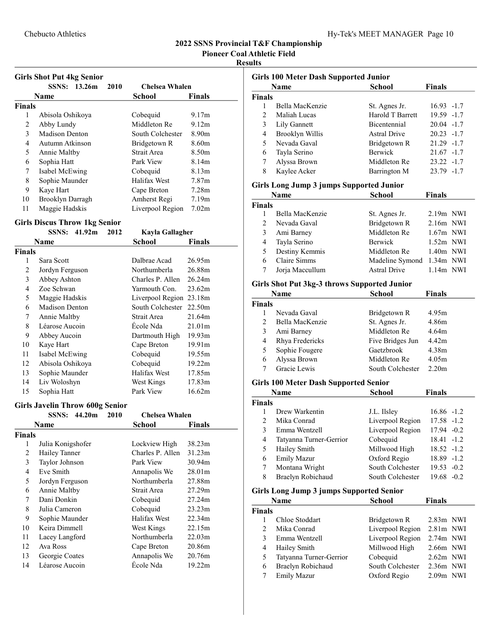Pioneer Coal Athletic Field

#### Results

|               | <b>Girls Shot Put 4kg Senior</b> |                  |                   |
|---------------|----------------------------------|------------------|-------------------|
|               | <b>SSNS:</b><br>13.26m<br>2010   | Chelsea Whalen   |                   |
|               | Name                             | School           | Finals            |
| <b>Finals</b> |                                  |                  |                   |
| 1             | Abisola Oshikoya                 | Cobequid         | 9.17m             |
| 2             | Abby Lundy                       | Middleton Re     | 9.12m             |
| 3             | Madison Denton                   | South Colchester | 8.90 <sub>m</sub> |
| 4             | Autumn Atkinson                  | Bridgetown R     | 8.60 <sub>m</sub> |
| 5             | Annie Maltby                     | Strait Area      | 8.50 <sub>m</sub> |
| 6             | Sophia Hatt                      | Park View        | 8.14m             |
| 7             | Isabel McEwing                   | Cobequid         | 8.13 <sub>m</sub> |
| 8             | Sophie Maunder                   | Halifax West     | 7.87 <sub>m</sub> |
| 9             | Kaye Hart                        | Cape Breton      | 7.28 <sub>m</sub> |
| 10            | Brooklyn Darragh                 | Amherst Regi     | 7.19m             |
| 11            | Maggie Hadskis                   | Liverpool Region | 7.02 <sub>m</sub> |

# Girls Discus Throw 1kg Senior

|        | SSNS:            | 41.92m | 2012 | Kayla Gallagher  |                    |
|--------|------------------|--------|------|------------------|--------------------|
|        | Name             |        |      | School           | Finals             |
| Finals |                  |        |      |                  |                    |
| 1      | Sara Scott       |        |      | Dalbrae Acad     | 26.95m             |
| 2      | Jordyn Ferguson  |        |      | Northumberla     | 26.88m             |
| 3      | Abbey Ashton     |        |      | Charles P. Allen | 26.24m             |
| 4      | Zoe Schwan       |        |      | Yarmouth Con.    | 23.62m             |
| 5      | Maggie Hadskis   |        |      | Liverpool Region | 23.18m             |
| 6      | Madison Denton   |        |      | South Colchester | 22.50m             |
| 7      | Annie Maltby     |        |      | Strait Area      | 21.64m             |
| 8      | Léarose Aucoin   |        |      | École Nda        | 21.01m             |
| 9      | Abbey Aucoin     |        |      | Dartmouth High   | 19.93 <sub>m</sub> |
| 10     | Kaye Hart        |        |      | Cape Breton      | 19.91m             |
| 11     | Isabel McEwing   |        |      | Cobequid         | 19.55m             |
| 12     | Abisola Oshikoya |        |      | Cobequid         | 19.22m             |
| 13     | Sophie Maunder   |        |      | Halifax West     | 17.85m             |
| 14     | Liv Woloshyn     |        |      | West Kings       | 17.83m             |
| 15     | Sophia Hatt      |        |      | Park View        | 16.62m             |

#### Girls Javelin Throw 600g Senior

|               | <b>SSNS:</b><br>44.20m<br>2010 | Chelsea Whalen   |               |
|---------------|--------------------------------|------------------|---------------|
|               | Name                           | School           | <b>Finals</b> |
| <b>Finals</b> |                                |                  |               |
| 1             | Julia Konigshofer              | Lockview High    | 38.23m        |
| 2             | Hailey Tanner                  | Charles P. Allen | 31.23m        |
| 3             | Taylor Johnson                 | Park View        | 30.94m        |
| 4             | Eve Smith                      | Annapolis We     | 28.01m        |
| 5             | Jordyn Ferguson                | Northumberla     | 27.88m        |
| 6             | Annie Maltby                   | Strait Area      | 27.29m        |
| 7             | Dani Donkin                    | Cobequid         | 27.24m        |
| 8             | Julia Cameron                  | Cobequid         | 23.23m        |
| 9             | Sophie Maunder                 | Halifax West     | 22.34m        |
| 10            | Keira Dimmell                  | West Kings       | 22.15m        |
| 11            | Lacey Langford                 | Northumberla     | 22.03m        |
| 12            | Ava Ross                       | Cape Breton      | 20.86m        |
| 13            | Georgie Coates                 | Annapolis We     | 20.76m        |
| 14            | Léarose Aucoin                 | École Nda        | 19.22m        |
|               |                                |                  |               |

|               | Name                   | <b>School</b>       | <b>Finals</b> |
|---------------|------------------------|---------------------|---------------|
| <b>Finals</b> |                        |                     |               |
| 1             | Bella MacKenzie        | St. Agnes Jr.       | $16.93 - 1.7$ |
| 2             | Maliah Lucas           | Harold T Barrett    | $19.59 - 1.7$ |
| 3             | Lily Gannett           | Bicentennial        | $20.04 -1.7$  |
| 4             | <b>Brooklyn Willis</b> | <b>Astral Drive</b> | $20.23 -1.7$  |
| 5             | Nevada Gaval           | Bridgetown R        | $21.29 -1.7$  |
| 6             | Tayla Serino           | <b>Berwick</b>      | $21.67 - 1.7$ |
| 7             | Alyssa Brown           | Middleton Re        | $23.22 -1.7$  |
| 8             | Kaylee Acker           | Barrington M        | $23.79 - 1.7$ |

#### Girls Long Jump 3 jumps Supported Junior

|                | Name            | <b>School</b>       | <b>Finals</b> |
|----------------|-----------------|---------------------|---------------|
| <b>Finals</b>  |                 |                     |               |
|                | Bella MacKenzie | St. Agnes Jr.       | $2.19m$ NWI   |
| $\mathfrak{D}$ | Nevada Gaval    | Bridgetown R        | $2.16m$ NWI   |
| 3              | Ami Barney      | Middleton Re        | $1.67m$ NWI   |
| 4              | Tayla Serino    | Berwick             | $1.52m$ NWI   |
| 5              | Destiny Kemmis  | Middleton Re        | $1.40m$ NWI   |
| 6              | Claire Simms    | Madeline Symond     | $1.34m$ NWI   |
| 7              | Jorja Maccullum | <b>Astral Drive</b> | $1.14m$ NWI   |

# Girls Shot Put 3kg-3 throws Supported Junior

|                | <b>Name</b>     | <b>School</b>    | <b>Finals</b>     |
|----------------|-----------------|------------------|-------------------|
| <b>Finals</b>  |                 |                  |                   |
|                | Nevada Gaval    | Bridgetown R     | 4.95m             |
| $\mathfrak{D}$ | Bella MacKenzie | St. Agnes Jr.    | 4.86m             |
| 3              | Ami Barney      | Middleton Re     | 4.64 <sub>m</sub> |
| 4              | Rhya Fredericks | Five Bridges Jun | 4.42m             |
| 5              | Sophie Fougere  | Gaetzbrook       | 4.38 <sub>m</sub> |
| 6              | Alyssa Brown    | Middleton Re     | 4.05m             |
|                | Gracie Lewis    | South Colchester | 2.20 <sub>m</sub> |

# Girls 100 Meter Dash Supported Senior

|               | Name                     | <b>School</b>    | <b>Finals</b> |
|---------------|--------------------------|------------------|---------------|
| <b>Finals</b> |                          |                  |               |
|               | Drew Warkentin           | J.L. Ilsley      | $16.86 - 1.2$ |
| 2             | Mika Conrad              | Liverpool Region | $17.58 - 1.2$ |
| 3             | Emma Wentzell            | Liverpool Region | 17.94 -0.2    |
| 4             | Tatyanna Turner-Gerrior  | Cobequid         | $18.41 - 1.2$ |
| 5             | Hailey Smith             | Millwood High    | $18.52 - 1.2$ |
| 6             | <b>Emily Mazur</b>       | Oxford Regio     | 18.89 -1.2    |
|               | Montana Wright           | South Colchester | $19.53 - 0.2$ |
| 8             | <b>Braelyn Robichaud</b> | South Colchester | $19.68 - 0.2$ |

# Girls Long Jump 3 jumps Supported Senior

|               | Name                    | <b>School</b>    | <b>Finals</b> |
|---------------|-------------------------|------------------|---------------|
| <b>Finals</b> |                         |                  |               |
|               | Chloe Stoddart          | Bridgetown R     | $2.83m$ NWI   |
| $\mathcal{D}$ | Mika Conrad             | Liverpool Region | $2.81m$ NWI   |
| 3             | Emma Wentzell           | Liverpool Region | $2.74m$ NWI   |
| 4             | Hailey Smith            | Millwood High    | $2.66m$ NWI   |
| 5             | Tatyanna Turner-Gerrior | Cobequid         | $2.62m$ NWI   |
| 6             | Braelyn Robichaud       | South Colchester | $2.36m$ NWI   |
|               | <b>Emily Mazur</b>      | Oxford Regio     | $2.09m$ NWI   |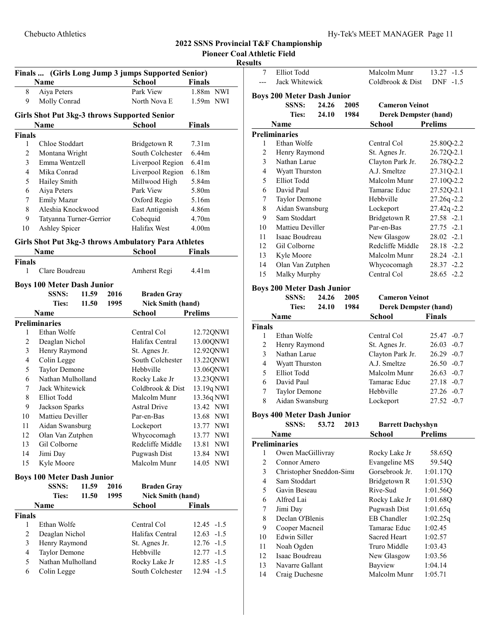# Resu

|               |                                   |       |      | Finals  (Girls Long Jump 3 jumps Supported Senior)   |                   |
|---------------|-----------------------------------|-------|------|------------------------------------------------------|-------------------|
|               | <b>Name</b>                       |       |      | <b>School</b>                                        | <b>Finals</b>     |
| 8             | Aiya Peters                       |       |      | Park View                                            | 1.88m NWI         |
| 9             | Molly Conrad                      |       |      | North Nova E                                         | 1.59m NWI         |
|               |                                   |       |      | <b>Girls Shot Put 3kg-3 throws Supported Senior</b>  |                   |
|               | Name                              |       |      | <b>School</b>                                        | Finals            |
| <b>Finals</b> |                                   |       |      |                                                      |                   |
| 1             | Chloe Stoddart                    |       |      | Bridgetown R                                         | 7.31 <sub>m</sub> |
| 2             | Montana Wright                    |       |      | South Colchester                                     | 6.44m             |
| 3             | Emma Wentzell                     |       |      | Liverpool Region                                     | 6.41 <sub>m</sub> |
| 4             | Mika Conrad                       |       |      | Liverpool Region                                     | 6.18m             |
| 5             | Hailey Smith                      |       |      | Millwood High                                        | 5.84m             |
| 6             | Aiya Peters                       |       |      | Park View                                            | 5.80m             |
| 7             | Emily Mazur                       |       |      | Oxford Regio                                         | 5.16m             |
| 8             | Aleshia Knockwood                 |       |      | East Antigonish                                      | 4.86m             |
| 9             | Tatyanna Turner-Gerrior           |       |      | Cobequid                                             | 4.70 <sub>m</sub> |
| 10            | Ashley Spicer                     |       |      | Halifax West                                         | 4.00 <sub>m</sub> |
|               |                                   |       |      | Girls Shot Put 3kg-3 throws Ambulatory Para Athletes |                   |
|               | <b>Name</b>                       |       |      | <b>School</b>                                        | Finals            |
| <b>Finals</b> |                                   |       |      |                                                      |                   |
| 1             | Clare Boudreau                    |       |      | Amherst Regi                                         | 4.41m             |
|               | <b>Boys 100 Meter Dash Junior</b> |       |      |                                                      |                   |
|               | <b>SSNS:</b>                      | 11.59 | 2016 | <b>Braden Gray</b>                                   |                   |
|               | <b>Ties:</b>                      | 11.50 | 1995 | <b>Nick Smith (hand)</b>                             |                   |
|               | Name                              |       |      | School                                               | <b>Prelims</b>    |
|               | <b>Preliminaries</b>              |       |      |                                                      |                   |
| 1             | Ethan Wolfe                       |       |      | Central Col                                          | 12.72QNWI         |
| 2             | Deaglan Nichol                    |       |      | Halifax Central                                      | 13.00QNWI         |
| 3             | Henry Raymond                     |       |      | St. Agnes Jr.                                        | 12.92QNWI         |
| 4             | Colin Legge                       |       |      | South Colchester                                     | 13.22QNWI         |
| 5             | Taylor Demone                     |       |      | Hebbville                                            | 13.06QNWI         |
| 6             | Nathan Mulholland                 |       |      | Rocky Lake Jr                                        | 13.23QNWI         |
| 7             | Jack Whitewick                    |       |      | Coldbrook & Dist                                     | 13.19q NWI        |
| 8             | <b>Elliot Todd</b>                |       |      | Malcolm Munr                                         | 13.36q NWI        |
| 9             | Jackson Sparks                    |       |      | <b>Astral Drive</b>                                  | 13.42 NWI         |
| 10            | Mattieu Deviller                  |       |      | Par-en-Bas                                           | 13.68 NWI         |
| 11            | Aidan Swansburg                   |       |      | Lockeport                                            | 13.77 NWI         |
| 12            | Olan Van Zutphen                  |       |      | Whycocomagh                                          | 13.77 NWI         |
| 13            | Gil Colborne                      |       |      | Redcliffe Middle                                     | 13.81<br>NWI      |
| 14            | Jimi Day                          |       |      | Pugwash Dist                                         | 13.84 NWI         |
| 15            | Kyle Moore                        |       |      | Malcolm Munr                                         | 14.05 NWI         |
|               | <b>Boys 100 Meter Dash Junior</b> |       |      |                                                      |                   |
|               | SSNS:                             | 11.59 | 2016 | <b>Braden Gray</b>                                   |                   |
|               | <b>Ties:</b>                      | 11.50 | 1995 | <b>Nick Smith (hand)</b>                             |                   |
|               | Name                              |       |      | <b>School</b>                                        | <b>Finals</b>     |
| <b>Finals</b> |                                   |       |      |                                                      |                   |
| 1             | Ethan Wolfe                       |       |      | Central Col                                          | 12.45<br>$-1.5$   |
| 2             | Deaglan Nichol                    |       |      | Halifax Central                                      | 12.63<br>$-1.5$   |
| 3             | Henry Raymond                     |       |      | St. Agnes Jr.                                        | 12.76<br>$-1.5$   |
| 4             | Taylor Demone                     |       |      | Hebbville                                            | 12.77<br>$-1.5$   |
| 5             | Nathan Mulholland                 |       |      | Rocky Lake Jr                                        | 12.85<br>$-1.5$   |
| 6             | Colin Legge                       |       |      | South Colchester                                     | 12.94<br>$-1.5$   |
|               |                                   |       |      |                                                      |                   |

| ults                |                                                   |       |      |                                    |                             |
|---------------------|---------------------------------------------------|-------|------|------------------------------------|-----------------------------|
| 7                   | <b>Elliot Todd</b>                                |       |      | Malcolm Munr                       | $13.27 - 1.5$               |
|                     | Jack Whitewick                                    |       |      | Coldbrook & Dist                   | $DNF -1.5$                  |
|                     |                                                   |       |      |                                    |                             |
|                     | <b>Boys 200 Meter Dash Junior</b><br><b>SSNS:</b> | 24.26 | 2005 |                                    |                             |
|                     | <b>Ties:</b>                                      | 24.10 |      | <b>Cameron Veinot</b>              |                             |
|                     |                                                   |       | 1984 | <b>Derek Dempster (hand)</b>       |                             |
|                     | Name                                              |       |      | School                             | <b>Prelims</b>              |
| 1                   | <b>Preliminaries</b><br>Ethan Wolfe               |       |      | Central Col                        |                             |
| 2                   | Henry Raymond                                     |       |      |                                    | 25.80Q-2.2                  |
| 3                   | Nathan Larue                                      |       |      | St. Agnes Jr.<br>Clayton Park Jr.  | 26.72Q-2.1                  |
|                     |                                                   |       |      | A.J. Smeltze                       | 26.78Q-2.2                  |
| 4                   | Wyatt Thurston<br><b>Elliot Todd</b>              |       |      | Malcolm Munr                       | 27.31Q-2.1                  |
| 5<br>6              | David Paul                                        |       |      | Tamarac Educ                       | 27.10Q-2.2                  |
|                     |                                                   |       |      | Hebbyille                          | 27.52Q-2.1                  |
| 7<br>$\,$ $\,$      | Taylor Demone                                     |       |      |                                    | 27.26q-2.2                  |
|                     | Aidan Swansburg<br>Sam Stoddart                   |       |      | Lockeport                          | 27.42q-2.2                  |
| 9                   |                                                   |       |      | Bridgetown R<br>Par-en-Bas         | 27.58 -2.1<br>$27.75 - 2.1$ |
| 10                  | Mattieu Deviller                                  |       |      | New Glasgow                        |                             |
| 11                  | Isaac Boudreau                                    |       |      | Redcliffe Middle                   | $28.02 -2.1$                |
| 12                  | Gil Colborne                                      |       |      |                                    | $28.18 - 2.2$               |
| 13                  | Kyle Moore                                        |       |      | Malcolm Munr                       | $28.24 -2.1$                |
| 14<br>15            | Olan Van Zutphen                                  |       |      | Whycocomagh<br>Central Col         | 28.37 -2.2<br>$28.65 - 2.2$ |
|                     | Malky Murphy                                      |       |      |                                    |                             |
|                     | <b>Boys 200 Meter Dash Junior</b>                 |       |      |                                    |                             |
|                     | <b>SSNS:</b>                                      | 24.26 | 2005 | <b>Cameron Veinot</b>              |                             |
|                     | <b>Ties:</b>                                      | 24.10 | 1984 | <b>Derek Dempster (hand)</b>       |                             |
|                     | Name                                              |       |      | School                             | <b>Finals</b>               |
| <b>Finals</b>       |                                                   |       |      |                                    |                             |
| 1                   | Ethan Wolfe                                       |       |      | Central Col                        | 25.47 -0.7                  |
|                     |                                                   |       |      |                                    |                             |
| 2                   | Henry Raymond                                     |       |      | St. Agnes Jr.                      | $26.03 - 0.7$               |
| 3                   | Nathan Larue                                      |       |      | Clayton Park Jr.                   | $26.29 - 0.7$               |
| 4                   | Wyatt Thurston                                    |       |      | A.J. Smeltze                       | $26.50 - 0.7$               |
| 5                   | Elliot Todd                                       |       |      | Malcolm Munr                       | $26.63 - 0.7$               |
| 6                   | David Paul                                        |       |      | Tamarac Educ                       | $27.18 - 0.7$               |
| 7                   | Taylor Demone                                     |       |      | Hebbville                          | $27.26 -0.7$                |
| 8                   | Aidan Swansburg                                   |       |      | Lockeport                          | $27.52 -0.7$                |
|                     |                                                   |       |      |                                    |                             |
|                     | <b>Boys 400 Meter Dash Junior</b>                 |       |      |                                    |                             |
|                     | SSNS:                                             | 53.72 | 2013 | <b>Barrett Dachyshyn</b>           |                             |
|                     | Name                                              |       |      | School                             | <b>Prelims</b>              |
| 1                   | <b>Preliminaries</b>                              |       |      |                                    |                             |
| 2                   | Owen MacGillivray<br>Connor Amero                 |       |      | Rocky Lake Jr                      | 58.65Q                      |
|                     |                                                   |       |      | Evangeline MS                      | 59.54Q                      |
| $\mathfrak{Z}$<br>4 | Christopher Sneddon-Simi<br>Sam Stoddart          |       |      | Gorsebrook Jr.                     | 1:01.17Q                    |
|                     | Gavin Beseau                                      |       |      | Bridgetown R<br>Rive-Sud           | 1:01.53Q                    |
| 5<br>6              | Alfred Lai                                        |       |      |                                    | 1:01.56Q                    |
| 7                   | Jimi Day                                          |       |      | Rocky Lake Jr                      | 1:01.68Q                    |
|                     | Declan O'Blenis                                   |       |      | Pugwash Dist<br><b>EB</b> Chandler | 1:01.65q                    |
| 8<br>9              | Cooper Macneil                                    |       |      | Tamarac Educ                       | 1:02.25q<br>1:02.45         |
| 10                  | Edwin Siller                                      |       |      | <b>Sacred Heart</b>                | 1:02.57                     |
| 11                  | Noah Ogden                                        |       |      | Truro Middle                       | 1:03.43                     |
| 12                  | Isaac Boudreau                                    |       |      | New Glasgow                        | 1:03.56                     |
| 13                  | Navarre Gallant                                   |       |      | Bayview                            | 1:04.14                     |
| 14                  | Craig Duchesne                                    |       |      | Malcolm Munr                       | 1:05.71                     |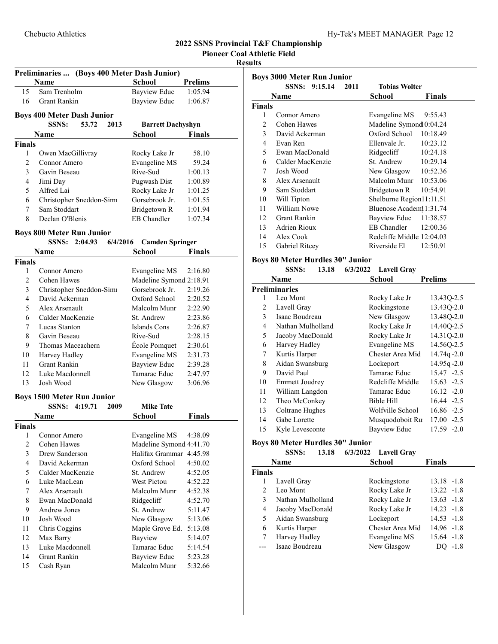Pioneer Coal Athletic Field

# Results

|               | Preliminaries  (Boys 400 Meter Dash Junior)                             |                          |                |
|---------------|-------------------------------------------------------------------------|--------------------------|----------------|
|               | Name                                                                    | <b>School</b>            | <b>Prelims</b> |
| 15            | Sam Trenholm                                                            | <b>Bayview Educ</b>      | 1:05.94        |
| 16            | <b>Grant Rankin</b>                                                     | <b>Bayview Educ</b>      | 1:06.87        |
|               | <b>Boys 400 Meter Dash Junior</b>                                       |                          |                |
|               | <b>SSNS:</b><br>53.72<br>2013                                           | <b>Barrett Dachyshyn</b> |                |
|               | <b>Name</b>                                                             | School                   | Finals         |
| <b>Finals</b> |                                                                         |                          |                |
| 1             | Owen MacGillivray                                                       | Rocky Lake Jr            | 58.10          |
| 2             | Connor Amero                                                            | <b>Evangeline MS</b>     | 59.24          |
| 3             | Gavin Beseau                                                            | Rive-Sud                 | 1:00.13        |
| 4             | Jimi Day                                                                | Pugwash Dist             | 1:00.89        |
| 5             | Alfred Lai                                                              | Rocky Lake Jr            | 1:01.25        |
| 6             | Christopher Sneddon-Simi                                                | Gorsebrook Jr.           | 1:01.55        |
| 7             | Sam Stoddart                                                            | Bridgetown R             | 1:01.94        |
| 8             | Declan O'Blenis                                                         | <b>EB</b> Chandler       | 1:07.34        |
|               |                                                                         |                          |                |
|               | <b>Boys 800 Meter Run Junior</b><br><b>SSNS:</b><br>2:04.93<br>6/4/2016 | <b>Camden Springer</b>   |                |
|               | Name                                                                    | School                   | <b>Finals</b>  |
| <b>Finals</b> |                                                                         |                          |                |
| 1             | Connor Amero                                                            | Evangeline MS            | 2:16.80        |
| 2             | Cohen Hawes                                                             | Madeline Symond 2:18.91  |                |
| 3             | Christopher Sneddon-Simi                                                | Gorsebrook Jr.           | 2:19.26        |
| 4             | David Ackerman                                                          | Oxford School            |                |
|               |                                                                         |                          | 2:20.52        |
| 5             | Alex Arsenault                                                          | Malcolm Munr             | 2:22.90        |
| 6             | Calder MacKenzie                                                        | St. Andrew               | 2:23.86        |
| 7             | Lucas Stanton                                                           | Islands Cons             | 2:26.87        |
| 8             | Gavin Beseau                                                            | Rive-Sud                 | 2:28.15        |
| 9             | Thomas Maceachern                                                       | École Pomquet            | 2:30.61        |
| 10            | Harvey Hadley                                                           | Evangeline MS            | 2:31.73        |
| 11            | <b>Grant Rankin</b>                                                     | <b>Bayview Educ</b>      | 2:39.28        |
| 12            | Luke Macdonnell                                                         | Tamarac Educ             | 2:47.97        |
| 13            | Josh Wood                                                               | New Glasgow              | 3:06.96        |
|               | <b>Boys 1500 Meter Run Junior</b>                                       |                          |                |
|               | 4:19.71<br>SSNS:<br>2009                                                | <b>Mike Tate</b>         |                |
|               | <b>Name</b>                                                             | School                   | Finals         |
| <b>Finals</b> |                                                                         |                          |                |
| 1             | Connor Amero                                                            | <b>Evangeline MS</b>     | 4:38.09        |
| 2             | Cohen Hawes                                                             | Madeline Symond 4:41.70  |                |
| 3             | Drew Sanderson                                                          | Halifax Grammar 4:45.98  |                |
| 4             | David Ackerman                                                          | Oxford School            | 4:50.02        |
| 5             | Calder MacKenzie                                                        | St. Andrew               | 4:52.05        |
| 6             | Luke MacLean                                                            | West Pictou              | 4:52.22        |
| 7             | Alex Arsenault                                                          | Malcolm Munr             | 4:52.38        |
| 8             | Ewan MacDonald                                                          | Ridgecliff               | 4:52.70        |
| 9             | <b>Andrew Jones</b>                                                     | St. Andrew               | 5:11.47        |
| 10            | Josh Wood                                                               | New Glasgow              | 5:13.06        |
| 11            | Chris Coggins                                                           | Maple Grove Ed.          | 5:13.08        |
| 12            | Max Barry                                                               | Bayview                  | 5:14.07        |
| 13            | Luke Macdonnell                                                         | Tamarac Educ             | 5:14.54        |
| 14            | <b>Grant Rankin</b>                                                     | <b>Bayview Educ</b>      | 5:23.28        |
| 15            | Cash Ryan                                                               | Malcolm Munr             | 5:32.66        |

|               | SSNS: 9:15.14<br>2011 | <b>Tobias Wolter</b>      |          |
|---------------|-----------------------|---------------------------|----------|
|               | Name                  | School                    | Finals   |
| <b>Finals</b> |                       |                           |          |
| 1             | Connor Amero          | Evangeline MS             | 9:55.43  |
| 2             | Cohen Hawes           | Madeline Symond 0:04.24   |          |
| 3             | David Ackerman        | Oxford School 10:18.49    |          |
| 4             | Evan Ren              | Ellenvale Jr. $10:23.12$  |          |
| 5             | Ewan MacDonald        | Ridgecliff                | 10:24.18 |
| 6             | Calder MacKenzie      | St. Andrew 10:29.14       |          |
| 7             | Josh Wood             | New Glasgow $10:52.36$    |          |
| 8             | Alex Arsenault        | Malcolm Munr 10:53.06     |          |
| 9             | Sam Stoddart          | Bridgetown R              | 10:54.91 |
| 10            | Will Tipton           | Shelburne Region11:11.51  |          |
| 11            | William Nowe          | Bluenose Academ 1:31.74   |          |
| 12            | Grant Rankin          | Bayview Educ 11:38.57     |          |
| 13            | Adrien Rioux          | EB Chandler 12:00.36      |          |
| 14            | Alex Cook             | Redcliffe Middle 12:04.03 |          |
| 15            | Gabriel Ritcey        | Riverside El              | 12:50.91 |

#### Boys 80 Meter Hurdles 30" Junior

|                | <b>SSNS:</b>          | 13.18 | 6/3/2022 Lavell Gray |                 |
|----------------|-----------------------|-------|----------------------|-----------------|
|                | Name                  |       | School               | <b>Prelims</b>  |
|                | <b>Preliminaries</b>  |       |                      |                 |
|                | Leo Mont              |       | Rocky Lake Jr        | 13.43Q-2.5      |
| $\overline{c}$ | Lavell Gray           |       | Rockingstone         | 13.43Q-2.0      |
| 3              | Isaac Boudreau        |       | New Glasgow          | 13.48Q-2.0      |
| 4              | Nathan Mulholland     |       | Rocky Lake Jr        | 14.40Q-2.5      |
| 5              | Jacoby MacDonald      |       | Rocky Lake Jr        | 14.31Q-2.0      |
| 6              | Harvey Hadley         |       | Evangeline MS        | 14.56Q-2.5      |
| 7              | Kurtis Harper         |       | Chester Area Mid     | $14.74q - 2.0$  |
| 8              | Aidan Swansburg       |       | Lockeport            | $14.95q - 2.0$  |
| 9              | David Paul            |       | Tamarac Educ         | 15.47 -2.5      |
| 10             | <b>Emmett Joudrey</b> |       | Redcliffe Middle     | $15.63 -2.5$    |
| 11             | William Langdon       |       | Tamarac Educ         | $16.12 -2.0$    |
| 12             | Theo McConkey         |       | Bible Hill           | 16.44 -2.5      |
| 13             | Coltrane Hughes       |       | Wolfville School     | 16.86 -2.5      |
| 14             | Gabe Lorette          |       | Musquodoboit Ru      | 17.00<br>$-2.5$ |
| 15             | Kyle Levesconte       |       | Bayview Educ         | 17.59 -2.0      |

# Boys 80 Meter Hurdles 30" Junior

|               | Name              | <b>School</b>    | <b>Finals</b> |
|---------------|-------------------|------------------|---------------|
| <b>Finals</b> |                   |                  |               |
|               | Lavell Gray       | Rockingstone     | $13.18 - 1.8$ |
| 2             | Leo Mont          | Rocky Lake Jr    | $13.22 - 1.8$ |
| $\mathbf{3}$  | Nathan Mulholland | Rocky Lake Jr    | $13.63 - 1.8$ |
| 4             | Jacoby MacDonald  | Rocky Lake Jr    | $14.23 - 1.8$ |
| 5             | Aidan Swansburg   | Lockeport        | $14.53 - 1.8$ |
| 6             | Kurtis Harper     | Chester Area Mid | $14.96 - 1.8$ |
|               | Harvey Hadley     | Evangeline MS    | $15.64 - 1.8$ |
|               | Isaac Boudreau    | New Glasgow      | $-1.8$        |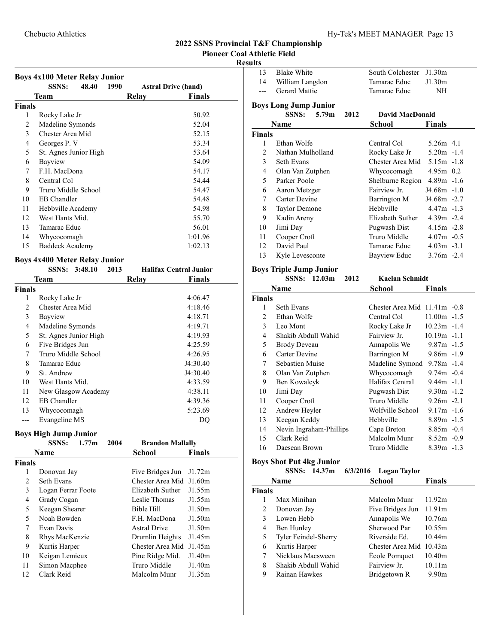13 Blake White South Colchester J1.30m 14 William Langdon Tamarac Educ J1.30m

#### 2022 SSNS Provincial T&F Championship Pioneer Coal Athletic Field

#### Results

|                                                        | <b>Boys 4x100 Meter Relay Junior</b><br>48.40<br><b>SSNS:</b><br>1990<br><b>Astral Drive (hand)</b> |                                               |  |  |  |  |
|--------------------------------------------------------|-----------------------------------------------------------------------------------------------------|-----------------------------------------------|--|--|--|--|
|                                                        | Team                                                                                                | <b>Finals</b><br>Relay                        |  |  |  |  |
| <b>Finals</b>                                          |                                                                                                     |                                               |  |  |  |  |
| 1                                                      | Rocky Lake Jr                                                                                       | 50.92                                         |  |  |  |  |
| $\overline{c}$                                         | Madeline Symonds                                                                                    | 52.04                                         |  |  |  |  |
| 3                                                      | Chester Area Mid                                                                                    | 52.15                                         |  |  |  |  |
| 4                                                      | Georges P. V                                                                                        | 53.34                                         |  |  |  |  |
| 5                                                      | St. Agnes Junior High                                                                               | 53.64                                         |  |  |  |  |
| 6                                                      | Bayview                                                                                             | 54.09                                         |  |  |  |  |
| 7                                                      | F.H. MacDona                                                                                        | 54.17                                         |  |  |  |  |
| 8                                                      | Central Col                                                                                         | 54.44                                         |  |  |  |  |
| 9                                                      | Truro Middle School                                                                                 | 54.47                                         |  |  |  |  |
| 10                                                     | <b>EB</b> Chandler                                                                                  | 54.48                                         |  |  |  |  |
| 11                                                     | Hebbville Academy                                                                                   | 54.98                                         |  |  |  |  |
| 12                                                     | West Hants Mid.                                                                                     | 55.70                                         |  |  |  |  |
| 13                                                     | Tamarac Educ                                                                                        | 56.01                                         |  |  |  |  |
| 14                                                     | Whycocomagh                                                                                         | 1:01.96                                       |  |  |  |  |
| 15                                                     | <b>Baddeck Academy</b>                                                                              | 1:02.13                                       |  |  |  |  |
|                                                        | <b>Boys 4x400 Meter Relay Junior</b>                                                                |                                               |  |  |  |  |
| SSNS: 3:48.10<br>2013<br><b>Halifax Central Junior</b> |                                                                                                     |                                               |  |  |  |  |
|                                                        | Team                                                                                                | Relay<br><b>Finals</b>                        |  |  |  |  |
| <b>Finals</b>                                          |                                                                                                     |                                               |  |  |  |  |
| 1                                                      | Rocky Lake Jr                                                                                       | 4:06.47                                       |  |  |  |  |
| 2                                                      | Chester Area Mid                                                                                    | 4:18.46                                       |  |  |  |  |
| 3                                                      | Bayview                                                                                             | 4:18.71                                       |  |  |  |  |
| 4                                                      | Madeline Symonds                                                                                    | 4:19.71                                       |  |  |  |  |
| 5                                                      | St. Agnes Junior High                                                                               | 4:19.93                                       |  |  |  |  |
| 6                                                      | Five Bridges Jun                                                                                    | 4:25.59                                       |  |  |  |  |
| 7                                                      | Truro Middle School                                                                                 | 4:26.95                                       |  |  |  |  |
| 8                                                      | Tamarac Educ                                                                                        | J4:30.40                                      |  |  |  |  |
| 9                                                      | St. Andrew                                                                                          | J4:30.40                                      |  |  |  |  |
| 10                                                     | West Hants Mid.                                                                                     | 4:33.59                                       |  |  |  |  |
| 11                                                     | New Glasgow Academy                                                                                 | 4:38.11                                       |  |  |  |  |
| 12                                                     | EB Chandler                                                                                         | 4:39.36                                       |  |  |  |  |
| 13                                                     | Whycocomagh                                                                                         | 5:23.69                                       |  |  |  |  |
|                                                        | Evangeline MS                                                                                       | DO                                            |  |  |  |  |
|                                                        |                                                                                                     |                                               |  |  |  |  |
|                                                        | Boys High Jump Junior<br><b>SSNS:</b><br>1.77m<br>2004                                              | <b>Brandon Mallally</b>                       |  |  |  |  |
|                                                        | Name                                                                                                | <b>School</b><br><b>Finals</b>                |  |  |  |  |
| <b>Finals</b>                                          |                                                                                                     |                                               |  |  |  |  |
| 1                                                      | Donovan Jay                                                                                         | Five Bridges Jun<br>J1.72m                    |  |  |  |  |
| $\overline{2}$                                         | Seth Evans                                                                                          | Chester Area Mid<br>J1.60m                    |  |  |  |  |
|                                                        |                                                                                                     | Elizabeth Suther<br>J1.55m                    |  |  |  |  |
| 3                                                      | Logan Ferrar Foote                                                                                  | Leslie Thomas<br>J1.55m                       |  |  |  |  |
| 4                                                      | Grady Cogan                                                                                         |                                               |  |  |  |  |
| 5                                                      | Keegan Shearer<br>Noah Bowden                                                                       | Bible Hill<br>J1.50m                          |  |  |  |  |
| 5                                                      |                                                                                                     | F.H. MacDona<br>J1.50m                        |  |  |  |  |
| 7                                                      | Evan Davis                                                                                          | <b>Astral Drive</b><br>J1.50m                 |  |  |  |  |
| 8                                                      | Rhys MacKenzie                                                                                      | J1.45m<br>Drumlin Heights<br>Chester Area Mid |  |  |  |  |
| 9                                                      | Kurtis Harper                                                                                       | J1.45m                                        |  |  |  |  |
| 10                                                     | Keigan Lemieux                                                                                      | Pine Ridge Mid.<br>J1.40m                     |  |  |  |  |

10 Keigan Lemieux Pine Ridge Mid. J1.40m 11 Simon Macphee Truro Middle J1.40m<br>12 Clark Reid Malcolm Munr J1.35m 12 Clark Reid Malcolm Munr J1.35m

|                                   | <b>Gerard Mattie</b>            |          | Tamarac Educ                 | NΗ                 |  |
|-----------------------------------|---------------------------------|----------|------------------------------|--------------------|--|
|                                   | <b>Boys Long Jump Junior</b>    |          |                              |                    |  |
| 5.79 <sub>m</sub><br><b>SSNS:</b> |                                 | 2012     | <b>David MacDonald</b>       |                    |  |
|                                   | Name                            |          | <b>School</b>                | <b>Finals</b>      |  |
| <b>Finals</b>                     |                                 |          |                              |                    |  |
| 1                                 | Ethan Wolfe                     |          | Central Col                  | 5.26m 4.1          |  |
| 2                                 | Nathan Mulholland               |          | Rocky Lake Jr                | $5.20m -1.4$       |  |
| 3                                 | Seth Evans                      |          | Chester Area Mid             | $5.15m - 1.8$      |  |
| 4                                 | Olan Van Zutphen                |          | Whycocomagh                  | $4.95m$ 0.2        |  |
| 5                                 | Parker Poole                    |          | Shelburne Region             | $4.89m - 1.6$      |  |
| 6                                 | Aaron Metzger                   |          | Fairview Jr.                 | $J4.68m -1.0$      |  |
| 7                                 | Carter Devine                   |          | <b>Barrington M</b>          | J4.68m -2.7        |  |
| 8                                 | <b>Taylor Demone</b>            |          | Hebbville                    | 4.47m -1.3         |  |
| 9                                 | Kadin Areny                     |          | Elizabeth Suther             | $4.39m -2.4$       |  |
| 10                                | Jimi Day                        |          | Pugwash Dist                 | $4.15m -2.8$       |  |
| 11                                | Cooper Croft                    |          | Truro Middle                 | $4.07m - 0.5$      |  |
| 12                                | David Paul                      |          | Tamarac Educ                 | $4.03m -3.1$       |  |
| 13                                | Kyle Levesconte                 |          | Bayview Educ                 | $3.76m - 2.4$      |  |
|                                   | <b>Boys Triple Jump Junior</b>  |          |                              |                    |  |
|                                   | SSNS: 12.03m                    | 2012     | Kaelan Schmidt               |                    |  |
|                                   | <b>Name</b>                     |          | School                       | Finals             |  |
| <b>Finals</b>                     |                                 |          |                              |                    |  |
| 1                                 | Seth Evans                      |          | Chester Area Mid 11.41m -0.8 |                    |  |
| 2                                 | Ethan Wolfe                     |          | Central Col                  | $11.00m - 1.5$     |  |
| 3                                 | Leo Mont                        |          | Rocky Lake Jr                | $10.23m - 1.4$     |  |
| 4                                 | Shakib Abdull Wahid             |          | Fairview Jr.                 | $10.19m - 1.1$     |  |
| 5                                 | <b>Brody Deveau</b>             |          | Annapolis We                 | $9.87m - 1.5$      |  |
| 6                                 | <b>Carter Devine</b>            |          | Barrington M                 | $9.86m - 1.9$      |  |
| 7                                 | Sebastien Muise                 |          | Madeline Symond 9.78m -1.4   |                    |  |
| 8                                 | Olan Van Zutphen                |          | Whycocomagh                  | $9.74m - 0.4$      |  |
| 9                                 | Ben Kowalcyk                    |          | Halifax Central              | $9.44m - 1.1$      |  |
| 10                                | Jimi Day                        |          | Pugwash Dist                 | $9.30m - 1.2$      |  |
| 11                                | Cooper Croft                    |          | Truro Middle                 | $9.26m -2.1$       |  |
| 12                                | Andrew Heyler                   |          | Wolfville School             | $9.17m - 1.6$      |  |
| 13                                | Keegan Keddy                    |          | Hebbville                    | $8.89m -1.5$       |  |
| 14                                | Nevin Ingraham-Phillips         |          | Cape Breton                  | $8.85m - 0.4$      |  |
| 15                                | Clark Reid                      |          | Malcolm Munr                 | 8.52m -0.9         |  |
| 16                                | Daesean Brown                   |          | Truro Middle                 | $8.39m - 1.3$      |  |
|                                   | <b>Boys Shot Put 4kg Junior</b> |          |                              |                    |  |
|                                   | SSNS: 14.37m                    | 6/3/2016 | <b>Logan Taylor</b>          |                    |  |
|                                   | Name                            |          | School                       | <b>Finals</b>      |  |
| <b>Finals</b>                     |                                 |          |                              |                    |  |
| 1                                 | Max Minihan                     |          | Malcolm Munr                 | 11.92m             |  |
| 2                                 | Donovan Jay                     |          | Five Bridges Jun             | 11.91m             |  |
| 3                                 | Lowen Hebb                      |          | Annapolis We                 | 10.76m             |  |
| 4                                 | Ben Hunley                      |          | Sherwood Par                 | 10.55m             |  |
| 5                                 | Tyler Feindel-Sherry            |          | Riverside Ed.                | 10.44m             |  |
| 6                                 | Kurtis Harper                   |          | Chester Area Mid             | 10.43m             |  |
| 7                                 | Nicklaus Macsween               |          | <b>École Pomquet</b>         | 10.40 <sub>m</sub> |  |
| 8                                 | Shakib Abdull Wahid             |          | Fairview Jr.                 | 10.11m             |  |
| 9                                 | Rainan Hawkes                   |          | Bridgetown R                 | 9.90m              |  |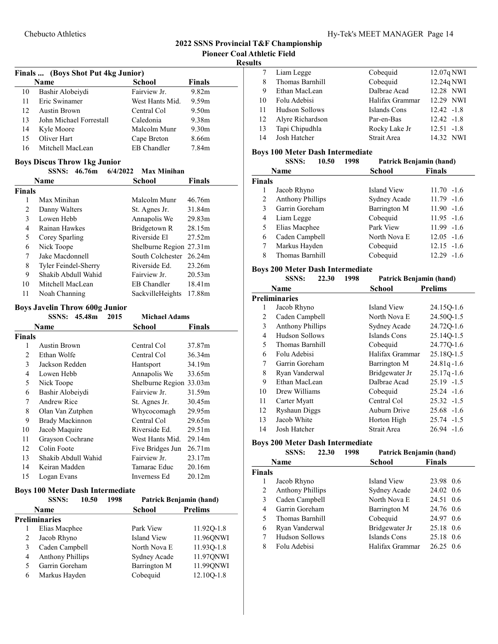#### Results

|    | Finals  (Boys Shot Put 4kg Junior) |                    |                   |
|----|------------------------------------|--------------------|-------------------|
|    | Name                               | <b>School</b>      | <b>Finals</b>     |
| 10 | Bashir Alobeiydi                   | Fairview Jr.       | 9.82m             |
| 11 | Eric Swinamer                      | West Hants Mid.    | 9.59m             |
| 12 | Austin Brown                       | Central Col        | 9.50 <sub>m</sub> |
| 13 | John Michael Forrestall            | Caledonia          | 9.38m             |
| 14 | Kyle Moore                         | Malcolm Munr       | 9.30 <sub>m</sub> |
| 15 | Oliver Hart                        | Cape Breton        | 8.66m             |
| 16 | Mitchell MacLean                   | <b>EB</b> Chandler | 7.84m             |

# Boys Discus Throw 1kg Junior

|               | <b>SSNS:</b>         | 46.76m | 6/4/2022 | <b>Max Minihan</b>      |                    |
|---------------|----------------------|--------|----------|-------------------------|--------------------|
|               | Name                 |        |          | School                  | Finals             |
| <b>Finals</b> |                      |        |          |                         |                    |
| 1             | Max Minihan          |        |          | Malcolm Munr            | 46.76m             |
| 2             | Danny Walters        |        |          | St. Agnes Jr.           | 31.84m             |
| 3             | Lowen Hebb           |        |          | Annapolis We            | 29.83m             |
| 4             | Rainan Hawkes        |        |          | Bridgetown R            | 28.15m             |
| 5             | Corey Sparling       |        |          | Riverside El            | 27.52m             |
| 6             | Nick Toope           |        |          | Shelburne Region 27.31m |                    |
| 7             | Jake Macdonnell      |        |          | South Colchester        | 26.24m             |
| 8             | Tyler Feindel-Sherry |        |          | Riverside Ed.           | 23.26m             |
| 9             | Shakib Abdull Wahid  |        |          | Fairview Jr.            | 20.53 <sub>m</sub> |
| 10            | Mitchell MacLean     |        |          | EB Chandler             | 18.41m             |
| 11            | Noah Channing        |        |          | SackvilleHeights        | 17.88m             |

# Boys Javelin Throw 600g Junior

|        | <b>SSNS:</b>        | 45.48m | 2015 | <b>Michael Adams</b> |               |
|--------|---------------------|--------|------|----------------------|---------------|
|        | Name                |        |      | School               | <b>Finals</b> |
| Finals |                     |        |      |                      |               |
| 1      | Austin Brown        |        |      | Central Col          | 37.87m        |
| 2      | Ethan Wolfe         |        |      | Central Col          | 36.34m        |
| 3      | Jackson Redden      |        |      | Hantsport            | 34.19m        |
| 4      | Lowen Hebb          |        |      | Annapolis We         | 33.65m        |
| 5      | Nick Toope          |        |      | Shelburne Region     | 33.03m        |
| 6      | Bashir Alobeiydi    |        |      | Fairview Jr.         | 31.59m        |
| 7      | Andrew Rice         |        |      | St. Agnes Jr.        | 30.45m        |
| 8      | Olan Van Zutphen    |        |      | Whycocomagh          | 29.95m        |
| 9      | Brady Mackinnon     |        |      | Central Col          | 29.65m        |
| 10     | Jacob Maquire       |        |      | Riverside Ed.        | 29.51m        |
| 11     | Grayson Cochrane    |        |      | West Hants Mid.      | 29.14m        |
| 12     | Colin Foote         |        |      | Five Bridges Jun     | 26.71m        |
| 13     | Shakib Abdull Wahid |        |      | Fairview Jr.         | 23.17m        |
| 14     | Keiran Madden       |        |      | Tamarac Educ         | 20.16m        |
| 15     | Logan Evans         |        |      | Inverness Ed         | 20.12m        |

#### Boys 100 Meter Dash Intermediate

|   | <b>SSNS:</b>            | 10.50 | 1998 |               | Patrick Benjamin (hand) |
|---|-------------------------|-------|------|---------------|-------------------------|
|   | <b>Name</b>             |       |      | <b>School</b> | <b>Prelims</b>          |
|   | Preliminaries           |       |      |               |                         |
|   | Elias Macphee           |       |      | Park View     | 11.920-1.8              |
|   | Jacob Rhyno             |       |      | Island View   | 11.96QNWI               |
| 3 | Caden Campbell          |       |      | North Nova E  | 11.93Q-1.8              |
| 4 | <b>Anthony Phillips</b> |       |      | Sydney Acade  | 11.97QNWI               |
| 5 | Garrin Goreham          |       |      | Barrington M  | 11.99QNWI               |
| 6 | Markus Hayden           |       |      | Cobequid      | 12.100-1.8              |

|    | Liam Legge       | Cobequid        | 12.07q NWI    |
|----|------------------|-----------------|---------------|
| 8  | Thomas Barnhill  | Cobequid        | 12.24q NWI    |
| 9  | Ethan MacLean    | Dalbrae Acad    | 12.28 NWI     |
| 10 | Folu Adebisi     | Halifax Grammar | 12.29 NWI     |
| 11 | Hudson Sollows   | Islands Cons    | $12.42 -1.8$  |
| 12 | Alyre Richardson | Par-en-Bas      | $12.42 -1.8$  |
| 13 | Tapi Chipudhla   | Rocky Lake Jr   | $12.51 - 1.8$ |
| 14 | Josh Hatcher     | Strait Area     | 14.32 NWI     |

#### Boys 100 Meter Dash Intermediate

|               | <b>SSNS:</b>            | 10.50 | 1998 | Patrick Benjamin (hand) |               |
|---------------|-------------------------|-------|------|-------------------------|---------------|
|               | <b>Name</b>             |       |      | <b>School</b>           | <b>Finals</b> |
| <b>Finals</b> |                         |       |      |                         |               |
| 1             | Jacob Rhyno             |       |      | Island View             | $11.70 - 1.6$ |
| 2             | <b>Anthony Phillips</b> |       |      | Sydney Acade            | $11.79 - 1.6$ |
| $\mathbf{3}$  | Garrin Goreham          |       |      | Barrington M            | $11.90 -1.6$  |
| 4             | Liam Legge              |       |      | Cobequid                | $11.95 - 1.6$ |
| 5             | Elias Macphee           |       |      | Park View               | $11.99 - 1.6$ |
| 6             | Caden Campbell          |       |      | North Nova E            | $12.05 - 1.6$ |
| 7             | Markus Hayden           |       |      | Cobequid                | $12.15 - 1.6$ |
| 8             | Thomas Barnhill         |       |      | Cobequid                | $12.29 - 1.6$ |

# Boys 200 Meter Dash Intermediate

|    | 1998<br><b>SSNS:</b><br>22.30 |  | <b>Patrick Benjamin (hand)</b> |                 |                |
|----|-------------------------------|--|--------------------------------|-----------------|----------------|
|    | <b>Name</b>                   |  |                                | School          | <b>Prelims</b> |
|    | <b>Preliminaries</b>          |  |                                |                 |                |
| 1  | Jacob Rhyno                   |  |                                | Island View     | 24.15Q-1.6     |
| 2  | Caden Campbell                |  |                                | North Nova E    | 24.500-1.5     |
| 3  | <b>Anthony Phillips</b>       |  |                                | Sydney Acade    | 24.72Q-1.6     |
| 4  | Hudson Sollows                |  |                                | Islands Cons    | 25.14Q-1.5     |
| 5  | Thomas Barnhill               |  |                                | Cobequid        | 24.77Q-1.6     |
| 6  | Folu Adebisi                  |  |                                | Halifax Grammar | 25.18Q-1.5     |
| 7  | Garrin Goreham                |  |                                | Barrington M    | $24.81q - 1.6$ |
| 8  | Ryan Vanderwal                |  |                                | Bridgewater Jr  | $25.17q - 1.6$ |
| 9  | Ethan MacLean                 |  |                                | Dalbrae Acad    | $25.19 -1.5$   |
| 10 | Drew Williams                 |  |                                | Cobequid        | $25.24 -1.6$   |
| 11 | Carter Myatt                  |  |                                | Central Col     | $25.32 -1.5$   |
| 12 | <b>Ryshaun Diggs</b>          |  |                                | Auburn Drive    | $25.68 - 1.6$  |
| 13 | Jacob White                   |  |                                | Horton High     | $25.74 -1.5$   |
| 14 | Josh Hatcher                  |  |                                | Strait Area     | $26.94 -1.6$   |

#### Boys 200 Meter Dash Intermediate

|               | <b>SSNS:</b>            | 22.30 | 1998 | <b>Patrick Benjamin (hand)</b> |               |
|---------------|-------------------------|-------|------|--------------------------------|---------------|
|               | <b>Name</b>             |       |      | School                         | <b>Finals</b> |
| <b>Finals</b> |                         |       |      |                                |               |
| 1             | Jacob Rhyno             |       |      | Island View                    | 23.98 0.6     |
| 2             | <b>Anthony Phillips</b> |       |      | Sydney Acade                   | 24.02 0.6     |
| 3             | Caden Campbell          |       |      | North Nova E                   | 24.51 0.6     |
| 4             | Garrin Goreham          |       |      | Barrington M                   | 24.76 0.6     |
| 5             | Thomas Barnhill         |       |      | Cobequid                       | 24.97<br>0.6  |
| 6             | Ryan Vanderwal          |       |      | Bridgewater Jr                 | 25.18 0.6     |
| 7             | Hudson Sollows          |       |      | Islands Cons                   | 25.18 0.6     |
| 8             | Folu Adebisi            |       |      | Halifax Grammar                | 26.25<br>0.6  |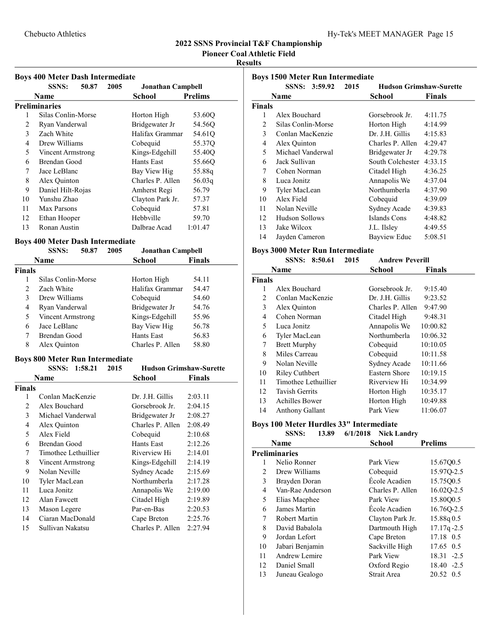Pioneer Coal Athletic Field

#### Results

# Boys 400 Meter Dash Intermediate

|    | Dovs Too Meter Dash Intermediate |       |      |                          |                |  |
|----|----------------------------------|-------|------|--------------------------|----------------|--|
|    | <b>SSNS:</b>                     | 50.87 | 2005 | <b>Jonathan Campbell</b> |                |  |
|    | Name                             |       |      | School                   | <b>Prelims</b> |  |
|    | Preliminaries                    |       |      |                          |                |  |
| 1  | Silas Conlin-Morse               |       |      | Horton High              | 53.60Q         |  |
| 2  | Ryan Vanderwal                   |       |      | Bridgewater Jr           | 54.56O         |  |
| 3  | Zach White                       |       |      | Halifax Grammar          | 54.61Q         |  |
| 4  | Drew Williams                    |       |      | Cobequid                 | 55.37Q         |  |
| 5  | Vincent Armstrong                |       |      | Kings-Edgehill           | 55.40O         |  |
| 6  | Brendan Good                     |       |      | Hants East               | 55.660         |  |
| 7  | Jace LeBlanc                     |       |      | Bay View Hig             | 55.88q         |  |
| 8  | Alex Quinton                     |       |      | Charles P. Allen         | 56.03q         |  |
| 9  | Daniel Hilt-Rojas                |       |      | Amherst Regi             | 56.79          |  |
| 10 | Yunshu Zhao                      |       |      | Clayton Park Jr.         | 57.37          |  |
| 11 | Max Parsons                      |       |      | Cobequid                 | 57.81          |  |
| 12 | Ethan Hooper                     |       |      | Hebbyille                | 59.70          |  |
| 13 | Ronan Austin                     |       |      | Dalbrae Acad             | 1:01.47        |  |

# Boys 400 Meter Dash Intermediate

|                | SSNS:              | 50.87 | 2005 | <b>Jonathan Campbell</b> |        |
|----------------|--------------------|-------|------|--------------------------|--------|
|                | <b>Name</b>        |       |      | School                   | Finals |
| <b>Finals</b>  |                    |       |      |                          |        |
|                | Silas Conlin-Morse |       |      | Horton High              | 54.11  |
| $\mathfrak{D}$ | Zach White         |       |      | Halifax Grammar          | 54.47  |
| 3              | Drew Williams      |       |      | Cobequid                 | 54.60  |
| 4              | Ryan Vanderwal     |       |      | Bridgewater Jr           | 54.76  |
| 5              | Vincent Armstrong  |       |      | Kings-Edgehill           | 55.96  |
| 6              | Jace LeBlanc       |       |      | Bay View Hig             | 56.78  |
| 7              | Brendan Good       |       |      | Hants East               | 56.83  |
| 8              | Alex Quinton       |       |      | Charles P. Allen         | 58.80  |

# Boys 800 Meter Run Intermediate

|        | 1:58.21<br><b>SSNS:</b> | 2015 | <b>Hudson Grimshaw-Surette</b> |         |
|--------|-------------------------|------|--------------------------------|---------|
|        | Name                    |      | School                         | Finals  |
| Finals |                         |      |                                |         |
| 1      | Conlan MacKenzie        |      | Dr. J.H. Gillis                | 2:03.11 |
| 2      | Alex Bouchard           |      | Gorsebrook Jr.                 | 2:04.15 |
| 3      | Michael Vanderwal       |      | Bridgewater Jr                 | 2:08.27 |
| 4      | Alex Quinton            |      | Charles P. Allen               | 2:08.49 |
| 5      | Alex Field              |      | Cobequid                       | 2:10.68 |
| 6      | Brendan Good            |      | Hants East                     | 2:12.26 |
| 7      | Timothee Lethuillier    |      | Riverview Hi                   | 2:14.01 |
| 8      | Vincent Armstrong       |      | Kings-Edgehill                 | 2:14.19 |
| 9      | Nolan Neville           |      | Sydney Acade                   | 2:15.69 |
| 10     | Tyler MacLean           |      | Northumberla                   | 2:17.28 |
| 11     | Luca Jonitz             |      | Annapolis We                   | 2:19.00 |
| 12     | Alan Fawcett            |      | Citadel High                   | 2:19.89 |
| 13     | Mason Legere            |      | Par-en-Bas                     | 2:20.53 |
| 14     | Ciaran MacDonald        |      | Cape Breton                    | 2:25.76 |
| 15     | Sullivan Nakatsu        |      | Charles P. Allen               | 2:27.94 |

| <b>Boys 1500 Meter Run Intermediate</b> |                    |      |                                |               |
|-----------------------------------------|--------------------|------|--------------------------------|---------------|
|                                         | SSNS: 3:59.92      | 2015 | <b>Hudson Grimshaw-Surette</b> |               |
|                                         | Name               |      | School                         | <b>Finals</b> |
| <b>Finals</b>                           |                    |      |                                |               |
| 1                                       | Alex Bouchard      |      | Gorsebrook Jr.                 | 4:11.75       |
| 2                                       | Silas Conlin-Morse |      | Horton High                    | 4:14.99       |
| 3                                       | Conlan MacKenzie   |      | Dr. J.H. Gillis                | 4:15.83       |
| 4                                       | Alex Quinton       |      | Charles P. Allen               | 4:29.47       |
| 5                                       | Michael Vanderwal  |      | Bridgewater Jr                 | 4:29.78       |
| 6                                       | Jack Sullivan      |      | South Colchester               | 4:33.15       |
| 7                                       | Cohen Norman       |      | Citadel High                   | 4:36.25       |
| 8                                       | Luca Jonitz        |      | Annapolis We                   | 4:37.04       |
| 9                                       | Tyler MacLean      |      | Northumberla                   | 4:37.90       |
| 10                                      | Alex Field         |      | Cobequid                       | 4:39.09       |
| 11                                      | Nolan Neville      |      | Sydney Acade                   | 4:39.83       |
| 12                                      | Hudson Sollows     |      | Islands Cons                   | 4:48.82       |
| 13                                      | Jake Wilcox        |      | J.L. Ilsley                    | 4:49.55       |
| 14                                      | Jayden Cameron     |      | Bayview Educ                   | 5:08.51       |

# Boys 3000 Meter Run Intermediate

|        | <b>SSNS:</b><br>8:50.61<br>2015 | <b>Andrew Peverill</b> |               |
|--------|---------------------------------|------------------------|---------------|
|        | Name                            | School                 | <b>Finals</b> |
| Finals |                                 |                        |               |
|        | Alex Bouchard                   | Gorsebrook Jr.         | 9:15.40       |
| 2      | Conlan MacKenzie                | Dr. J.H. Gillis        | 9:23.52       |
| 3      | Alex Quinton                    | Charles P. Allen       | 9:47.90       |
| 4      | Cohen Norman                    | Citadel High           | 9:48.31       |
| 5      | Luca Jonitz                     | Annapolis We           | 10:00.82      |
| 6      | Tyler MacLean                   | Northumberla           | 10:06.32      |
| 7      | <b>Brett Murphy</b>             | Cobequid               | 10:10.05      |
| 8      | Miles Carreau                   | Cobequid               | 10:11.58      |
| 9      | Nolan Neville                   | Sydney Acade           | 10:11.66      |
| 10     | <b>Riley Cuthbert</b>           | Eastern Shore          | 10:19.15      |
| 11     | Timothee Lethuillier            | Riverview Hi           | 10:34.99      |
| 12     | <b>Tavish Gerrits</b>           | Horton High            | 10:35.17      |
| 13     | <b>Achilles Bower</b>           | Horton High            | 10:49.88      |
| 14     | Anthony Gallant                 | Park View              | 11:06.07      |

# Boys 100 Meter Hurdles 33" Intermediate

| <b>SSNS:</b> |  | 13.89 6/1/2018 Nick Landry |
|--------------|--|----------------------------|
|              |  |                            |

|    | Name                 | School           | <b>Prelims</b> |
|----|----------------------|------------------|----------------|
|    | <b>Preliminaries</b> |                  |                |
|    | Nelio Ronner         | Park View        | 15.67Q0.5      |
| 2  | Drew Williams        | Cobequid         | 15.970-2.5     |
| 3  | Brayden Doran        | École Acadien    | 15.7500.5      |
| 4  | Van-Rae Anderson     | Charles P. Allen | 16.02Q-2.5     |
| 5  | Elias Macphee        | Park View        | 15.8000.5      |
| 6  | James Martin         | École Acadien    | 16.76Q-2.5     |
| 7  | Robert Martin        | Clayton Park Jr. | 15.88q0.5      |
| 8  | David Babalola       | Dartmouth High   | $17.17q - 2.5$ |
| 9  | Jordan Lefort        | Cape Breton      | 17.18 0.5      |
| 10 | Jabari Benjamin      | Sackville High   | 17.65 0.5      |
| 11 | Andrew Lemire        | Park View        | 18.31 -2.5     |
| 12 | Daniel Small         | Oxford Regio     | $18.40 -2.5$   |
| 13 | Juneau Gealogo       | Strait Area      | 20.52 0.5      |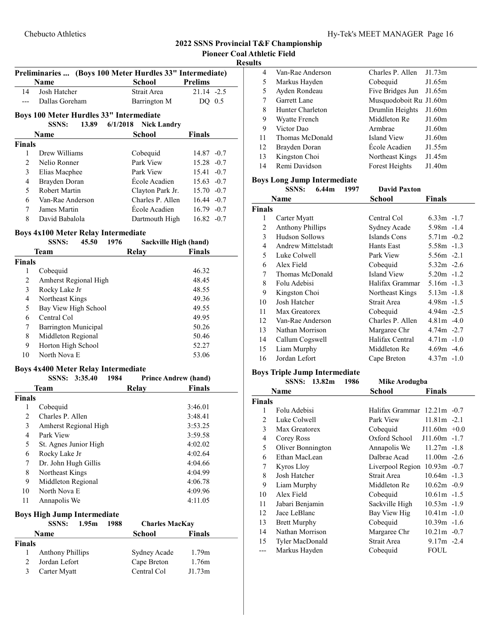Result

|                | Name                                                                         | School                      | <b>Prelims</b> |
|----------------|------------------------------------------------------------------------------|-----------------------------|----------------|
| 14             | Josh Hatcher                                                                 | Strait Area                 | 21.14 -2.5     |
| $---$          | Dallas Goreham                                                               | Barrington M                | $DQ$ 0.5       |
|                |                                                                              |                             |                |
|                | Boys 100 Meter Hurdles 33" Intermediate<br><b>SSNS:</b><br>13.89<br>6/1/2018 | <b>Nick Landry</b>          |                |
|                | <b>Name</b>                                                                  | School                      | <b>Finals</b>  |
| <b>Finals</b>  |                                                                              |                             |                |
| 1              | Drew Williams                                                                |                             | $14.87 - 0.7$  |
| 2              | Nelio Ronner                                                                 | Cobequid<br>Park View       | $15.28 - 0.7$  |
| 3              | Elias Macphee                                                                | Park View                   | $15.41 - 0.7$  |
| 4              | Brayden Doran                                                                | Ecole Acadien               | $15.63 -0.7$   |
| 5              | Robert Martin                                                                | Clayton Park Jr.            | $15.70 -0.7$   |
| 6              | Van-Rae Anderson                                                             | Charles P. Allen            | $16.44 - 0.7$  |
| 7              | James Martin                                                                 | École Acadien               | $16.79 - 0.7$  |
| 8.             | David Babalola                                                               | Dartmouth High              | $16.82 -0.7$   |
|                |                                                                              |                             |                |
|                | <b>Boys 4x100 Meter Relay Intermediate</b>                                   |                             |                |
|                | <b>SSNS:</b><br>45.50<br>1976                                                | Sackville High (hand)       |                |
|                | <b>Team</b>                                                                  | <b>Relay</b>                | <b>Finals</b>  |
| <b>Finals</b>  |                                                                              |                             |                |
| 1              | Cobequid                                                                     |                             | 46.32          |
| $\overline{c}$ | Amherst Regional High                                                        |                             | 48.45          |
| 3              | Rocky Lake Jr                                                                |                             | 48.55          |
| $\overline{4}$ | Northeast Kings                                                              |                             | 49.36          |
| 5              | Bay View High School                                                         |                             | 49.55          |
| 6              | Central Col                                                                  |                             | 49.95          |
| 7              | Barrington Municipal                                                         |                             | 50.26          |
| 8              | Middleton Regional                                                           |                             | 50.46          |
| 9              | Horton High School                                                           |                             | 52.27          |
| 10             | North Nova E                                                                 |                             | 53.06          |
|                | <b>Boys 4x400 Meter Relay Intermediate</b>                                   |                             |                |
|                | SSNS: 3:35.40<br>1984                                                        | <b>Prince Andrew (hand)</b> |                |
|                | Team                                                                         | <b>Relay</b>                | <b>Finals</b>  |
| <b>Finals</b>  |                                                                              |                             |                |
| 1              | Cobequid                                                                     |                             | 3:46.01        |
| $\overline{2}$ | Charles P. Allen                                                             |                             | 3:48.41        |
| 3              | Amherst Regional High                                                        |                             | 3:53.25        |
| 4              | Park View                                                                    |                             | 3:59.58        |
| 5              | St. Agnes Junior High                                                        |                             | 4:02.02        |
| 6              | Rocky Lake Jr                                                                |                             | 4:02.64        |
| 7              | Dr. John Hugh Gillis                                                         |                             | 4:04.66        |
| 8              | Northeast Kings                                                              |                             | 4:04.99        |
| 9              | Middleton Regional                                                           |                             | 4:06.78        |
| 10             | North Nova E                                                                 |                             | 4:09.96        |
| 11             | Annapolis We                                                                 |                             | 4:11.05        |
|                |                                                                              |                             |                |
|                | <b>Boys High Jump Intermediate</b>                                           |                             |                |
|                | <b>SSNS:</b><br>1.95m<br>1988                                                | <b>Charles MacKay</b>       |                |
|                | Name                                                                         | <b>School</b>               | <b>Finals</b>  |
| <b>Finals</b>  |                                                                              |                             |                |
| 1              | <b>Anthony Phillips</b>                                                      | Sydney Acade                | 1.79m          |
| 2              | Jordan Lefort                                                                | Cape Breton                 | 1.76m          |
| 3              | Carter Myatt                                                                 | Central Col                 | J1.73m         |

Preliminaries ... (Boys 100 Meter Hurdles 33" Intermediate)

| ĽS |                  |                        |        |
|----|------------------|------------------------|--------|
| 4  | Van-Rae Anderson | Charles P. Allen       | J1.73m |
| 5  | Markus Hayden    | Cobequid               | J1.65m |
| 5  | Ayden Rondeau    | Five Bridges Jun       | J1.65m |
| 7  | Garrett Lane     | Musquodoboit Ru J1.60m |        |
| 8  | Hunter Charleton | Drumlin Heights        | J1.60m |
| 9  | Wyatte French    | Middleton Re           | J1.60m |
| 9  | Victor Dao       | Armbrae                | J1.60m |
| 11 | Thomas McDonald  | Island View            | J1.60m |
| 12 | Brayden Doran    | École Acadien          | J1.55m |
| 13 | Kingston Choi    | Northeast Kings        | J1.45m |
| 14 | Remi Davidson    | Forest Heights         | J1.40m |
|    |                  |                        |        |

#### Boys Long Jump Intermediate

|               | SSNS:<br>6.44m            | 1997 | <b>David Paxton</b> |               |
|---------------|---------------------------|------|---------------------|---------------|
|               | <b>Name</b>               |      | School              | Finals        |
| <b>Finals</b> |                           |      |                     |               |
| 1             | Carter Myatt              |      | Central Col         | $6.33m -1.7$  |
| 2             | <b>Anthony Phillips</b>   |      | Sydney Acade        | $5.98m - 1.4$ |
| 3             | <b>Hudson Sollows</b>     |      | Islands Cons        | $5.71m - 0.2$ |
| 4             | <b>Andrew Mittelstadt</b> |      | Hants East          | $5.58m - 1.3$ |
| 5             | Luke Colwell              |      | Park View           | $5.56m -2.1$  |
| 6             | Alex Field                |      | Cobequid            | $5.32m -2.6$  |
| 7             | Thomas McDonald           |      | Island View         | $5.20m -1.2$  |
| 8             | Folu Adebisi              |      | Halifax Grammar     | $5.16m - 1.3$ |
| 9             | Kingston Choi             |      | Northeast Kings     | $5.13m -1.8$  |
| 10            | Josh Hatcher              |      | Strait Area         | $4.98m - 1.5$ |
| 11            | Max Greatorex             |      | Cobequid            | $4.94m -2.5$  |
| 12            | Van-Rae Anderson          |      | Charles P. Allen    | $4.81m - 4.0$ |
| 13            | Nathan Morrison           |      | Margaree Chr        | $4.74m - 2.7$ |
| 14            | Callum Cogswell           |      | Halifax Central     | $4.71m - 1.0$ |
| 15            | Liam Murphy               |      | Middleton Re        | $4.69m - 4.6$ |
| 16            | Jordan Lefort             |      | Cape Breton         | $4.37m -1.0$  |

# Boys Triple Jump Intermediate

|               | SSNS: 13.82m<br>1986 | Mike Arodugba               |                |  |
|---------------|----------------------|-----------------------------|----------------|--|
|               | Name                 | School                      | <b>Finals</b>  |  |
| <b>Finals</b> |                      |                             |                |  |
| 1             | Folu Adebisi         | Halifax Grammar 12.21m -0.7 |                |  |
| 2             | Luke Colwell         | Park View                   | $11.81m - 2.1$ |  |
| 3             | Max Greatorex        | Cobequid                    | $J11.60m +0.0$ |  |
| 4             | Corey Ross           | Oxford School               | $J11.60m -1.7$ |  |
| 5             | Oliver Bonnington    | Annapolis We                | $11.27m - 1.8$ |  |
| 6             | Ethan MacLean        | Dalbrae Acad                | $11.00m - 2.6$ |  |
| 7             | Kyros Lloy           | Liverpool Region            | $10.93m -0.7$  |  |
| 8             | Josh Hatcher         | Strait Area                 | $10.64m - 1.3$ |  |
| 9             | Liam Murphy          | Middleton Re                | $10.62m - 0.9$ |  |
| 10            | Alex Field           | Cobequid                    | $10.61m - 1.5$ |  |
| 11            | Jabari Benjamin      | Sackville High              | $10.53m -1.9$  |  |
| 12            | Jace LeBlanc         | Bay View Hig                | $10.41m - 1.0$ |  |
| 13            | <b>Brett Murphy</b>  | Cobequid                    | $10.39m - 1.6$ |  |
| 14            | Nathan Morrison      | Margaree Chr                | $10.21m - 0.7$ |  |
| 15            | Tyler MacDonald      | Strait Area                 | $9.17m - 2.4$  |  |
|               | Markus Hayden        | Cobequid                    | <b>FOUL</b>    |  |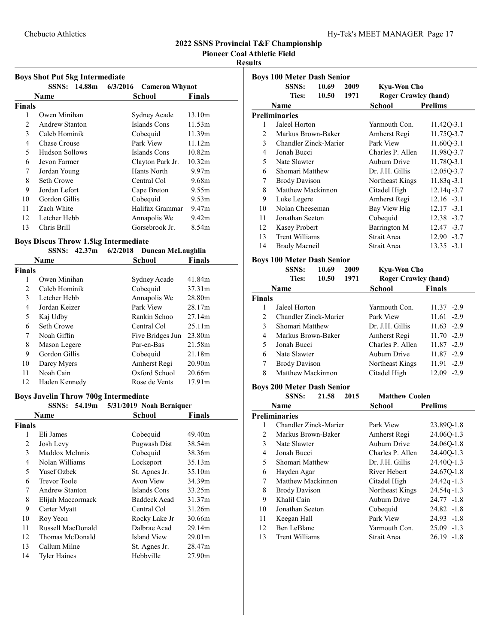Pioneer Coal Athletic Field

# Results

|  |  | <b>Boys Shot Put 5kg Intermediate</b> |
|--|--|---------------------------------------|
|  |  |                                       |

|        |                | SSNS: 14.88m 6/3/2016 Cameron Whynot |                   |
|--------|----------------|--------------------------------------|-------------------|
|        | Name           | School                               | <b>Finals</b>     |
| Finals |                |                                      |                   |
| 1      | Owen Minihan   | Sydney Acade                         | 13.10m            |
| 2      | Andrew Stanton | Islands Cons                         | 11.53m            |
| 3      | Caleb Hominik  | Cobequid                             | 11.39m            |
| 4      | Chase Crouse   | Park View                            | 11.12m            |
| 5      | Hudson Sollows | Islands Cons                         | 10.82m            |
| 6      | Jevon Farmer   | Clayton Park Jr.                     | 10.32m            |
| 7      | Jordan Young   | Hants North                          | 9.97 <sub>m</sub> |
| 8      | Seth Crowe     | Central Col                          | 9.68m             |
| 9      | Jordan Lefort  | Cape Breton                          | 9.55m             |
| 10     | Gordon Gillis  | Cobequid                             | 9.53m             |
| 11     | Zach White     | Halifax Grammar                      | 9.47m             |
| 12     | Letcher Hebb   | Annapolis We                         | 9.42 <sub>m</sub> |
| 13     | Chris Brill    | Gorsebrook Jr.                       | 8.54m             |

# Boys Discus Throw 1.5kg Intermediate

# SSNS:  $42.37m$   $6/2/2018$  Duncan McLaughlin

|        | Name          | School           | Finals             |
|--------|---------------|------------------|--------------------|
| Finals |               |                  |                    |
| 1      | Owen Minihan  | Sydney Acade     | 41.84m             |
| 2      | Caleb Hominik | Cobequid         | 37.31m             |
| 3      | Letcher Hebb  | Annapolis We     | 28.80m             |
| 4      | Jordan Keizer | Park View        | 28.17m             |
| 5      | Kaj Udby      | Rankin Schoo     | 27.14m             |
| 6      | Seth Crowe    | Central Col      | 25.11m             |
| 7      | Noah Giffin   | Five Bridges Jun | 23.80m             |
| 8      | Mason Legere  | Par-en-Bas       | 21.58m             |
| 9      | Gordon Gillis | Cobequid         | 21.18m             |
| 10     | Darcy Myers   | Amherst Regi     | 20.90 <sub>m</sub> |
| 11     | Noah Cain     | Oxford School    | 20.66m             |
| 12     | Haden Kennedy | Rose de Vents    | 17.91 <sub>m</sub> |

# Boys Javelin Throw 700g Intermediate

|               |                     | SSNS: 54.19m 5/31/2019 Noah Berniquer |                    |
|---------------|---------------------|---------------------------------------|--------------------|
|               | Name                | School                                | <b>Finals</b>      |
| <b>Finals</b> |                     |                                       |                    |
| 1             | Eli James           | Cobequid                              | 49.40m             |
| 2             | Josh Levy           | Pugwash Dist                          | 38.54m             |
| 3             | Maddox McInnis      | Cobequid                              | 38.36m             |
| 4             | Nolan Williams      | Lockeport                             | 35.13m             |
| 5             | Yusef Ozbek         | St. Agnes Jr.                         | 35.10m             |
| 6             | <b>Trevor Toole</b> | Avon View                             | 34.39m             |
| 7             | Andrew Stanton      | Islands Cons                          | 33.25m             |
| 8             | Elijah Maccormack   | Baddeck Acad                          | 31.37m             |
| 9             | Carter Myatt        | Central Col                           | 31.26m             |
| 10            | Roy Yeon            | Rocky Lake Jr                         | 30.66m             |
| 11            | Russell MacDonald   | Dalbrae Acad                          | 29.14m             |
| 12            | Thomas McDonald     | Island View                           | 29.01 <sub>m</sub> |
| 13            | Callum Milne        | St. Agnes Jr.                         | 28.47m             |
| 14            | <b>Tyler Haines</b> | Hebbville                             | 27.90m             |
|               |                     |                                       |                    |

|                | <b>Boys 100 Meter Dash Senior</b> |       |      |                             |                |
|----------------|-----------------------------------|-------|------|-----------------------------|----------------|
|                | SSNS:                             | 10.69 | 2009 | Kyu-Won Cho                 |                |
|                | Ties:                             | 10.50 | 1971 | <b>Roger Crawley (hand)</b> |                |
|                | Name                              |       |      | School                      | <b>Prelims</b> |
|                | <b>Preliminaries</b>              |       |      |                             |                |
| 1              | Jaleel Horton                     |       |      | Yarmouth Con.               | 11.42Q-3.1     |
| 2              | Markus Brown-Baker                |       |      | Amherst Regi                | 11.75Q-3.7     |
| $\mathfrak{Z}$ | Chandler Zinck-Marier             |       |      | Park View                   | 11.60Q-3.1     |
| 4              | Jonah Bucci                       |       |      | Charles P. Allen            | 11.98Q-3.7     |
| 5.             | Nate Slawter                      |       |      | Auburn Drive                | 11.78Q-3.1     |
| 6              | Shomari Matthew                   |       |      | Dr. J.H. Gillis             | 12.05Q-3.7     |
| 7              | <b>Brody Davison</b>              |       |      | Northeast Kings             | $11.83q - 3.1$ |
| 8              | Matthew Mackinnon                 |       |      | Citadel High                | $12.14q - 3.7$ |
| 9              | Luke Legere                       |       |      | Amherst Regi                | $12.16 - 3.1$  |
| 10             | Nolan Cheeseman                   |       |      | Bay View Hig                | $12.17 - 3.1$  |
| 11             | Jonathan Seeton                   |       |      | Cobequid                    | $12.38 - 3.7$  |
| 12             | Kasey Probert                     |       |      | Barrington M                | $12.47 - 3.7$  |
| 13             | <b>Trent Williams</b>             |       |      | Strait Area                 | $12.90 - 3.7$  |
| 14             | Brady Macneil                     |       |      | Strait Area                 | $13.35 - 3.1$  |
|                | <b>Boys 100 Meter Dash Senior</b> |       |      |                             |                |
|                | <b>SSNS:</b>                      | 10.69 | 2009 | Kyu-Won Cho                 |                |
|                | <b>Ties:</b>                      | 10.50 | 1971 | <b>Roger Crawley (hand)</b> |                |

|                               | 1 ICS.<br>,,,,,,,<br>1 7 <i>1</i> 1 | ROGU CLAWICY (HAHU) |               |  |
|-------------------------------|-------------------------------------|---------------------|---------------|--|
|                               | <b>Name</b>                         | School              | <b>Finals</b> |  |
| <b>Finals</b>                 |                                     |                     |               |  |
|                               | Jaleel Horton                       | Yarmouth Con.       | $11.37 - 2.9$ |  |
| $\mathfrak{D}_{\mathfrak{p}}$ | Chandler Zinck-Marier               | Park View           | $11.61 - 2.9$ |  |
| 3                             | Shomari Matthew                     | Dr. J.H. Gillis     | $11.63 - 2.9$ |  |
| 4                             | Markus Brown-Baker                  | Amherst Regi        | $11.70 - 2.9$ |  |
| 5                             | Jonah Bucci                         | Charles P. Allen    | $11.87 - 2.9$ |  |
| 6                             | Nate Slawter                        | Auburn Drive        | $11.87 - 2.9$ |  |
| 7                             | <b>Brody Davison</b>                | Northeast Kings     | $11.91 - 2.9$ |  |
| 8                             | Matthew Mackinnon                   | Citadel High        | $12.09 - 2.9$ |  |
|                               |                                     |                     |               |  |

# Boys 200 Meter Dash Senior

|    | <b>SSNS:</b>          | 21.58 | 2015 | <b>Matthew Coolen</b> |                |
|----|-----------------------|-------|------|-----------------------|----------------|
|    | Name                  |       |      | School                | <b>Prelims</b> |
|    | <b>Preliminaries</b>  |       |      |                       |                |
|    | Chandler Zinck-Marier |       |      | Park View             | 23.89Q-1.8     |
| 2  | Markus Brown-Baker    |       |      | Amherst Regi          | 24.060-1.3     |
| 3  | Nate Slawter          |       |      | Auburn Drive          | 24.060-1.8     |
| 4  | Jonah Bucci           |       |      | Charles P. Allen      | 24.40Q-1.3     |
| 5  | Shomari Matthew       |       |      | Dr. J.H. Gillis       | 24.400-1.3     |
| 6  | Hayden Agar           |       |      | River Hebert          | 24.67Q-1.8     |
| 7  | Matthew Mackinnon     |       |      | Citadel High          | $24.42q - 1.3$ |
| 8  | <b>Brody Davison</b>  |       |      | Northeast Kings       | $24.54q - 1.3$ |
| 9  | Khalil Cain           |       |      | Auburn Drive          | $24.77 - 1.8$  |
| 10 | Jonathan Seeton       |       |      | Cobequid              | $24.82 -1.8$   |
| 11 | Keegan Hall           |       |      | Park View             | $24.93 -1.8$   |
| 12 | Ben LeBlanc           |       |      | Yarmouth Con.         | $25.09 -1.3$   |
| 13 | Trent Williams        |       |      | Strait Area           | $26.19 - 1.8$  |
|    |                       |       |      |                       |                |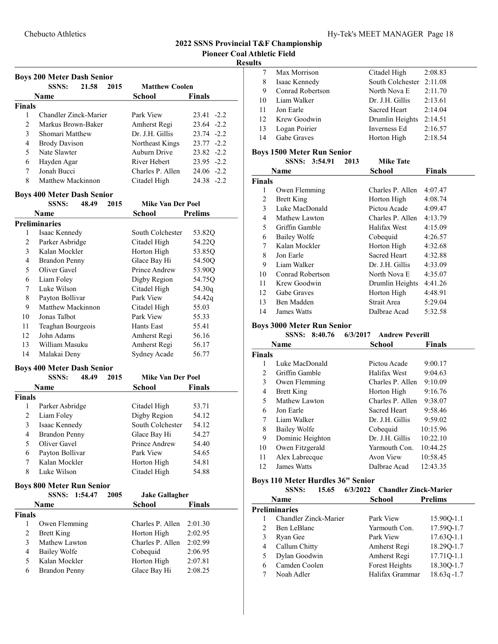#### Results

|                | <b>Boys 200 Meter Dash Senior</b>     |         |      |                             |                |
|----------------|---------------------------------------|---------|------|-----------------------------|----------------|
|                | <b>SSNS:</b>                          | 21.58   | 2015 | <b>Matthew Coolen</b>       |                |
|                | <b>Name</b>                           |         |      | School                      | <b>Finals</b>  |
| <b>Finals</b>  |                                       |         |      |                             |                |
| 1              | Chandler Zinck-Marier                 |         |      | Park View                   | 23.41 -2.2     |
| 2              | Markus Brown-Baker                    |         |      | Amherst Regi                | $23.64 -2.2$   |
| 3              | Shomari Matthew                       |         |      | Dr. J.H. Gillis             | $23.74 - 2.2$  |
| 4              | <b>Brody Davison</b>                  |         |      | Northeast Kings             | 23.77 -2.2     |
| 5              | Nate Slawter                          |         |      | Auburn Drive                | $23.82 -2.2$   |
| 6              | Hayden Agar                           |         |      | River Hebert                | 23.95 -2.2     |
| 7              | Jonah Bucci                           |         |      | Charles P. Allen            | 24.06 -2.2     |
| 8              | Matthew Mackinnon                     |         |      | Citadel High                | 24.38 -2.2     |
|                | <b>Boys 400 Meter Dash Senior</b>     |         |      |                             |                |
|                | <b>SSNS:</b>                          | 48.49   | 2015 | <b>Mike Van Der Poel</b>    |                |
|                | Name                                  |         |      | <b>School</b>               | <b>Prelims</b> |
|                | <b>Preliminaries</b>                  |         |      |                             |                |
| 1              | Isaac Kennedy                         |         |      | South Colchester            | 53.82Q         |
| 2              | Parker Asbridge                       |         |      | Citadel High                | 54.22Q         |
| 3              | Kalan Mockler                         |         |      | Horton High                 | 53.85Q         |
| 4              | <b>Brandon Penny</b>                  |         |      | Glace Bay Hi                | 54.50Q         |
| 5              | Oliver Gavel                          |         |      | Prince Andrew               | 53.90Q         |
| 6              | Liam Foley                            |         |      | Digby Region                | 54.75Q         |
| 7              | Luke Wilson                           |         |      | Citadel High                | 54.30q         |
| 8              | Payton Bollivar                       |         |      | Park View                   | 54.42q         |
| 9              | Matthew Mackinnon                     |         |      | Citadel High                | 55.03          |
| 10             | Jonas Talbot                          |         |      | Park View                   | 55.33          |
| 11             | Teaghan Bourgeois                     |         |      | Hants East                  | 55.41          |
| 12             | John Adams                            |         |      | Amherst Regi                | 56.16          |
| 13             | William Masuku                        |         |      | Amherst Regi                | 56.17          |
| 14             | Malakai Deny                          |         |      | Sydney Acade                | 56.77          |
|                | <b>Boys 400 Meter Dash Senior</b>     |         |      |                             |                |
|                | <b>SSNS:</b>                          | 48.49   | 2015 | <b>Mike Van Der Poel</b>    |                |
|                | Name                                  |         |      | <b>School</b>               | <b>Finals</b>  |
| <b>Finals</b>  |                                       |         |      |                             |                |
| 1              | Parker Asbridge                       |         |      | Citadel High                | 53.71          |
| 2              | Liam Foley                            |         |      | Digby Region                | 54.12          |
| 3              |                                       |         |      | South Colchester            |                |
| 4              | Isaac Kennedy<br><b>Brandon Penny</b> |         |      | Glace Bay Hi                | 54.12<br>54.27 |
| 5              | Oliver Gavel                          |         |      | Prince Andrew               | 54.40          |
| 6              | Payton Bollivar                       |         |      | Park View                   | 54.65          |
| 7              | Kalan Mockler                         |         |      |                             | 54.81          |
| 8              | Luke Wilson                           |         |      | Horton High<br>Citadel High | 54.88          |
|                |                                       |         |      |                             |                |
|                | <b>Boys 800 Meter Run Senior</b>      |         |      |                             |                |
|                | <b>SSNS:</b>                          | 1:54.47 | 2005 | <b>Jake Gallagher</b>       |                |
|                | Name                                  |         |      | School                      | <b>Finals</b>  |
| <b>Finals</b>  |                                       |         |      |                             |                |
| 1              | Owen Flemming                         |         |      | Charles P. Allen            | 2:01.30        |
| 2              | <b>Brett King</b>                     |         |      | Horton High                 | 2:02.95        |
| 3              | Mathew Lawton                         |         |      | Charles P. Allen            | 2:02.99        |
| $\overline{4}$ | <b>Bailey Wolfe</b>                   |         |      | Cobequid                    | 2:06.95        |
| 5              | Kalan Mockler                         |         |      | Horton High                 | 2:07.81        |
| 6              | <b>Brandon Penny</b>                  |         |      | Glace Bay Hi                | 2:08.25        |
|                |                                       |         |      |                             |                |

|    | Max Morrison     | Citadel High             | 2:08.83 |
|----|------------------|--------------------------|---------|
| 8  | Isaac Kennedy    | South Colchester 2:11.08 |         |
| 9  | Conrad Robertson | North Nova E             | 2:11.70 |
| 10 | Liam Walker      | Dr. J.H. Gillis          | 2:13.61 |
| 11 | Jon Earle        | <b>Sacred Heart</b>      | 2:14.04 |
| 12 | Krew Goodwin     | Drumlin Heights          | 2:14.51 |
| 13 | Logan Poirier    | Inverness Ed             | 2:16.57 |
| 14 | Gabe Graves      | Horton High              | 2:18.54 |
|    |                  |                          |         |

#### Boys 1500 Meter Run Senior

|        | SSNS: 3:54.91      | 2013 | <b>Mike Tate</b>    |               |
|--------|--------------------|------|---------------------|---------------|
|        | Name               |      | School              | <b>Finals</b> |
| Finals |                    |      |                     |               |
| 1      | Owen Flemming      |      | Charles P. Allen    | 4:07.47       |
| 2      | <b>Brett King</b>  |      | Horton High         | 4:08.74       |
| 3      | Luke MacDonald     |      | Pictou Acade        | 4:09.47       |
| 4      | Mathew Lawton      |      | Charles P. Allen    | 4:13.79       |
| 5      | Griffin Gamble     |      | Halifax West        | 4:15.09       |
| 6      | Bailey Wolfe       |      | Cobequid            | 4:26.57       |
| 7      | Kalan Mockler      |      | Horton High         | 4:32.68       |
| 8      | Jon Earle          |      | <b>Sacred Heart</b> | 4:32.88       |
| 9      | Liam Walker        |      | Dr. J.H. Gillis     | 4:33.09       |
| 10     | Conrad Robertson   |      | North Nova E        | 4:35.07       |
| 11     | Krew Goodwin       |      | Drumlin Heights     | 4:41.26       |
| 12     | <b>Gabe Graves</b> |      | Horton High         | 4:48.91       |
| 13     | Ben Madden         |      | Strait Area         | 5:29.04       |
| 14     | James Watts        |      | Dalbrae Acad        | 5:32.58       |

# Boys 3000 Meter Run Senior

|        | SSNS:<br>8:40.76    | 6/3/2017<br><b>Andrew Peverill</b> |          |
|--------|---------------------|------------------------------------|----------|
|        | <b>Name</b>         | School                             | Finals   |
| Finals |                     |                                    |          |
| 1      | Luke MacDonald      | Pictou Acade                       | 9:00.17  |
| 2      | Griffin Gamble      | Halifax West                       | 9:04.63  |
| 3      | Owen Flemming       | Charles P. Allen                   | 9:10.09  |
| 4      | <b>Brett King</b>   | Horton High                        | 9:16.76  |
| 5      | Mathew Lawton       | Charles P. Allen                   | 9:38.07  |
| 6      | Jon Earle           | Sacred Heart                       | 9:58.46  |
| 7      | Liam Walker         | Dr. J.H. Gillis                    | 9:59.02  |
| 8      | <b>Bailey Wolfe</b> | Cobequid                           | 10:15.96 |
| 9      | Dominic Heighton    | Dr. J.H. Gillis                    | 10:22.10 |
| 10     | Owen Fitzgerald     | Yarmouth Con.                      | 10:44.25 |
| 11     | Alex Labrecque      | Avon View                          | 10:58.45 |
| 12     | James Watts         | Dalbrae Acad                       | 12:43.35 |

#### Boys 110 Meter Hurdles 36" Senior

SSNS: 15.65 6/3/2022 Chandler Zinck-Marier

|   | Name                  | School          | <b>Prelims</b> |
|---|-----------------------|-----------------|----------------|
|   | Preliminaries         |                 |                |
|   | Chandler Zinck-Marier | Park View       | 15.900-1.1     |
|   | Ben LeBlanc           | Yarmouth Con.   | 17.59Q-1.7     |
| 3 | Ryan Gee              | Park View       | 17.63Q-1.1     |
| 4 | Callum Chitty         | Amherst Regi    | 18.290-1.7     |
| 5 | Dylan Goodwin         | Amherst Regi    | 17.71Q-1.1     |
| 6 | Camden Coolen         | Forest Heights  | 18.30Q-1.7     |
|   | Noah Adler            | Halifax Grammar | $18.63q - 1.7$ |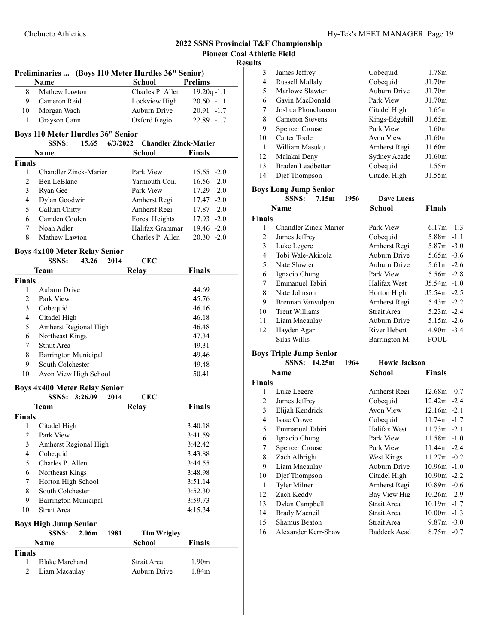#### Results

| Preliminaries  (Boys 110 Meter Hurdles 36" Senior) |                                                               |                              |                    |
|----------------------------------------------------|---------------------------------------------------------------|------------------------------|--------------------|
|                                                    | Name                                                          | School                       | <b>Prelims</b>     |
| 8                                                  | Mathew Lawton                                                 | Charles P. Allen             | $19.20q - 1.1$     |
| 9                                                  | Cameron Reid                                                  | Lockview High                | $20.60 - 1.1$      |
| 10                                                 | Morgan Wach                                                   | Auburn Drive                 | $20.91 - 1.7$      |
| 11                                                 | Grayson Cann                                                  | Oxford Regio                 | 22.89 -1.7         |
|                                                    |                                                               |                              |                    |
|                                                    | <b>Boys 110 Meter Hurdles 36" Senior</b>                      |                              |                    |
|                                                    | <b>SSNS:</b><br>15.65<br>6/3/2022                             | <b>Chandler Zinck-Marier</b> |                    |
|                                                    | <b>Name</b>                                                   | <b>School</b>                | <b>Finals</b>      |
| <b>Finals</b>                                      |                                                               |                              |                    |
| 1                                                  | Chandler Zinck-Marier                                         | Park View                    | $15.65 -2.0$       |
| 2                                                  | Ben LeBlanc                                                   | Yarmouth Con.                | $16.56 - 2.0$      |
| 3                                                  | Ryan Gee                                                      | Park View                    | 17.29 -2.0         |
| 4                                                  | Dylan Goodwin                                                 | Amherst Regi                 | $17.47 - 2.0$      |
| 5                                                  | Callum Chitty                                                 | Amherst Regi                 | $17.87 - 2.0$      |
| 6                                                  | Camden Coolen                                                 | Forest Heights               | $17.93 - 2.0$      |
| 7                                                  | Noah Adler                                                    | Halifax Grammar              | $19.46 - 2.0$      |
| 8                                                  | Mathew Lawton                                                 | Charles P. Allen             | $20.30 -2.0$       |
|                                                    | <b>Boys 4x100 Meter Relay Senior</b>                          |                              |                    |
|                                                    | 2014<br><b>SSNS:</b><br>43.26                                 | <b>CEC</b>                   |                    |
|                                                    | Team                                                          | <b>Relay</b>                 | <b>Finals</b>      |
| <b>Finals</b>                                      |                                                               |                              |                    |
| 1                                                  | Auburn Drive                                                  |                              | 44.69              |
| 2                                                  | Park View                                                     |                              | 45.76              |
| 3                                                  | Cobequid                                                      |                              | 46.16              |
| $\overline{4}$                                     | Citadel High                                                  |                              | 46.18              |
| 5                                                  | Amherst Regional High                                         |                              | 46.48              |
| 6                                                  | Northeast Kings                                               |                              | 47.34              |
| 7                                                  | Strait Area                                                   |                              | 49.31              |
| 8                                                  | <b>Barrington Municipal</b>                                   |                              | 49.46              |
| 9                                                  | South Colchester                                              |                              | 49.48              |
| 10                                                 | Avon View High School                                         |                              | 50.41              |
|                                                    |                                                               |                              |                    |
|                                                    | <b>Boys 4x400 Meter Relay Senior</b><br>SSNS: 3:26.09<br>2014 | <b>CEC</b>                   |                    |
|                                                    |                                                               |                              |                    |
|                                                    | <b>Team</b>                                                   | Relay                        | <b>Finals</b>      |
| <b>Finals</b><br>1                                 | Citadel High                                                  |                              | 3:40.18            |
| $\overline{c}$                                     | Park View                                                     |                              | 3:41.59            |
|                                                    |                                                               |                              | 3:42.42            |
| 3<br>$\overline{4}$                                | Amherst Regional High<br>Cobequid                             |                              | 3:43.88            |
| 5                                                  | Charles P. Allen                                              |                              | 3:44.55            |
| 6                                                  | Northeast Kings                                               |                              | 3:48.98            |
| 7                                                  | Horton High School                                            |                              | 3:51.14            |
| 8                                                  | South Colchester                                              |                              |                    |
|                                                    |                                                               |                              | 3:52.30<br>3:59.73 |
| 9<br>10                                            | <b>Barrington Municipal</b><br>Strait Area                    |                              |                    |
|                                                    |                                                               |                              | 4:15.34            |
|                                                    | <b>Boys High Jump Senior</b>                                  |                              |                    |
|                                                    | <b>SSNS:</b><br>2.06 <sub>m</sub><br>1981                     | <b>Tim Wrigley</b>           |                    |
|                                                    | Name                                                          | <b>School</b>                | <b>Finals</b>      |
| <b>Finals</b>                                      |                                                               |                              |                    |
| 1                                                  | <b>Blake Marchand</b>                                         | Strait Area                  | 1.90m              |
| $\overline{2}$                                     | Liam Macaulay                                                 | Auburn Drive                 | 1.84m              |

| 3  | James Jeffrey         | Cobequid       | 1.78m             |  |
|----|-----------------------|----------------|-------------------|--|
| 4  | Russell Mallaly       | Cobequid       | J1.70m            |  |
| 5  | Marlowe Slawter       | Auburn Drive   | J1.70m            |  |
| 6  | Gavin MacDonald       | Park View      | J1.70m            |  |
| 7  | Joshua Phonchareon    | Citadel High   | 1.65m             |  |
| 8  | Cameron Stevens       | Kings-Edgehill | J1.65m            |  |
| 9  | <b>Spencer Crouse</b> | Park View      | 1.60 <sub>m</sub> |  |
| 10 | Carter Toole          | Avon View      | J1.60m            |  |
| 11 | William Masuku        | Amherst Regi   | J1.60m            |  |
| 12 | Malakai Deny          | Sydney Acade   | J1.60m            |  |
| 13 | Braden Leadbetter     | Cobequid       | 1.55m             |  |
| 14 | Dief Thompson         | Citadel High   | J1.55m            |  |
|    |                       |                |                   |  |

# Boys Long Jump Senior

|               | <b>SSNS:</b><br>1956<br>7.15m | Dave Lucas    |               |
|---------------|-------------------------------|---------------|---------------|
|               | Name                          | <b>School</b> | <b>Finals</b> |
| <b>Finals</b> |                               |               |               |
|               | Chandler Zinck-Marier         | Park View     | $6.17m - 1.3$ |
| 2             | James Jeffrey                 | Cobequid      | 5.88m -1.1    |
| 3             | Luke Legere                   | Amherst Regi  | $5.87m - 3.0$ |
| 4             | Tobi Wale-Akinola             | Auburn Drive  | $5.65m - 3.6$ |
| 5             | Nate Slawter                  | Auburn Drive  | $5.61m -2.6$  |
| 6             | Ignacio Chung                 | Park View     | 5.56m -2.8    |
| 7             | Emmanuel Tabiri               | Halifax West  | $J5.54m -1.0$ |
| 8             | Nate Johnson                  | Horton High   | $J5.54m -2.5$ |
| 9             | Brennan Vanvulpen             | Amherst Regi  | $5.43m -2.2$  |
| 10            | Trent Williams                | Strait Area   | $5.23m -2.4$  |
| 11            | Liam Macaulay                 | Auburn Drive  | $5.15m - 2.6$ |
| 12            | Hayden Agar                   | River Hebert  | $4.90m - 3.4$ |
|               | Silas Willis                  | Barrington M  | FOUL          |

#### Boys Triple Jump Senior

|               | SSNS: 14.25m<br>1964  | <b>Howie Jackson</b> |                |
|---------------|-----------------------|----------------------|----------------|
|               | <b>Name</b>           | School               | Finals         |
| <b>Finals</b> |                       |                      |                |
| 1             | Luke Legere           | Amherst Regi         | $12.68m - 0.7$ |
| 2             | James Jeffrey         | Cobequid             | $12.42m - 2.4$ |
| 3             | Elijah Kendrick       | Avon View            | $12.16m - 2.1$ |
| 4             | Isaac Crowe           | Cobequid             | 11.74m -1.7    |
| 5             | Emmanuel Tabiri       | Halifax West         | $11.73m - 2.1$ |
| 6             | Ignacio Chung         | Park View            | $11.58m - 1.0$ |
| 7             | <b>Spencer Crouse</b> | Park View            | 11.44m -2.4    |
| 8             | Zach Albright         | West Kings           | $11.27m - 0.2$ |
| 9             | Liam Macaulay         | Auburn Drive         | $10.96m - 1.0$ |
| 10            | Dief Thompson         | Citadel High         | $10.90m - 2.2$ |
| 11            | Tyler Milner          | Amherst Regi         | $10.89m - 0.6$ |
| 12            | Zach Keddy            | Bay View Hig         | $10.26m - 2.9$ |
| 13            | Dylan Campbell        | Strait Area          | $10.19m - 1.7$ |
| 14            | <b>Brady Macneil</b>  | Strait Area          | $10.00m -1.3$  |
| 15            | Shamus Beaton         | Strait Area          | $9.87m - 3.0$  |
| 16            | Alexander Kerr-Shaw   | <b>Baddeck Acad</b>  | $8.75m - 0.7$  |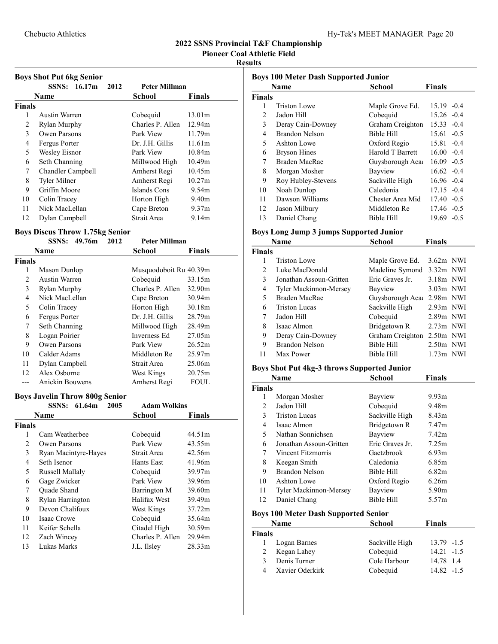Pioneer Coal Athletic Field

#### Results

|               | <b>Boys Shot Put 6kg Senior</b> |                      |                   |
|---------------|---------------------------------|----------------------|-------------------|
|               | SSNS: 16.17m<br>2012            | <b>Peter Millman</b> |                   |
|               | Name                            | School               | <b>Finals</b>     |
| <b>Finals</b> |                                 |                      |                   |
| 1             | Austin Warren                   | Cobequid             | 13.01m            |
| 2             | Rylan Murphy                    | Charles P. Allen     | 12.94m            |
| 3             | Owen Parsons                    | Park View            | 11.79m            |
| 4             | Fergus Porter                   | Dr. J.H. Gillis      | 11.61m            |
| 5             | Wesley Eisnor                   | Park View            | 10.84m            |
| 6             | Seth Channing                   | Millwood High        | 10.49m            |
| 7             | Chandler Campbell               | Amherst Regi         | 10.45m            |
| 8             | Tyler Milner                    | Amherst Regi         | 10.27m            |
| 9             | Griffin Moore                   | Islands Cons         | 9.54m             |
| 10            | Colin Tracey                    | Horton High          | 9.40 <sub>m</sub> |
| 11            | Nick MacLellan                  | Cape Breton          | 9.37 <sub>m</sub> |
| 12            | Dylan Campbell                  | Strait Area          | 9.14m             |

#### Boys Discus Throw 1.75kg Senior

|        | <b>SSNS:</b><br>49.76m | 2012<br><b>Peter Millman</b> |        |
|--------|------------------------|------------------------------|--------|
|        | Name                   | School                       | Finals |
| Finals |                        |                              |        |
| 1      | Mason Dunlop           | Musquodoboit Ru 40.39m       |        |
| 2      | Austin Warren          | Cobequid                     | 33.15m |
| 3      | Rylan Murphy           | Charles P. Allen             | 32.90m |
| 4      | Nick MacLellan         | Cape Breton                  | 30.94m |
| 5      | Colin Tracey           | Horton High                  | 30.18m |
| 6      | Fergus Porter          | Dr. J.H. Gillis              | 28.79m |
| 7      | Seth Channing          | Millwood High                | 28.49m |
| 8      | Logan Poirier          | Inverness Ed                 | 27.05m |
| 9      | Owen Parsons           | Park View                    | 26.52m |
| 10     | Calder Adams           | Middleton Re                 | 25.97m |
| 11     | Dylan Campbell         | Strait Area                  | 25.06m |
| 12     | Alex Osborne           | West Kings                   | 20.75m |
|        | Anickin Bouwens        | Amherst Regi                 | FOUL   |

#### Boys Javelin Throw 800g Senior

|               | 61.64m<br><b>SSNS:</b><br>2005 | <b>Adam Wolkins</b> |                    |
|---------------|--------------------------------|---------------------|--------------------|
|               | Name                           | School              | Finals             |
| <b>Finals</b> |                                |                     |                    |
| 1             | Cam Weatherbee                 | Cobequid            | 44.51m             |
| 2             | Owen Parsons                   | Park View           | 43.55m             |
| 3             | Ryan Macintyre-Hayes           | Strait Area         | 42.56m             |
| 4             | Seth Isenor                    | Hants East          | 41.96m             |
| 5             | Russell Mallaly                | Cobequid            | 39.97m             |
| 6             | Gage Zwicker                   | Park View           | 39.96m             |
| 7             | <b>Ouade Shand</b>             | Barrington M        | 39.60m             |
| 8             | Rylan Harrington               | Halifax West        | 39.49m             |
| 9             | Devon Chalifoux                | West Kings          | 37.72m             |
| 10            | Isaac Crowe                    | Cobequid            | 35.64m             |
| 11            | Keifer Schella                 | Citadel High        | 30.59m             |
| 12            | Zach Wincey                    | Charles P. Allen    | 29.94m             |
| 13            | Lukas Marks                    | J.L. Ilsley         | 28.33 <sub>m</sub> |

| <b>Boys 100 Meter Dash Supported Junior</b> |                     |                   |                   |
|---------------------------------------------|---------------------|-------------------|-------------------|
|                                             | Name                | School            | <b>Finals</b>     |
| <b>Finals</b>                               |                     |                   |                   |
| 1                                           | Triston Lowe        | Maple Grove Ed.   | $15.19 - 0.4$     |
| $\mathfrak{D}$                              | Jadon Hill          | Cobequid          | $15.26 - 0.4$     |
| 3                                           | Deray Cain-Downey   | Graham Creighton  | $15.33 - 0.4$     |
| 4                                           | Brandon Nelson      | <b>Bible Hill</b> | $15.61 - 0.5$     |
| 5                                           | Ashton Lowe         | Oxford Regio      | $15.81 - 0.4$     |
| 6                                           | <b>Bryson Hines</b> | Harold T Barrett  | $16.00 - 0.4$     |
| 7                                           | Braden MacRae       | Guysborough Aca   | $16.09 - 0.5$     |
| 8                                           | Morgan Mosher       | Bayview           | $16.62 - 0.4$     |
| 9                                           | Roy Hubley-Stevens  | Sackville High    | $16.96 - 0.4$     |
| 10                                          | Noah Dunlop         | Caledonia         | $17.15 - 0.4$     |
| 11                                          | Dawson Williams     | Chester Area Mid  | $17.40 - 0.5$     |
| 12                                          | Jason Milbury       | Middleton Re      | $17.46 - 0.5$     |
| 13                                          | Daniel Chang        | Bible Hill        | 19.69 -<br>$-0.5$ |

# Boys Long Jump 3 jumps Supported Junior

|               | <b>Name</b>             | School           | <b>Finals</b> |
|---------------|-------------------------|------------------|---------------|
| <b>Finals</b> |                         |                  |               |
|               | Triston Lowe            | Maple Grove Ed.  | $3.62m$ NWI   |
| 2             | Luke MacDonald          | Madeline Symond  | $3.32m$ NWI   |
| 3             | Jonathan Assoun-Gritten | Eric Graves Jr.  | $3.18m$ NWI   |
| 4             | Tyler Mackinnon-Mersey  | Bayview          | $3.03m$ NWI   |
| 5             | Braden MacRae           | Guysborough Aca  | $2.98m$ NWI   |
| 6             | Triston Lucas           | Sackville High   | $2.93m$ NWI   |
| 7             | Jadon Hill              | Cobequid         | $2.89m$ NWI   |
| 8             | Isaac Almon             | Bridgetown R     | $2.73m$ NWI   |
| 9             | Deray Cain-Downey       | Graham Creighton | $2.50m$ NWI   |
| 9             | Brandon Nelson          | Bible Hill       | $2.50m$ NWI   |
| 11            | Max Power               | Bible Hill       | $1.73m$ NWI   |

# Boys Shot Put 4kg-3 throws Supported Junior

|               | Name                    | <b>School</b>   | <b>Finals</b>     |
|---------------|-------------------------|-----------------|-------------------|
| <b>Finals</b> |                         |                 |                   |
| L             | Morgan Mosher           | Bayview         | 9.93 <sub>m</sub> |
| 2             | Jadon Hill              | Cobequid        | 9.48m             |
| 3             | <b>Triston Lucas</b>    | Sackville High  | 8.43 <sub>m</sub> |
| 4             | Isaac Almon             | Bridgetown R    | 7.47 <sub>m</sub> |
| 5             | Nathan Sonnichsen       | Bayview         | 7.42m             |
| 6             | Jonathan Assoun-Gritten | Eric Graves Jr. | 7.25m             |
| 7             | Vincent Fitzmorris      | Gaetzbrook      | 6.93 <sub>m</sub> |
| 8             | Keegan Smith            | Caledonia       | 6.85m             |
| 9             | Brandon Nelson          | Bible Hill      | 6.82m             |
| 10            | Ashton Lowe             | Oxford Regio    | 6.26m             |
| 11            | Tyler Mackinnon-Mersey  | Bayview         | 5.90 <sub>m</sub> |
| 12            | Daniel Chang            | Bible Hill      | 5.57m             |

#### Boys 100 Meter Dash Supported Senior

|               | <b>Name</b>     | <b>School</b>  | <b>Finals</b> |
|---------------|-----------------|----------------|---------------|
| <b>Finals</b> |                 |                |               |
|               | Logan Barnes    | Sackville High | $13.79 - 1.5$ |
| 2             | Kegan Lahey     | Cobequid       | $14.21 - 1.5$ |
| 3             | Denis Turner    | Cole Harbour   | 14.78 1.4     |
|               | Xavier Oderkirk | Cobequid       | $14.82 - 1.5$ |